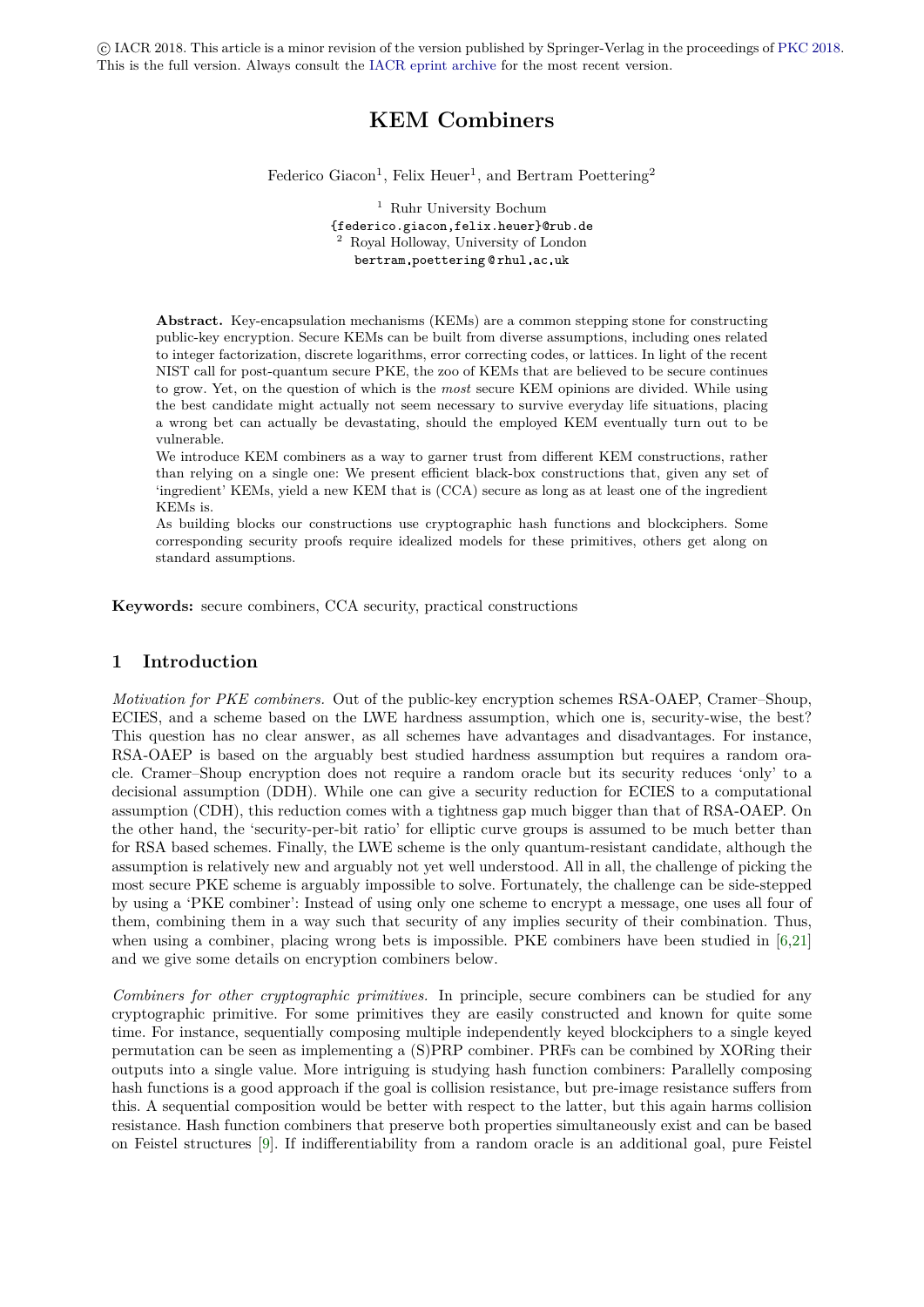c IACR 2018. This article is a minor revision of the version published by Springer-Verlag in the proceedings of [PKC 2018.](https://pkc.iacr.org/2018/) This is the full version. Always consult the [IACR eprint archive](https://eprint.iacr.org/) for the most recent version.

# **KEM Combiners**

Federico Giacon<sup>1</sup>, Felix Heuer<sup>1</sup>, and Bertram Poettering<sup>2</sup>

<sup>1</sup> Ruhr University Bochum {federico.giacon,felix.heuer}@rub.de <sup>2</sup> Royal Holloway, University of London bertram poettering @ rhul ac uk

**Abstract.** Key-encapsulation mechanisms (KEMs) are a common stepping stone for constructing public-key encryption. Secure KEMs can be built from diverse assumptions, including ones related to integer factorization, discrete logarithms, error correcting codes, or lattices. In light of the recent NIST call for post-quantum secure PKE, the zoo of KEMs that are believed to be secure continues to grow. Yet, on the question of which is the *most* secure KEM opinions are divided. While using the best candidate might actually not seem necessary to survive everyday life situations, placing a wrong bet can actually be devastating, should the employed KEM eventually turn out to be vulnerable.

We introduce KEM combiners as a way to garner trust from different KEM constructions, rather than relying on a single one: We present efficient black-box constructions that, given any set of 'ingredient' KEMs, yield a new KEM that is (CCA) secure as long as at least one of the ingredient KEMs is.

As building blocks our constructions use cryptographic hash functions and blockciphers. Some corresponding security proofs require idealized models for these primitives, others get along on standard assumptions.

**Keywords:** secure combiners, CCA security, practical constructions

# **1 Introduction**

*Motivation for PKE combiners.* Out of the public-key encryption schemes RSA-OAEP, Cramer–Shoup, ECIES, and a scheme based on the LWE hardness assumption, which one is, security-wise, the best? This question has no clear answer, as all schemes have advantages and disadvantages. For instance, RSA-OAEP is based on the arguably best studied hardness assumption but requires a random oracle. Cramer–Shoup encryption does not require a random oracle but its security reduces 'only' to a decisional assumption (DDH). While one can give a security reduction for ECIES to a computational assumption (CDH), this reduction comes with a tightness gap much bigger than that of RSA-OAEP. On the other hand, the 'security-per-bit ratio' for elliptic curve groups is assumed to be much better than for RSA based schemes. Finally, the LWE scheme is the only quantum-resistant candidate, although the assumption is relatively new and arguably not yet well understood. All in all, the challenge of picking the most secure PKE scheme is arguably impossible to solve. Fortunately, the challenge can be side-stepped by using a 'PKE combiner': Instead of using only one scheme to encrypt a message, one uses all four of them, combining them in a way such that security of any implies security of their combination. Thus, when using a combiner, placing wrong bets is impossible. PKE combiners have been studied in [\[6,](#page-28-0)[21\]](#page-28-1) and we give some details on encryption combiners below.

*Combiners for other cryptographic primitives.* In principle, secure combiners can be studied for any cryptographic primitive. For some primitives they are easily constructed and known for quite some time. For instance, sequentially composing multiple independently keyed blockciphers to a single keyed permutation can be seen as implementing a (S)PRP combiner. PRFs can be combined by XORing their outputs into a single value. More intriguing is studying hash function combiners: Parallelly composing hash functions is a good approach if the goal is collision resistance, but pre-image resistance suffers from this. A sequential composition would be better with respect to the latter, but this again harms collision resistance. Hash function combiners that preserve both properties simultaneously exist and can be based on Feistel structures [\[9\]](#page-28-2). If indifferentiability from a random oracle is an additional goal, pure Feistel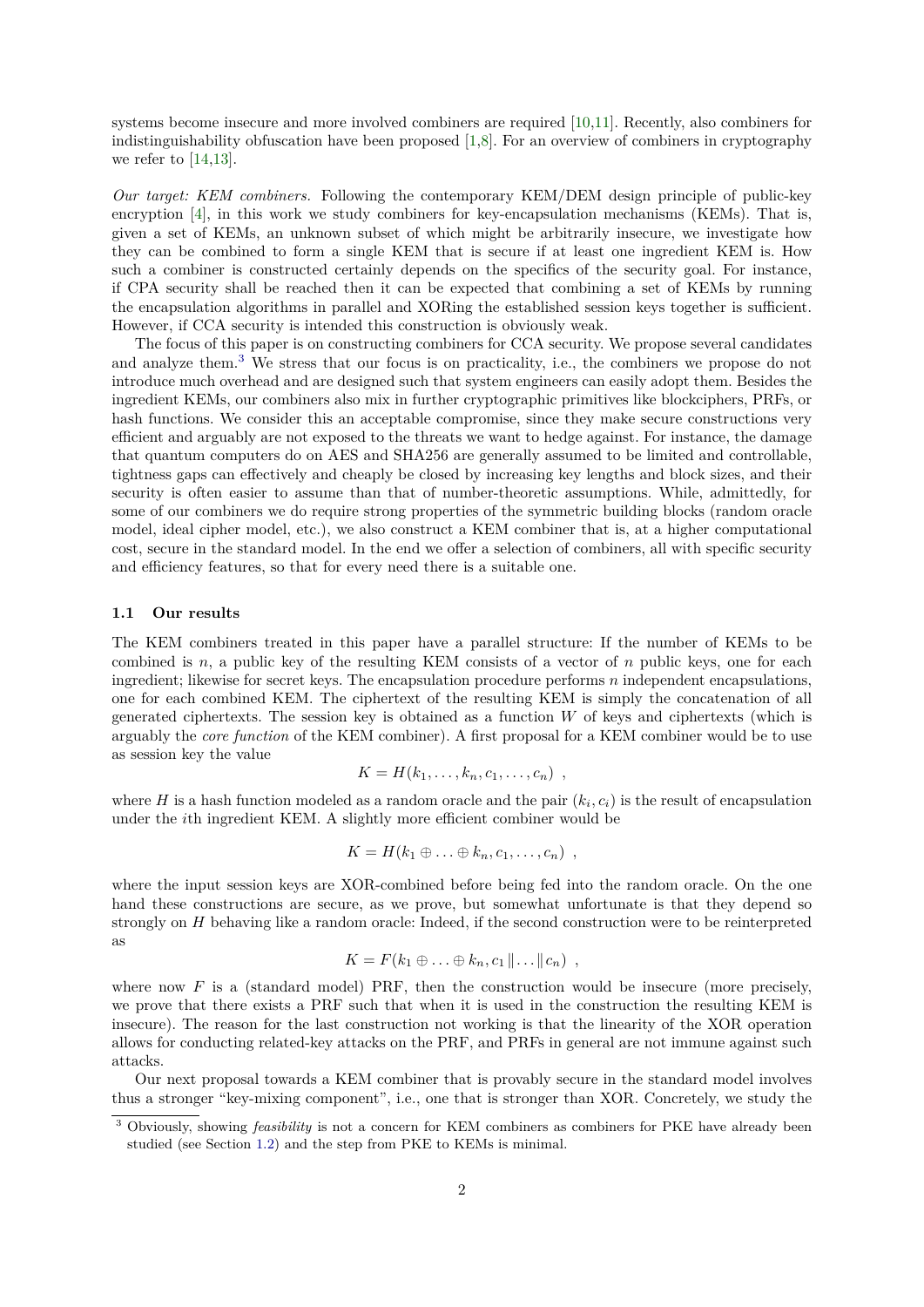systems become insecure and more involved combiners are required [\[10,](#page-28-3)[11\]](#page-28-4). Recently, also combiners for indistinguishability obfuscation have been proposed [\[1,](#page-28-5)[8\]](#page-28-6). For an overview of combiners in cryptography we refer to  $[14,13]$  $[14,13]$ .

*Our target: KEM combiners.* Following the contemporary KEM/DEM design principle of public-key encryption [\[4\]](#page-28-9), in this work we study combiners for key-encapsulation mechanisms (KEMs). That is, given a set of KEMs, an unknown subset of which might be arbitrarily insecure, we investigate how they can be combined to form a single KEM that is secure if at least one ingredient KEM is. How such a combiner is constructed certainly depends on the specifics of the security goal. For instance, if CPA security shall be reached then it can be expected that combining a set of KEMs by running the encapsulation algorithms in parallel and XORing the established session keys together is sufficient. However, if CCA security is intended this construction is obviously weak.

The focus of this paper is on constructing combiners for CCA security. We propose several candidates and analyze them.[3](#page-1-0) We stress that our focus is on practicality, i.e., the combiners we propose do not introduce much overhead and are designed such that system engineers can easily adopt them. Besides the ingredient KEMs, our combiners also mix in further cryptographic primitives like blockciphers, PRFs, or hash functions. We consider this an acceptable compromise, since they make secure constructions very efficient and arguably are not exposed to the threats we want to hedge against. For instance, the damage that quantum computers do on AES and SHA256 are generally assumed to be limited and controllable, tightness gaps can effectively and cheaply be closed by increasing key lengths and block sizes, and their security is often easier to assume than that of number-theoretic assumptions. While, admittedly, for some of our combiners we do require strong properties of the symmetric building blocks (random oracle model, ideal cipher model, etc.), we also construct a KEM combiner that is, at a higher computational cost, secure in the standard model. In the end we offer a selection of combiners, all with specific security and efficiency features, so that for every need there is a suitable one.

#### **1.1 Our results**

The KEM combiners treated in this paper have a parallel structure: If the number of KEMs to be combined is *n*, a public key of the resulting KEM consists of a vector of *n* public keys, one for each ingredient; likewise for secret keys. The encapsulation procedure performs *n* independent encapsulations, one for each combined KEM. The ciphertext of the resulting KEM is simply the concatenation of all generated ciphertexts. The session key is obtained as a function *W* of keys and ciphertexts (which is arguably the *core function* of the KEM combiner). A first proposal for a KEM combiner would be to use as session key the value

$$
K = H(k_1,\ldots,k_n,c_1,\ldots,c_n) ,
$$

where  $H$  is a hash function modeled as a random oracle and the pair  $(k_i, c_i)$  is the result of encapsulation under the *i*th ingredient KEM. A slightly more efficient combiner would be

$$
K = H(k_1 \oplus \ldots \oplus k_n, c_1, \ldots, c_n) ,
$$

where the input session keys are XOR-combined before being fed into the random oracle. On the one hand these constructions are secure, as we prove, but somewhat unfortunate is that they depend so strongly on *H* behaving like a random oracle: Indeed, if the second construction were to be reinterpreted as

$$
K = F(k_1 \oplus \ldots \oplus k_n, c_1 \| \ldots \| c_n) ,
$$

where now  $F$  is a (standard model) PRF, then the construction would be insecure (more precisely, we prove that there exists a PRF such that when it is used in the construction the resulting KEM is insecure). The reason for the last construction not working is that the linearity of the XOR operation allows for conducting related-key attacks on the PRF, and PRFs in general are not immune against such attacks.

Our next proposal towards a KEM combiner that is provably secure in the standard model involves thus a stronger "key-mixing component", i.e., one that is stronger than XOR. Concretely, we study the

<span id="page-1-0"></span><sup>3</sup> Obviously, showing *feasibility* is not a concern for KEM combiners as combiners for PKE have already been studied (see Section [1.2\)](#page-2-0) and the step from PKE to KEMs is minimal.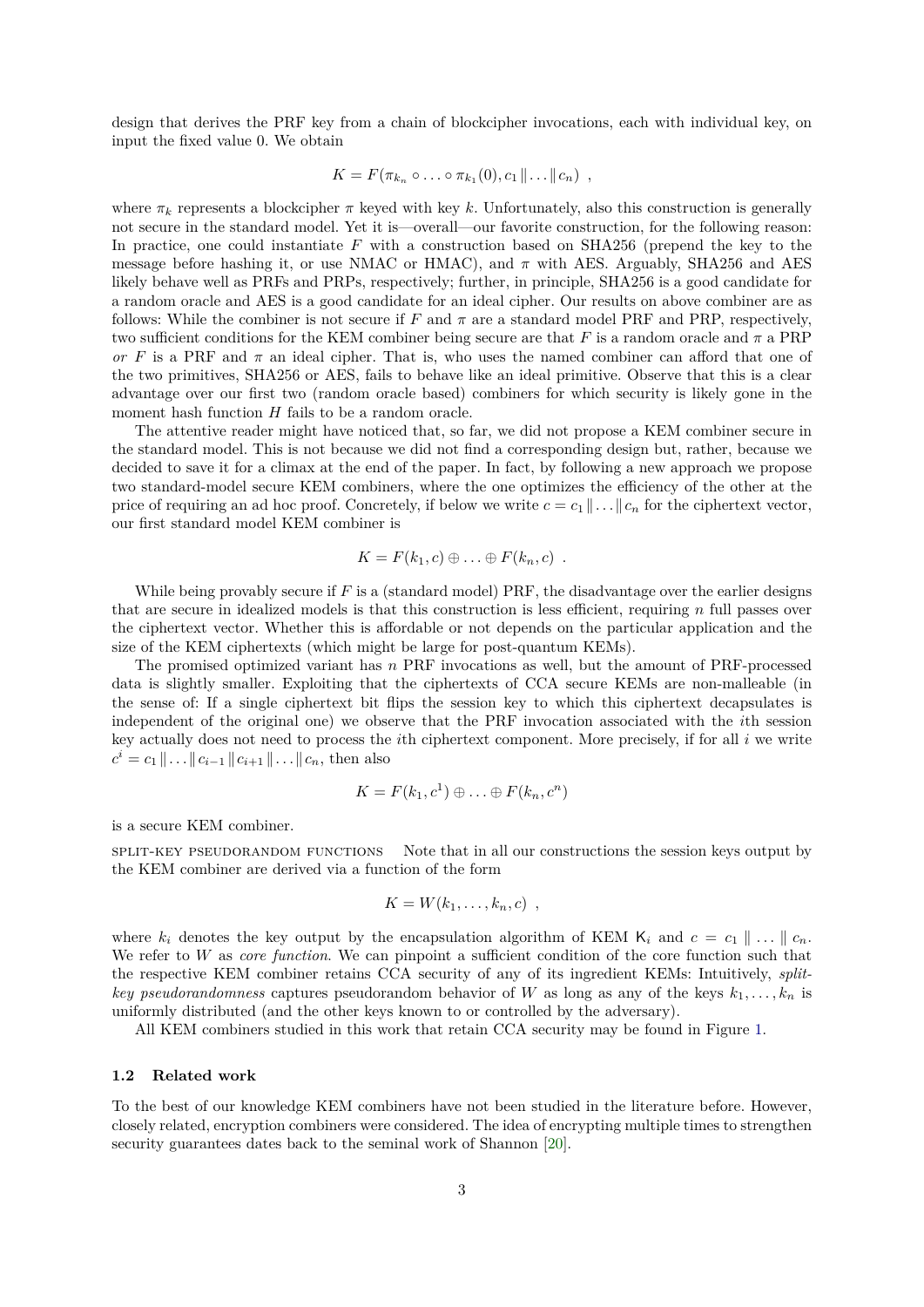design that derives the PRF key from a chain of blockcipher invocations, each with individual key, on input the fixed value 0. We obtain

$$
K = F(\pi_{k_n} \circ \ldots \circ \pi_{k_1}(0), c_1 \| \ldots \| c_n) ,
$$

where  $\pi_k$  represents a blockcipher  $\pi$  keyed with key k. Unfortunately, also this construction is generally not secure in the standard model. Yet it is—overall—our favorite construction, for the following reason: In practice, one could instantiate *F* with a construction based on SHA256 (prepend the key to the message before hashing it, or use NMAC or HMAC), and *π* with AES. Arguably, SHA256 and AES likely behave well as PRFs and PRPs, respectively; further, in principle, SHA256 is a good candidate for a random oracle and AES is a good candidate for an ideal cipher. Our results on above combiner are as follows: While the combiner is not secure if  $F$  and  $\pi$  are a standard model PRF and PRP, respectively, two sufficient conditions for the KEM combiner being secure are that *F* is a random oracle and *π* a PRP *or F* is a PRF and  $\pi$  an ideal cipher. That is, who uses the named combiner can afford that one of the two primitives, SHA256 or AES, fails to behave like an ideal primitive. Observe that this is a clear advantage over our first two (random oracle based) combiners for which security is likely gone in the moment hash function *H* fails to be a random oracle.

The attentive reader might have noticed that, so far, we did not propose a KEM combiner secure in the standard model. This is not because we did not find a corresponding design but, rather, because we decided to save it for a climax at the end of the paper. In fact, by following a new approach we propose two standard-model secure KEM combiners, where the one optimizes the efficiency of the other at the price of requiring an ad hoc proof. Concretely, if below we write  $c = c_1 || \dots || c_n$  for the ciphertext vector, our first standard model KEM combiner is

$$
K = F(k_1, c) \oplus \ldots \oplus F(k_n, c) \ .
$$

While being provably secure if  $F$  is a (standard model) PRF, the disadvantage over the earlier designs that are secure in idealized models is that this construction is less efficient, requiring *n* full passes over the ciphertext vector. Whether this is affordable or not depends on the particular application and the size of the KEM ciphertexts (which might be large for post-quantum KEMs).

The promised optimized variant has *n* PRF invocations as well, but the amount of PRF-processed data is slightly smaller. Exploiting that the ciphertexts of CCA secure KEMs are non-malleable (in the sense of: If a single ciphertext bit flips the session key to which this ciphertext decapsulates is independent of the original one) we observe that the PRF invocation associated with the *i*th session key actually does not need to process the *i*th ciphertext component. More precisely, if for all *i* we write  $c^i = c_1 || \dots || c_{i-1} || c_{i+1} || \dots || c_n$ , then also

$$
K = F(k_1, c^1) \oplus \ldots \oplus F(k_n, c^n)
$$

is a secure KEM combiner.

split-key pseudorandom functions Note that in all our constructions the session keys output by the KEM combiner are derived via a function of the form

$$
K=W(k_1,\ldots,k_n,c)
$$
,

where  $k_i$  denotes the key output by the encapsulation algorithm of KEM  $K_i$  and  $c = c_1 \parallel \ldots \parallel c_n$ . We refer to *W* as *core function*. We can pinpoint a sufficient condition of the core function such that the respective KEM combiner retains CCA security of any of its ingredient KEMs: Intuitively, *splitkey pseudorandomness* captures pseudorandom behavior of *W* as long as any of the keys  $k_1, \ldots, k_n$  is uniformly distributed (and the other keys known to or controlled by the adversary).

All KEM combiners studied in this work that retain CCA security may be found in Figure [1.](#page-3-0)

#### <span id="page-2-0"></span>**1.2 Related work**

To the best of our knowledge KEM combiners have not been studied in the literature before. However, closely related, encryption combiners were considered. The idea of encrypting multiple times to strengthen security guarantees dates back to the seminal work of Shannon [\[20\]](#page-28-10).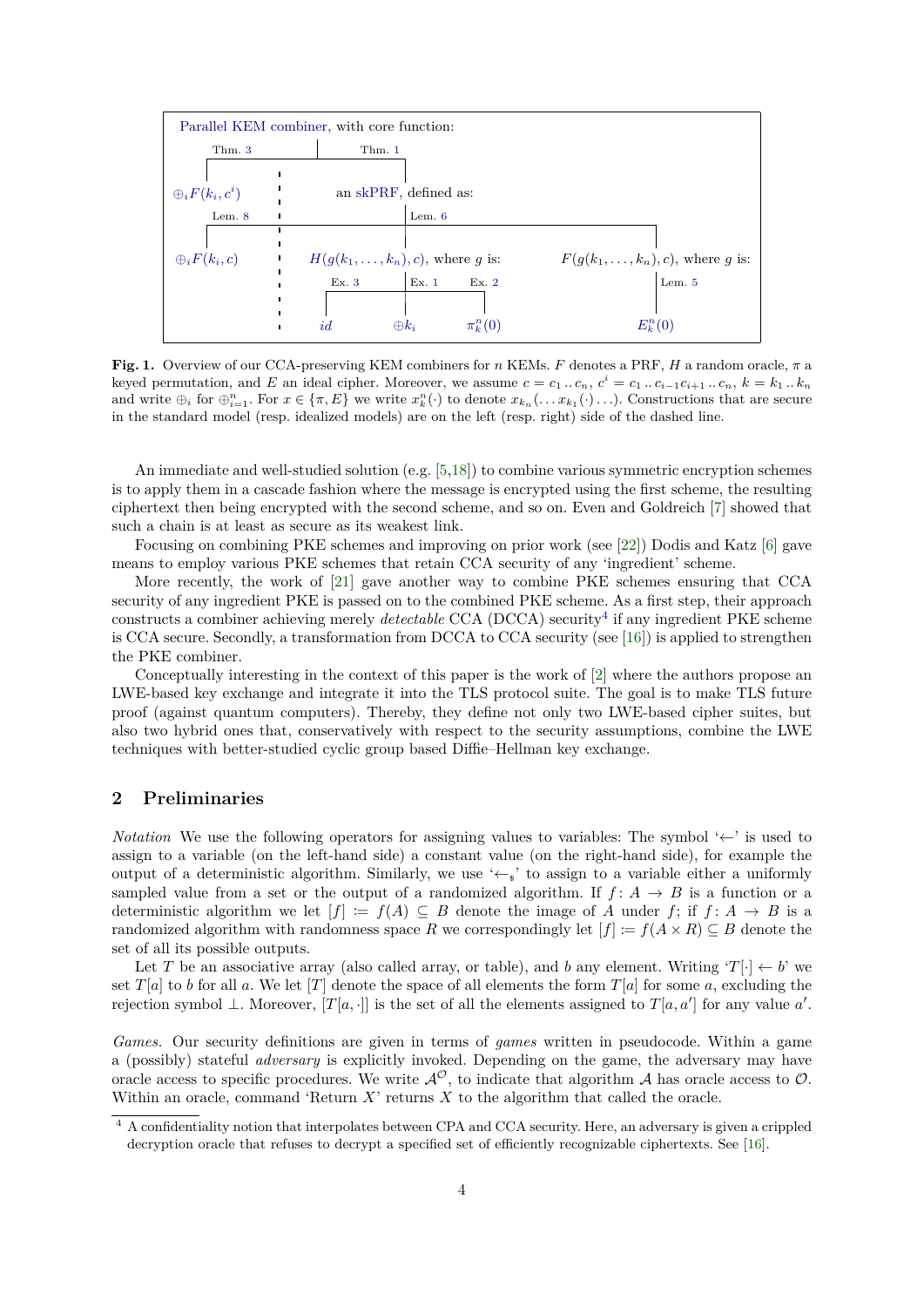

<span id="page-3-0"></span>**Fig. 1.** Overview of our CCA-preserving KEM combiners for *n* KEMs. *F* denotes a PRF, *H* a random oracle, *π* a keyed permutation, and E an ideal cipher. Moreover, we assume  $c = c_1 ... c_n$ ,  $c^i = c_1 ... c_{i-1} c_{i+1} ... c_n$ ,  $k = k_1 ... k_n$ and write  $\bigoplus_i$  for  $\bigoplus_{i=1}^n$ . For  $x \in {\pi, E}$  we write  $x_k^n(\cdot)$  to denote  $x_{k_n}(\ldots x_{k_1}(\cdot) \ldots)$ . Constructions that are secure in the standard model (resp. idealized models) are on the left (resp. right) side of the dashed line.

An immediate and well-studied solution (e.g. [\[5,](#page-28-11)[18\]](#page-28-12)) to combine various symmetric encryption schemes is to apply them in a cascade fashion where the message is encrypted using the first scheme, the resulting ciphertext then being encrypted with the second scheme, and so on. Even and Goldreich [\[7\]](#page-28-13) showed that such a chain is at least as secure as its weakest link.

Focusing on combining PKE schemes and improving on prior work (see [\[22\]](#page-28-14)) Dodis and Katz [\[6\]](#page-28-0) gave means to employ various PKE schemes that retain CCA security of any 'ingredient' scheme.

More recently, the work of [\[21\]](#page-28-1) gave another way to combine PKE schemes ensuring that CCA security of any ingredient PKE is passed on to the combined PKE scheme. As a first step, their approach constructs a combiner achieving merely *detectable* CCA (DCCA) security<sup>[4](#page-3-1)</sup> if any ingredient PKE scheme is CCA secure. Secondly, a transformation from DCCA to CCA security (see [\[16\]](#page-28-15)) is applied to strengthen the PKE combiner.

Conceptually interesting in the context of this paper is the work of [\[2\]](#page-28-16) where the authors propose an LWE-based key exchange and integrate it into the TLS protocol suite. The goal is to make TLS future proof (against quantum computers). Thereby, they define not only two LWE-based cipher suites, but also two hybrid ones that, conservatively with respect to the security assumptions, combine the LWE techniques with better-studied cyclic group based Diffie–Hellman key exchange.

# **2 Preliminaries**

*Notation* We use the following operators for assigning values to variables: The symbol '←' is used to assign to a variable (on the left-hand side) a constant value (on the right-hand side), for example the output of a deterministic algorithm. Similarly, we use ' $\leftarrow s$ ' to assign to a variable either a uniformly sampled value from a set or the output of a randomized algorithm. If  $f: A \rightarrow B$  is a function or a deterministic algorithm we let  $[f] := f(A) \subseteq B$  denote the image of *A* under *f*; if  $f: A \rightarrow B$  is a randomized algorithm with randomness space *R* we correspondingly let  $[f] := f(A \times R) \subseteq B$  denote the set of all its possible outputs.

Let *T* be an associative array (also called array, or table), and *b* any element. Writing ' $T[\cdot] \leftarrow b'$  we set  $T[a]$  to *b* for all *a*. We let [*T*] denote the space of all elements the form  $T[a]$  for some *a*, excluding the rejection symbol  $\perp$ . Moreover, [*T*[*a*, ·]] is the set of all the elements assigned to *T*[*a*, *a*'] for any value *a'*.

*Games.* Our security definitions are given in terms of *games* written in pseudocode. Within a game a (possibly) stateful *adversary* is explicitly invoked. Depending on the game, the adversary may have oracle access to specific procedures. We write  $\mathcal{A}^{\mathcal{O}}$ , to indicate that algorithm  $\mathcal{A}$  has oracle access to  $\mathcal{O}$ . Within an oracle, command 'Return *X*' returns *X* to the algorithm that called the oracle.

<span id="page-3-1"></span><sup>4</sup> A confidentiality notion that interpolates between CPA and CCA security. Here, an adversary is given a crippled decryption oracle that refuses to decrypt a specified set of efficiently recognizable ciphertexts. See [\[16\]](#page-28-15).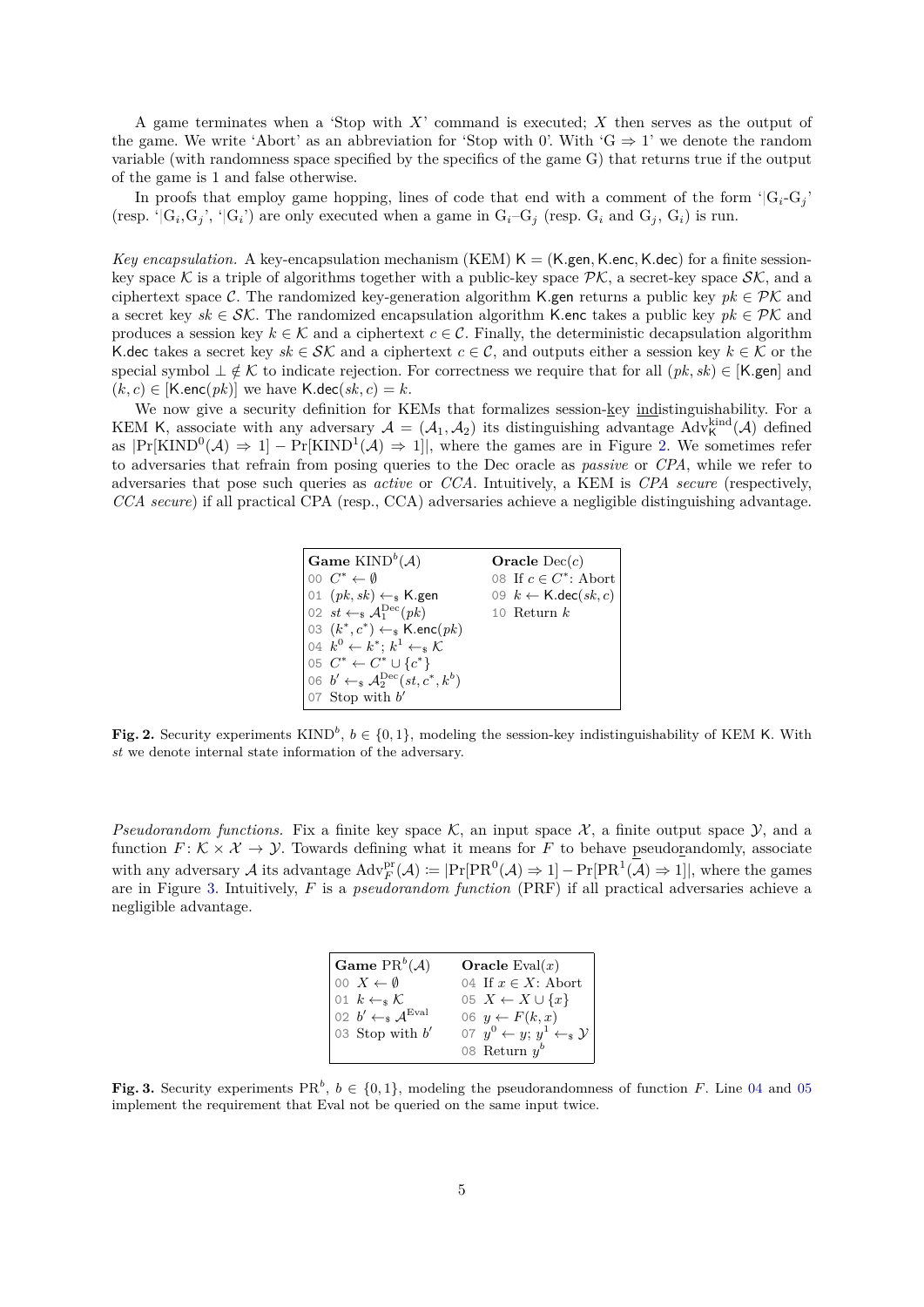A game terminates when a 'Stop with *X*' command is executed; *X* then serves as the output of the game. We write 'Abort' as an abbreviation for 'Stop with 0'. With ' $G \Rightarrow 1$ ' we denote the random variable (with randomness space specified by the specifics of the game G) that returns true if the output of the game is 1 and false otherwise.

In proofs that employ game hopping, lines of code that end with a comment of the form  ${}^{\circ}|G_i-G_j\rangle$ (resp. ' $|G_i, G_j$ ', ' $|G_i\rangle$  are only executed when a game in  $G_i-G_j$  (resp.  $G_i$  and  $G_j, G_i$ ) is run.

*Key encapsulation.* A key-encapsulation mechanism (KEM)  $K = (K \text{gen}, K \text{.enc}, K \text{.dec})$  for a finite sessionkey space K is a triple of algorithms together with a public-key space  $\mathcal{PK}$ , a secret-key space  $\mathcal{SK}$ , and a ciphertext space C. The randomized key-generation algorithm K.gen returns a public key  $pk \in \mathcal{PK}$  and a secret key  $sk \in \mathcal{SK}$ . The randomized encapsulation algorithm K.enc takes a public key  $pk \in \mathcal{PK}$  and produces a session key  $k \in \mathcal{K}$  and a ciphertext  $c \in \mathcal{C}$ . Finally, the deterministic decapsulation algorithm K.dec takes a secret key  $sk \in \mathcal{SK}$  and a ciphertext  $c \in \mathcal{C}$ , and outputs either a session key  $k \in \mathcal{K}$  or the special symbol  $\perp \notin \mathcal{K}$  to indicate rejection. For correctness we require that for all  $(pk, sk) \in [\mathsf{K}$  gen] and  $(k, c) \in [K.\text{enc}(pk)]$  we have  $K.\text{dec}(sk, c) = k$ .

We now give a security definition for KEMs that formalizes session-key indistinguishability. For a KEM K, associate with any adversary  $A = (A_1, A_2)$  its distinguishing advantage  $\text{Adv}_{\mathsf{K}}^{\text{kind}}(\mathcal{A})$  defined as  $|\Pr[\text{KIND}^0(\mathcal{A}) \Rightarrow 1] - \Pr[\text{KIND}^1(\mathcal{A}) \Rightarrow 1]$ , where the games are in Figure [2.](#page-4-0) We sometimes refer to adversaries that refrain from posing queries to the Dec oracle as *passive* or *CPA*, while we refer to adversaries that pose such queries as *active* or *CCA*. Intuitively, a KEM is *CPA secure* (respectively, *CCA secure*) if all practical CPA (resp., CCA) adversaries achieve a negligible distinguishing advantage.



<span id="page-4-0"></span>**Fig. 2.** Security experiments KIND<sup>b</sup>,  $b \in \{0,1\}$ , modeling the session-key indistinguishability of KEM K. With *st* we denote internal state information of the adversary.

*Pseudorandom functions.* Fix a finite key space  $\mathcal{K}$ , an input space  $\mathcal{X}$ , a finite output space  $\mathcal{Y}$ , and a function  $F: K \times \mathcal{X} \to \mathcal{Y}$ . Towards defining what it means for F to behave pseudorandomly, associate with any adversary A its advantage  $Adv_F^{pr}(\mathcal{A}) \coloneqq |\Pr[PR^0(\mathcal{A}) \Rightarrow 1] - Pr[PR^1(\mathcal{A}) \Rightarrow 1]|$ , where the games are in Figure [3.](#page-4-1) Intuitively, *F* is a *pseudorandom function* (PRF) if all practical adversaries achieve a negligible advantage.

<span id="page-4-3"></span><span id="page-4-2"></span>

| $\mathbf{Game} \ \mathrm{PR}^b(\mathcal{A})$                                                           | Oracle $Eval(x)$                             |
|--------------------------------------------------------------------------------------------------------|----------------------------------------------|
| $[00 X \leftarrow \emptyset]$                                                                          | 04 If $x \in X$ : Abort                      |
|                                                                                                        | 05 $X \leftarrow X \cup \{x\}$               |
|                                                                                                        | 06 $y \leftarrow F(k, x)$                    |
| 01 $k \leftarrow_s \mathcal{K}$<br>02 $b' \leftarrow_s \mathcal{A}^{\text{Eval}}$<br>03 Stop with $b'$ | 07 $y^0 \leftarrow y$ ; $y^1 \leftarrow_s y$ |
|                                                                                                        | 08 Return $y^b$                              |

<span id="page-4-1"></span>**Fig. 3.** Security experiments  $PR^b$ ,  $b \in \{0, 1\}$ , modeling the pseudorandomness of function *F*. Line [04](#page-4-2) and [05](#page-4-3) implement the requirement that Eval not be queried on the same input twice.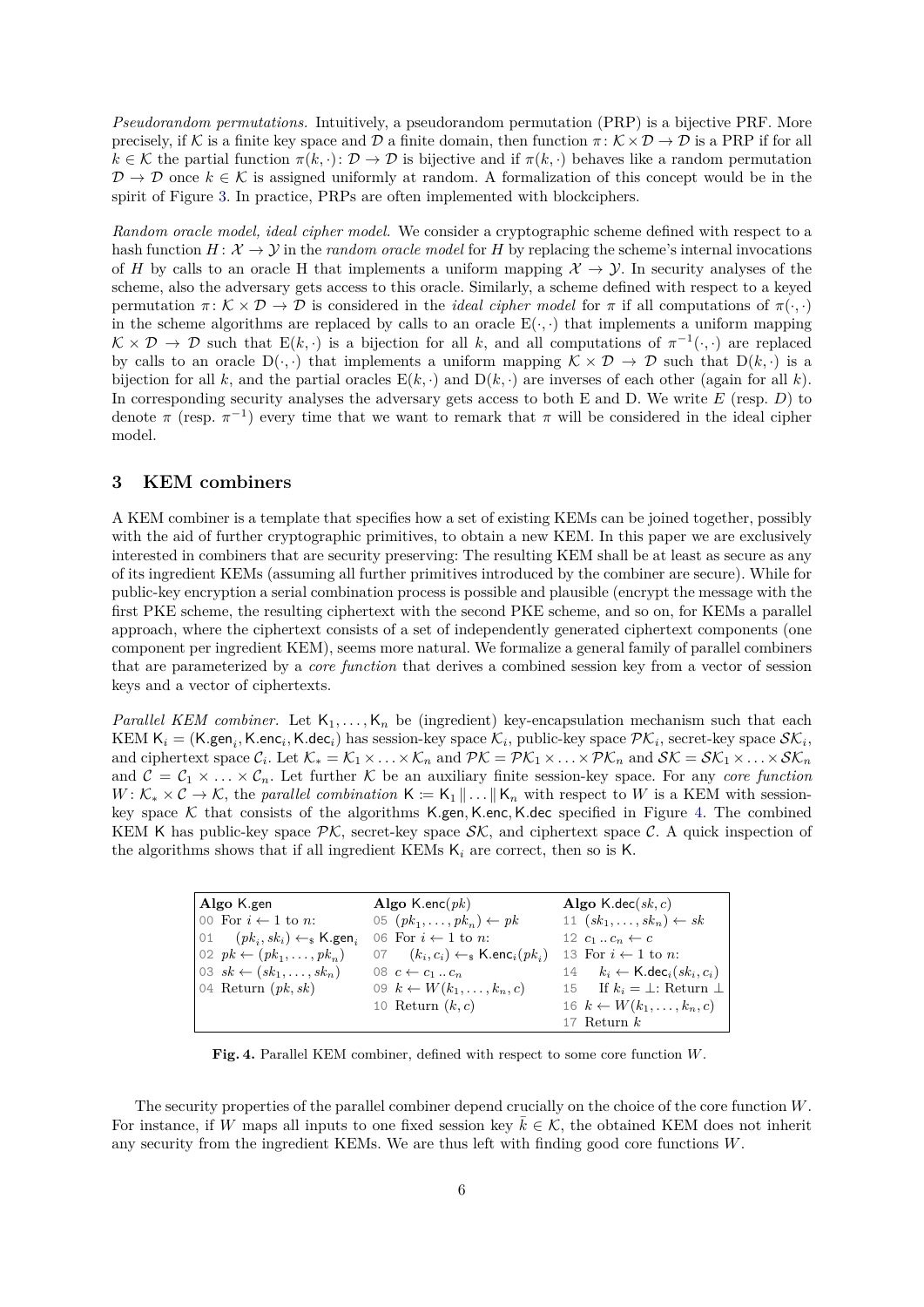*Pseudorandom permutations.* Intuitively, a pseudorandom permutation (PRP) is a bijective PRF. More precisely, if K is a finite key space and D a finite domain, then function  $\pi: K \times D \to D$  is a PRP if for all  $k \in \mathcal{K}$  the partial function  $\pi(k, \cdot) : \mathcal{D} \to \mathcal{D}$  is bijective and if  $\pi(k, \cdot)$  behaves like a random permutation  $\mathcal{D} \to \mathcal{D}$  once  $k \in \mathcal{K}$  is assigned uniformly at random. A formalization of this concept would be in the spirit of Figure [3.](#page-4-1) In practice, PRPs are often implemented with blockciphers.

*Random oracle model, ideal cipher model.* We consider a cryptographic scheme defined with respect to a hash function  $H: \mathcal{X} \to \mathcal{Y}$  in the *random oracle model* for *H* by replacing the scheme's internal invocations of *H* by calls to an oracle H that implements a uniform mapping  $\mathcal{X} \to \mathcal{Y}$ . In security analyses of the scheme, also the adversary gets access to this oracle. Similarly, a scheme defined with respect to a keyed permutation  $\pi: \mathcal{K} \times \mathcal{D} \to \mathcal{D}$  is considered in the *ideal cipher model* for  $\pi$  if all computations of  $\pi(\cdot, \cdot)$ in the scheme algorithms are replaced by calls to an oracle  $E(\cdot, \cdot)$  that implements a uniform mapping  $K \times D \to D$  such that  $E(k, \cdot)$  is a bijection for all k, and all computations of  $\pi^{-1}(\cdot, \cdot)$  are replaced by calls to an oracle  $D(\cdot, \cdot)$  that implements a uniform mapping  $\mathcal{K} \times \mathcal{D} \to \mathcal{D}$  such that  $D(k, \cdot)$  is a bijection for all *k*, and the partial oracles  $E(k, \cdot)$  and  $D(k, \cdot)$  are inverses of each other (again for all *k*). In corresponding security analyses the adversary gets access to both E and D. We write *E* (resp. *D*) to denote  $\pi$  (resp.  $\pi^{-1}$ ) every time that we want to remark that  $\pi$  will be considered in the ideal cipher model.

# **3 KEM combiners**

A KEM combiner is a template that specifies how a set of existing KEMs can be joined together, possibly with the aid of further cryptographic primitives, to obtain a new KEM. In this paper we are exclusively interested in combiners that are security preserving: The resulting KEM shall be at least as secure as any of its ingredient KEMs (assuming all further primitives introduced by the combiner are secure). While for public-key encryption a serial combination process is possible and plausible (encrypt the message with the first PKE scheme, the resulting ciphertext with the second PKE scheme, and so on, for KEMs a parallel approach, where the ciphertext consists of a set of independently generated ciphertext components (one component per ingredient KEM), seems more natural. We formalize a general family of parallel combiners that are parameterized by a *core function* that derives a combined session key from a vector of session keys and a vector of ciphertexts.

<span id="page-5-0"></span>*Parallel KEM combiner.* Let  $K_1, \ldots, K_n$  be (ingredient) key-encapsulation mechanism such that each KEM  $\mathsf{K}_i = (\mathsf{K}.\mathsf{gen}_i, \mathsf{K}.\mathsf{enc}_i, \mathsf{K}.\mathsf{dec}_i)$  has session-key space  $\mathcal{K}_i$ , public-key space  $\mathcal{PK}_i$ , secret-key space  $\mathcal{SK}_i$ , and ciphertext space  $\mathcal{C}_i$ . Let  $\mathcal{K}_* = \mathcal{K}_1 \times \ldots \times \mathcal{K}_n$  and  $\mathcal{PK} = \mathcal{PK}_1 \times \ldots \times \mathcal{PK}_n$  and  $\mathcal{SK} = \mathcal{SK}_1 \times \ldots \times \mathcal{SK}_n$ and  $\mathcal{C} = \mathcal{C}_1 \times \ldots \times \mathcal{C}_n$ . Let further K be an auxiliary finite session-key space. For any *core function*  $W: \mathcal{K}_* \times \mathcal{C} \to \mathcal{K}$ , the *parallel combination*  $\mathsf{K} := \mathsf{K}_1 \|\ldots\| \mathsf{K}_n$  with respect to *W* is a KEM with sessionkey space K that consists of the algorithms K*.*gen*,*K*.*enc*,*K*.*dec specified in Figure [4.](#page-5-1) The combined KEM K has public-key space  $\mathcal{PK}$ , secret-key space  $\mathcal{SK}$ , and ciphertext space C. A quick inspection of the algorithms shows that if all ingredient KEMs K*<sup>i</sup>* are correct, then so is K.

| Algo K.gen                                               | Algo K.enc $(\,pk)$                                          | Algo K.dec $(sk, c)$                          |
|----------------------------------------------------------|--------------------------------------------------------------|-----------------------------------------------|
| $\vert$ 00 For $i \leftarrow 1$ to <i>n</i> :            | 05 $(pk_1, \ldots, pk_n) \leftarrow pk$                      | 11 $(sk_1, \ldots, sk_n) \leftarrow sk$       |
| $ 01 \quad (pk_i, sk_i) \leftarrow s$ K.gen <sub>i</sub> | 06 For $i \leftarrow 1$ to <i>n</i> :                        | 12 $c_1 \ldots c_n \leftarrow c$              |
| $\big  02 \text{ } pk \leftarrow (pk_1, \ldots, pk_n)$   | 07 $(k_i, c_i) \leftarrow_s \mathsf{K}.\mathsf{enc}_i(pk_i)$ | 13 For $i \leftarrow 1$ to n:                 |
| $\vert$ 03 $sk \leftarrow (sk_1, \ldots, sk_n)$          | 08 $c \leftarrow c_1 \dots c_n$                              | 14 $k_i \leftarrow \text{K-dec}_i(sk_i, c_i)$ |
| 04 Return $(pk, sk)$                                     | 09 $k \leftarrow W(k_1, \ldots, k_n, c)$                     | 15 If $k_i = \perp$ : Return $\perp$          |
|                                                          | 10 Return $(k, c)$                                           | 16 $k \leftarrow W(k_1, \ldots, k_n, c)$      |
|                                                          |                                                              | $17$ Return $k$                               |

<span id="page-5-1"></span>**Fig. 4.** Parallel KEM combiner, defined with respect to some core function *W*.

The security properties of the parallel combiner depend crucially on the choice of the core function *W*. For instance, if *W* maps all inputs to one fixed session key  $\bar{k} \in \mathcal{K}$ , the obtained KEM does not inherit any security from the ingredient KEMs. We are thus left with finding good core functions *W*.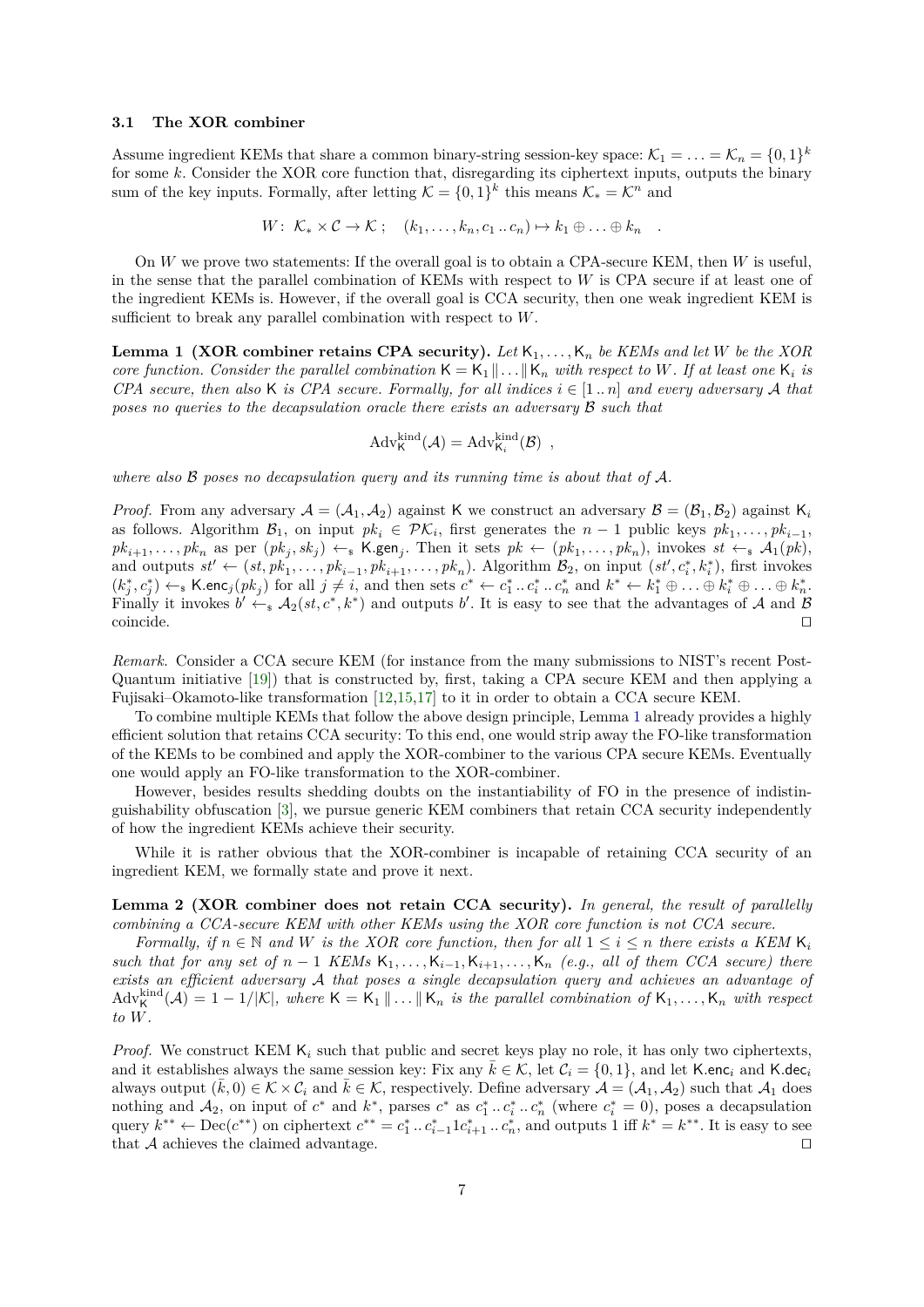## <span id="page-6-1"></span>**3.1 The XOR combiner**

Assume ingredient KEMs that share a common binary-string session-key space:  $\mathcal{K}_1 = \ldots = \mathcal{K}_n = \{0,1\}^k$ for some *k*. Consider the XOR core function that, disregarding its ciphertext inputs, outputs the binary sum of the key inputs. Formally, after letting  $\mathcal{K} = \{0, 1\}^k$  this means  $\mathcal{K}_* = \mathcal{K}^n$  and

$$
W: \mathcal{K}_* \times \mathcal{C} \to \mathcal{K}; \quad (k_1, \ldots, k_n, c_1 \ldots c_n) \mapsto k_1 \oplus \ldots \oplus k_n \quad .
$$

On *W* we prove two statements: If the overall goal is to obtain a CPA-secure KEM, then *W* is useful, in the sense that the parallel combination of KEMs with respect to *W* is CPA secure if at least one of the ingredient KEMs is. However, if the overall goal is CCA security, then one weak ingredient KEM is sufficient to break any parallel combination with respect to *W*.

<span id="page-6-0"></span>**Lemma 1 (XOR combiner retains CPA security).** *Let* K1*, . . . ,*K*<sup>n</sup> be KEMs and let W be the XOR core function. Consider the parallel combination*  $K = K_1 || \dots || K_n$  *with respect to W. If at least one*  $K_i$  *is CPA secure, then also* K *is CPA secure. Formally, for all indices*  $i \in [1..n]$  *and every adversary* A *that poses no queries to the decapsulation oracle there exists an adversary* B *such that*

$$
Adv_{\mathsf{K}}^{\text{kind}}(\mathcal{A}) = Adv_{\mathsf{K}_i}^{\text{kind}}(\mathcal{B}) ,
$$

*where also* B *poses no decapsulation query and its running time is about that of* A*.*

*Proof.* From any adversary  $A = (A_1, A_2)$  against K we construct an adversary  $B = (B_1, B_2)$  against K<sub>i</sub> as follows. Algorithm  $\mathcal{B}_1$ , on input  $pk_i \in \mathcal{PK}_i$ , first generates the  $n-1$  public keys  $pk_1, \ldots, pk_{i-1}$ ,  $pk_{i+1},\ldots,pk_n$  as per  $(pk_j, sk_j) \leftarrow_k \mathsf{K}.\mathsf{gen}_j$ . Then it sets  $pk \leftarrow (pk_1,\ldots,pk_n)$ , invokes  $st \leftarrow_k \mathcal{A}_1(pk)$ , and outputs  $st' \leftarrow (st, pk_1, \ldots, pk_{i-1}, pk_{i+1}, \ldots, pk_n)$ . Algorithm  $B_2$ , on input  $(st', c_i^*, k_i^*)$ , first invokes  $(k_j^*, c_j^*) \leftarrow_s \textsf{K.enc}_j(pk_j)$  for all  $j \neq i$ , and then sets  $c^* \leftarrow c_1^* \dots c_i^* \dots c_n^*$  and  $k^* \leftarrow k_1^* \oplus \dots \oplus k_i^* \oplus \dots \oplus k_n^*$ . Finally it invokes  $b' \leftarrow_s A_2(st, c^*, k^*)$  and outputs *b'*. It is easy to see that the advantages of A and B  $\Box$ coincide.  $\Box$ 

*Remark.* Consider a CCA secure KEM (for instance from the many submissions to NIST's recent Post-Quantum initiative [\[19\]](#page-28-17)) that is constructed by, first, taking a CPA secure KEM and then applying a Fujisaki–Okamoto-like transformation [\[12,](#page-28-18)[15,](#page-28-19)[17\]](#page-28-20) to it in order to obtain a CCA secure KEM.

To combine multiple KEMs that follow the above design principle, Lemma [1](#page-6-0) already provides a highly efficient solution that retains CCA security: To this end, one would strip away the FO-like transformation of the KEMs to be combined and apply the XOR-combiner to the various CPA secure KEMs. Eventually one would apply an FO-like transformation to the XOR-combiner.

However, besides results shedding doubts on the instantiability of FO in the presence of indistinguishability obfuscation [\[3\]](#page-28-21), we pursue generic KEM combiners that retain CCA security independently of how the ingredient KEMs achieve their security.

While it is rather obvious that the XOR-combiner is incapable of retaining CCA security of an ingredient KEM, we formally state and prove it next.

**Lemma 2 (XOR combiner does not retain CCA security).** *In general, the result of parallelly combining a CCA-secure KEM with other KEMs using the XOR core function is not CCA secure.*

*Formally, if*  $n \in \mathbb{N}$  *and W is the XOR core function, then for all*  $1 \leq i \leq n$  *there exists a KEM*  $K_i$ *such that for any set of*  $n-1$  *KEMs*  $K_1, \ldots, K_{i-1}, K_{i+1}, \ldots, K_n$  (e.g., all of them CCA secure) there *exists an efficient adversary* A *that poses a single decapsulation query and achieves an advantage of*  $\text{Adv}_{\mathsf{K}}^{\text{kind}}(\mathcal{A}) = 1 - 1/|\mathcal{K}|$ , where  $\mathsf{K} = \mathsf{K}_1 \| \dots \| \mathsf{K}_n$  is the parallel combination of  $\mathsf{K}_1, \dots, \mathsf{K}_n$  with respect *to W.*

*Proof.* We construct KEM  $K_i$  such that public and secret keys play no role, it has only two ciphertexts, and it establishes always the same session key: Fix any  $\bar{k} \in \mathcal{K}$ , let  $\mathcal{C}_i = \{0, 1\}$ , and let K.enc<sub>*i*</sub> and K.dec<sub>*i*</sub> always output  $(\bar{k}, 0) \in \mathcal{K} \times \mathcal{C}_i$  and  $\bar{k} \in \mathcal{K}$ , respectively. Define adversary  $\mathcal{A} = (\mathcal{A}_1, \mathcal{A}_2)$  such that  $\mathcal{A}_1$  does nothing and  $A_2$ , on input of  $c^*$  and  $k^*$ , parses  $c^*$  as  $c_1^* \tcdot c_i^* \tcdot c_n^*$  (where  $c_i^* = 0$ ), poses a decapsulation query  $k^{**} \leftarrow \text{Dec}(c^{**})$  on ciphertext  $c^{**} = c_1^* \dots c_{i-1}^* 1 c_{i+1}^* \dots c_n^*$ , and outputs 1 iff  $k^* = k^{**}$ . It is easy to see that  $A$  achieves the claimed advantage.  $\square$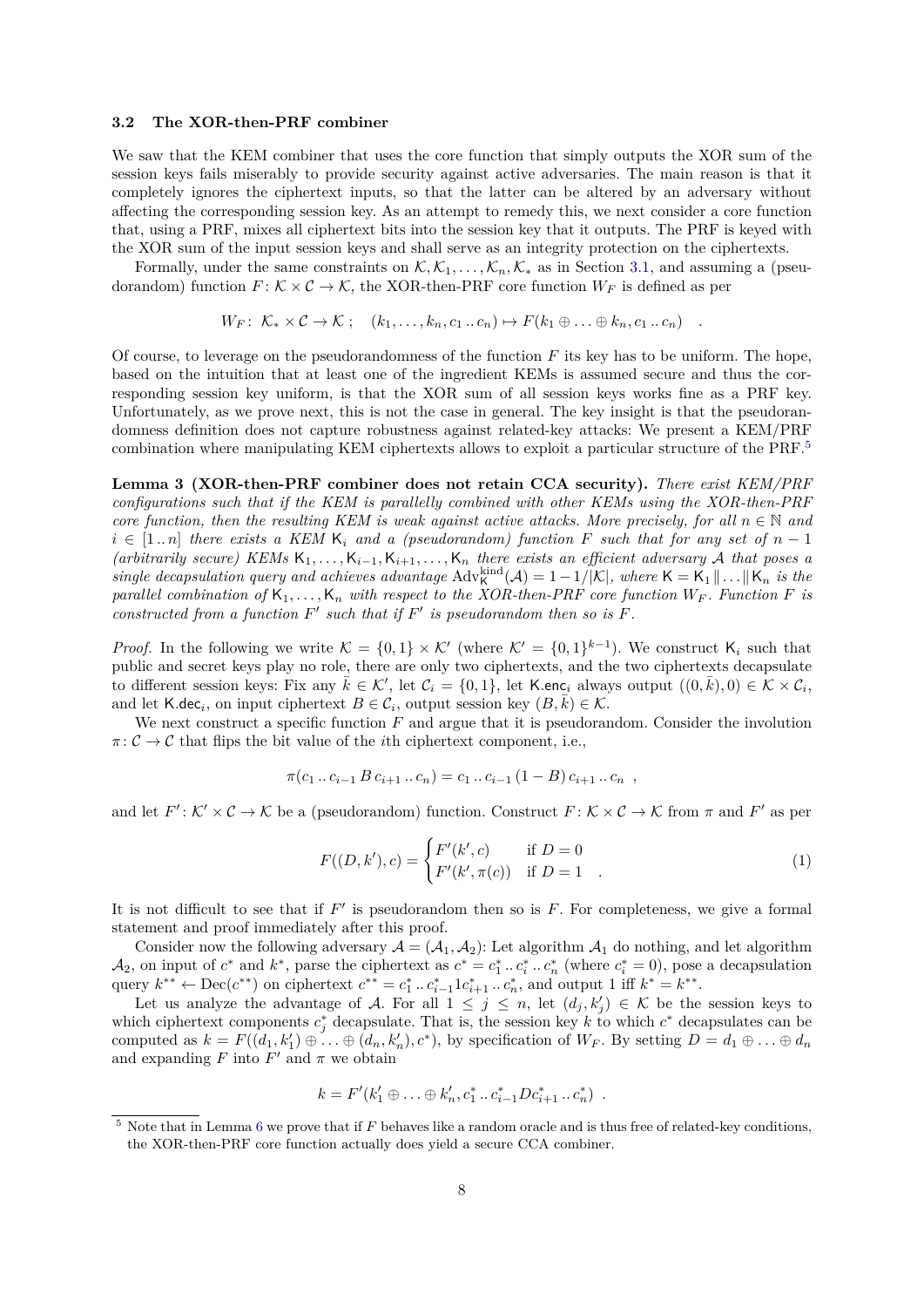# **3.2 The XOR-then-PRF combiner**

We saw that the KEM combiner that uses the core function that simply outputs the XOR sum of the session keys fails miserably to provide security against active adversaries. The main reason is that it completely ignores the ciphertext inputs, so that the latter can be altered by an adversary without affecting the corresponding session key. As an attempt to remedy this, we next consider a core function that, using a PRF, mixes all ciphertext bits into the session key that it outputs. The PRF is keyed with the XOR sum of the input session keys and shall serve as an integrity protection on the ciphertexts.

Formally, under the same constraints on  $\mathcal{K}, \mathcal{K}_1, \ldots, \mathcal{K}_n, \mathcal{K}_*$  as in Section [3.1,](#page-6-1) and assuming a (pseudorandom) function  $F: \mathcal{K} \times \mathcal{C} \to \mathcal{K}$ , the XOR-then-PRF core function  $W_F$  is defined as per

$$
W_F: \ \mathcal{K}_* \times \mathcal{C} \to \mathcal{K} \ ; \quad (k_1, \ldots, k_n, c_1 \ldots c_n) \mapsto F(k_1 \oplus \ldots \oplus k_n, c_1 \ldots c_n) \quad .
$$

Of course, to leverage on the pseudorandomness of the function *F* its key has to be uniform. The hope, based on the intuition that at least one of the ingredient KEMs is assumed secure and thus the corresponding session key uniform, is that the XOR sum of all session keys works fine as a PRF key. Unfortunately, as we prove next, this is not the case in general. The key insight is that the pseudorandomness definition does not capture robustness against related-key attacks: We present a KEM/PRF combination where manipulating KEM ciphertexts allows to exploit a particular structure of the PRF.[5](#page-7-0)

<span id="page-7-2"></span>**Lemma 3 (XOR-then-PRF combiner does not retain CCA security).** *There exist KEM/PRF configurations such that if the KEM is parallelly combined with other KEMs using the XOR-then-PRF core function, then the resulting KEM is weak against active attacks. More precisely, for all*  $n \in \mathbb{N}$  and  $i \in [1..n]$  *there exists a KEM* K<sub>i</sub> *and a (pseudorandom) function*  $F$  *such that for any set of*  $n-1$  $(arbitrarily secure)$  KEMs  $K_1, \ldots, K_{i-1}, K_{i+1}, \ldots, K_n$  there exists an efficient adversary A that poses a *single decapsulation query and achieves advantage*  $Adv_{\mathsf{K}}^{\text{kind}}(\mathcal{A}) = 1 - 1/|\mathcal{K}|$ *, where*  $\mathsf{K} = \mathsf{K}_1 \| \dots \| \mathsf{K}_n$  *is the parallel combination of*  $K_1, \ldots, K_n$  *with respect to the XOR-then-PRF core function*  $W_F$ *. Function*  $F$  *is* constructed from a function  $F'$  such that if  $F'$  is pseudorandom then so is  $F$ .

*Proof.* In the following we write  $K = \{0,1\} \times K'$  (where  $K' = \{0,1\}^{k-1}$ ). We construct  $K_i$  such that public and secret keys play no role, there are only two ciphertexts, and the two ciphertexts decapsulate to different session keys: Fix any  $\bar{k} \in \mathcal{K}'$ , let  $\mathcal{C}_i = \{0,1\}$ , let K.enc<sub>*i*</sub> always output  $((0,\bar{k}),0) \in \mathcal{K} \times \mathcal{C}_i$ , and let K.dec<sub>*i*</sub>, on input ciphertext  $B \in C_i$ , output session key  $(B, \overline{k}) \in K$ .

We next construct a specific function *F* and argue that it is pseudorandom. Consider the involution  $\pi: \mathcal{C} \to \mathcal{C}$  that flips the bit value of the *i*th ciphertext component, i.e.,

$$
\pi(c_1 \ldots c_{i-1} \, B \, c_{i+1} \ldots c_n) = c_1 \ldots c_{i-1} \, (1-B) \, c_{i+1} \ldots c_n \ ,
$$

and let  $F' : \mathcal{K}' \times \mathcal{C} \to \mathcal{K}$  be a (pseudorandom) function. Construct  $F : \mathcal{K} \times \mathcal{C} \to \mathcal{K}$  from  $\pi$  and  $F'$  as per

<span id="page-7-1"></span>
$$
F((D, k'), c) = \begin{cases} F'(k', c) & \text{if } D = 0\\ F'(k', \pi(c)) & \text{if } D = 1 \end{cases}
$$
 (1)

It is not difficult to see that if  $F'$  is pseudorandom then so is  $F$ . For completeness, we give a formal statement and proof immediately after this proof.

Consider now the following adversary  $A = (A_1, A_2)$ : Let algorithm  $A_1$  do nothing, and let algorithm  $\mathcal{A}_2$ , on input of  $c^*$  and  $k^*$ , parse the ciphertext as  $c^* = c_1^* \dots c_n^* \dots c_n^*$  (where  $c_i^* = 0$ ), pose a decapsulation query  $k^{**} \leftarrow \text{Dec}(c^{**})$  on ciphertext  $c^{**} = c_1^* \dots c_{i-1}^* 1 c_{i+1}^* \dots c_n^*$ , and output 1 iff  $k^* = k^{**}$ .

Let us analyze the advantage of A. For all  $1 \leq j \leq n$ , let  $(d_j, k'_j) \in \mathcal{K}$  be the session keys to which ciphertext components  $c_j^*$  decapsulate. That is, the session key k to which  $c^*$  decapsulates can be computed as  $k = F((d_1, k'_1) \oplus \ldots \oplus (d_n, k'_n), c^*)$ , by specification of  $W_F$ . By setting  $D = d_1 \oplus \ldots \oplus d_n$ and expanding  $F$  into  $F'$  and  $\pi$  we obtain

$$
k = F'(k'_1 \oplus \ldots \oplus k'_n, c_1^* \ldots c_{i-1}^* D c_{i+1}^* \ldots c_n^*) .
$$

<span id="page-7-0"></span><sup>5</sup> Note that in Lemma [6](#page-21-1) we prove that if *F* behaves like a random oracle and is thus free of related-key conditions, the XOR-then-PRF core function actually does yield a secure CCA combiner.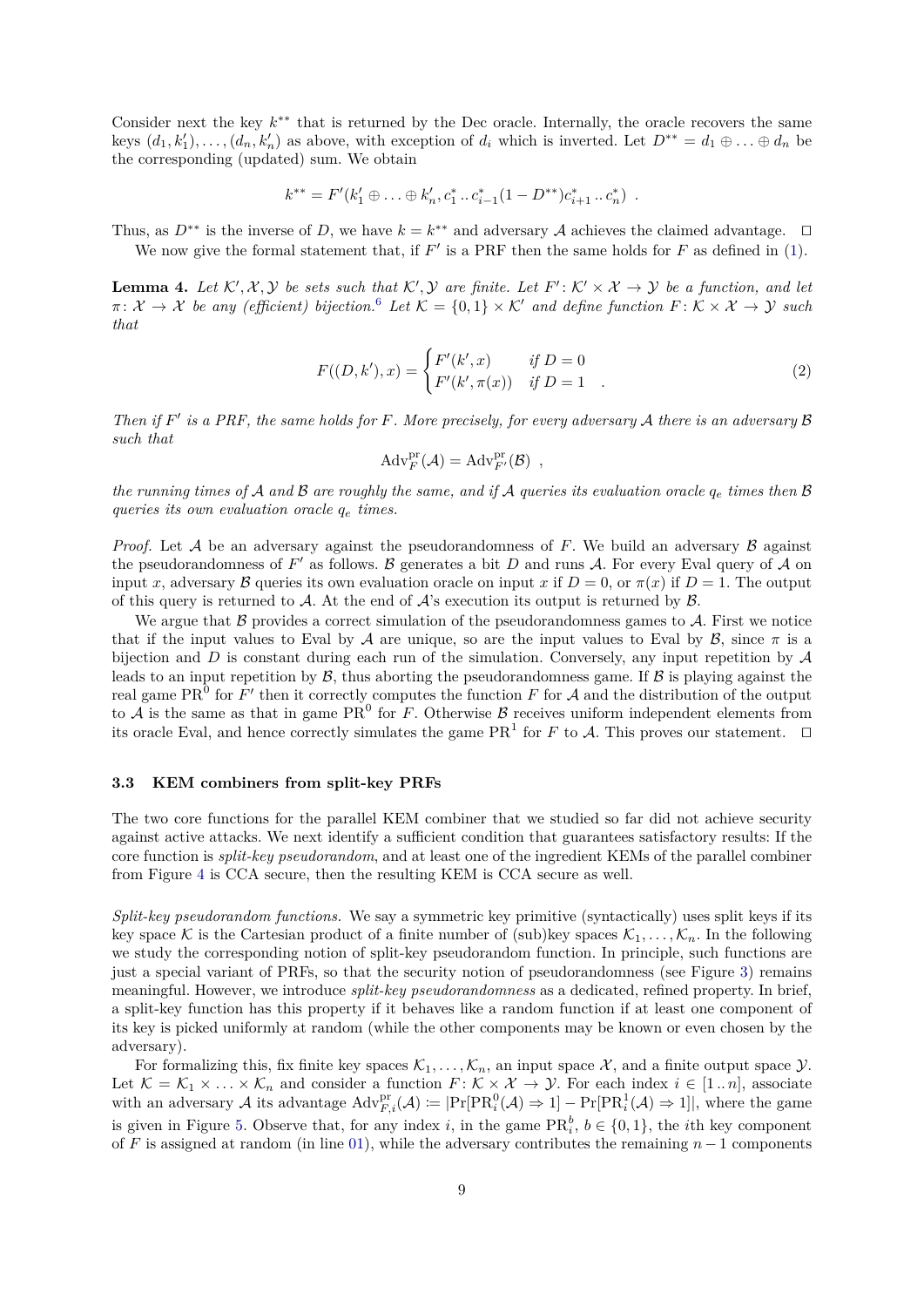Consider next the key  $k^{**}$  that is returned by the Dec oracle. Internally, the oracle recovers the same keys  $(d_1, k'_1), \ldots, (d_n, k'_n)$  as above, with exception of  $d_i$  which is inverted. Let  $D^{**} = d_1 \oplus \ldots \oplus d_n$  be the corresponding (updated) sum. We obtain

$$
k^{**} = F'(k'_1 \oplus \ldots \oplus k'_n, c_1^* \ldots c_{i-1}^* (1 - D^{**})c_{i+1}^* \ldots c_n^*).
$$

Thus, as  $D^{**}$  is the inverse of *D*, we have  $k = k^{**}$  and adversary A achieves the claimed advantage.  $\square$ We now give the formal statement that, if  $F'$  is a PRF then the same holds for  $F$  as defined in  $(1)$ .

**Lemma 4.** Let  $\mathcal{K}', \mathcal{X}, \mathcal{Y}$  be sets such that  $\mathcal{K}', \mathcal{Y}$  are finite. Let  $F': \mathcal{K}' \times \mathcal{X} \to \mathcal{Y}$  be a function, and let  $\pi: \mathcal{X} \to \mathcal{X}$  *be any (efficient) bijection.*<sup>[6](#page-9-1)</sup> *Let*  $\mathcal{K} = \{0,1\} \times \mathcal{K}'$  *and define function*  $F: \mathcal{K} \times \mathcal{X} \to \mathcal{Y}$  *such that*

$$
F((D, k'), x) = \begin{cases} F'(k', x) & \text{if } D = 0\\ F'(k', \pi(x)) & \text{if } D = 1 \end{cases}
$$
 (2)

*Then if*  $F'$  *is a PRF, the same holds for*  $F$ *. More precisely, for every adversary*  $A$  *there is an adversary*  $B$ *such that*

$$
\mathrm{Adv}_{F}^{\mathrm{pr}}(\mathcal{A})=\mathrm{Adv}_{F'}^{\mathrm{pr}}(\mathcal{B}) ,
$$

*the running times of* A and B are roughly the same, and if A queries its evaluation oracle  $q_e$  times then B *queries its own evaluation oracle q<sup>e</sup> times.*

*Proof.* Let  $A$  be an adversary against the pseudorandomness of  $F$ . We build an adversary  $B$  against the pseudorandomness of  $F'$  as follows.  $\beta$  generates a bit  $D$  and runs  $\mathcal A$ . For every Eval query of  $\mathcal A$  on input *x*, adversary B queries its own evaluation oracle on input *x* if  $D = 0$ , or  $\pi(x)$  if  $D = 1$ . The output of this query is returned to A. At the end of  $A$ 's execution its output is returned by  $B$ .

We argue that  $\beta$  provides a correct simulation of the pseudorandomness games to  $\mathcal{A}$ . First we notice that if the input values to Eval by A are unique, so are the input values to Eval by B, since  $\pi$  is a bijection and *D* is constant during each run of the simulation. Conversely, any input repetition by  $A$ leads to an input repetition by  $\beta$ , thus aborting the pseudorandomness game. If  $\beta$  is playing against the real game PR<sup>0</sup> for  $F'$  then it correctly computes the function  $F$  for  $A$  and the distribution of the output to  $\mathcal A$  is the same as that in game PR<sup>0</sup> for *F*. Otherwise  $\mathcal B$  receives uniform independent elements from its oracle Eval, and hence correctly simulates the game  $\text{PR}^1$  for *F* to *A*. This proves our statement.  $\square$ 

#### **3.3 KEM combiners from split-key PRFs**

The two core functions for the parallel KEM combiner that we studied so far did not achieve security against active attacks. We next identify a sufficient condition that guarantees satisfactory results: If the core function is *split-key pseudorandom*, and at least one of the ingredient KEMs of the parallel combiner from Figure [4](#page-5-1) is CCA secure, then the resulting KEM is CCA secure as well.

<span id="page-8-0"></span>*Split-key pseudorandom functions.* We say a symmetric key primitive (syntactically) uses split keys if its key space K is the Cartesian product of a finite number of (sub)key spaces  $\mathcal{K}_1, \ldots, \mathcal{K}_n$ . In the following we study the corresponding notion of split-key pseudorandom function. In principle, such functions are just a special variant of PRFs, so that the security notion of pseudorandomness (see Figure [3\)](#page-4-1) remains meaningful. However, we introduce *split-key pseudorandomness* as a dedicated, refined property. In brief, a split-key function has this property if it behaves like a random function if at least one component of its key is picked uniformly at random (while the other components may be known or even chosen by the adversary).

For formalizing this, fix finite key spaces  $\mathcal{K}_1, \ldots, \mathcal{K}_n$ , an input space  $\mathcal{X}$ , and a finite output space  $\mathcal{Y}$ . Let  $\mathcal{K} = \mathcal{K}_1 \times \ldots \times \mathcal{K}_n$  and consider a function  $F: \mathcal{K} \times \mathcal{X} \to \mathcal{Y}$ . For each index  $i \in [1..n]$ , associate with an adversary A its advantage  $Adv_{F,i}^{pr}(\mathcal{A}) \coloneqq |\Pr[PR_i^0(\mathcal{A}) \Rightarrow 1] - \Pr[PR_i^1(\mathcal{A}) \Rightarrow 1]|$ , where the game is given in Figure [5.](#page-9-2) Observe that, for any index *i*, in the game  $\text{PR}_i^b$ ,  $b \in \{0, 1\}$ , the *i*th key component of *F* is assigned at random (in line [01\)](#page-9-3), while the adversary contributes the remaining *n* − 1 components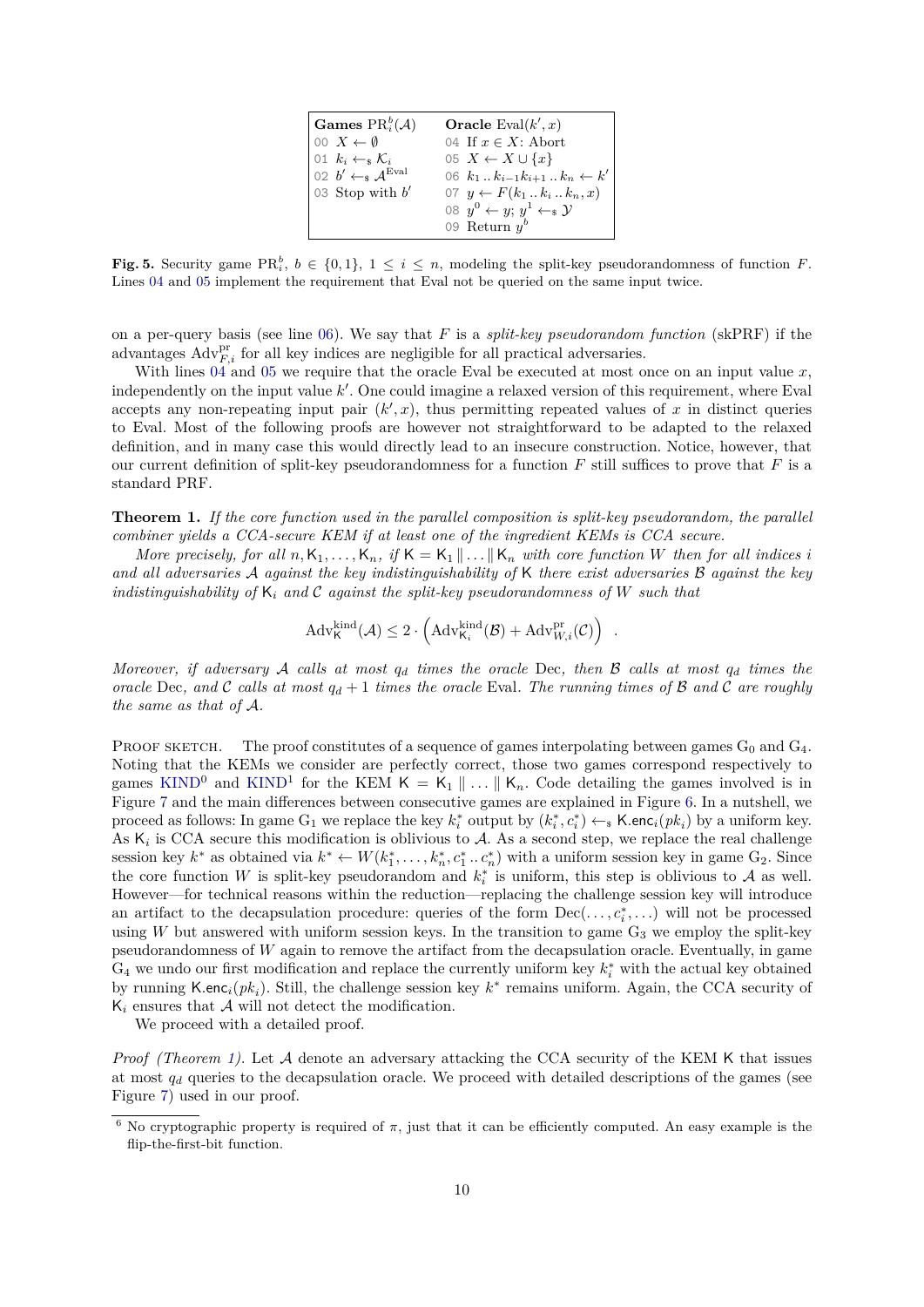<span id="page-9-6"></span><span id="page-9-5"></span><span id="page-9-4"></span><span id="page-9-3"></span>

| Games $PR_i^b(A)$                                              | Oracle Eval $(k', x)$                           |
|----------------------------------------------------------------|-------------------------------------------------|
| $\begin{bmatrix} 0 & X & \leftarrow & \emptyset \end{bmatrix}$ | 04 If $x \in X$ : Abort                         |
| $\vert 01 \vert k_i \leftarrow s \mathcal{K}_i$                | 05 $X \leftarrow X \cup \{x\}$                  |
| 02 $b' \leftarrow_s \mathcal{A}^{\text{Eval}}$                 | 06 $k_1k_{i-1}k_{i+1}k_n \leftarrow k'$         |
| 03 Stop with $b'$                                              | 07 $y \leftarrow F(k_1 \dots k_i \dots k_n, x)$ |
|                                                                | 08 $y^0 \leftarrow y$ ; $y^1 \leftarrow s$ y    |
|                                                                | 09 Return $y^b$                                 |

<span id="page-9-2"></span>**Fig. 5.** Security game PR<sub>i</sub><sup>*t*</sup>,  $b \in \{0,1\}$ ,  $1 \leq i \leq n$ , modeling the split-key pseudorandomness of function *F*. Lines [04](#page-9-4) and [05](#page-9-5) implement the requirement that Eval not be queried on the same input twice.

on a per-query basis (see line [06\)](#page-9-6). We say that *F* is a *split-key pseudorandom function* (skPRF) if the advantages  $Adv_{F,i}^{\text{pr}}$  for all key indices are negligible for all practical adversaries.

With lines [04](#page-9-4) and [05](#page-9-5) we require that the oracle Eval be executed at most once on an input value x, independently on the input value k'. One could imagine a relaxed version of this requirement, where Eval accepts any non-repeating input pair  $(k', x)$ , thus permitting repeated values of x in distinct queries to Eval. Most of the following proofs are however not straightforward to be adapted to the relaxed definition, and in many case this would directly lead to an insecure construction. Notice, however, that our current definition of split-key pseudorandomness for a function  $F$  still suffices to prove that  $F$  is a standard PRF.

<span id="page-9-0"></span>**Theorem 1.** *If the core function used in the parallel composition is split-key pseudorandom, the parallel combiner yields a CCA-secure KEM if at least one of the ingredient KEMs is CCA secure.*

*More precisely, for all*  $n, K_1, \ldots, K_n$ , if  $K = K_1 \parallel \ldots \parallel K_n$  with core function W then for all indices i *and all adversaries* A *against the key indistinguishability of* K *there exist adversaries* B *against the key indistinguishability of* K*<sup>i</sup> and* C *against the split-key pseudorandomness of W such that*

$$
\mathrm{Adv}_{\mathsf{K}}^{\mathrm{kind}}(\mathcal{A}) \leq 2 \cdot \left(\mathrm{Adv}_{\mathsf{K}_i}^{\mathrm{kind}}(\mathcal{B}) + \mathrm{Adv}_{W,i}^{\mathrm{pr}}(\mathcal{C})\right) .
$$

*Moreover, if adversary* A *calls at most q<sup>d</sup> times the oracle* Dec*, then* B *calls at most q<sup>d</sup> times the oracle* Dec, and C calls at most  $q_d + 1$  times the oracle Eval. The running times of B and C are roughly *the same as that of* A*.*

PROOF SKETCH. The proof constitutes of a sequence of games interpolating between games  $G_0$  and  $G_4$ . Noting that the KEMs we consider are perfectly correct, those two games correspond respectively to games [KIND](#page-4-0)<sup>0</sup> and KIND<sup>1</sup> for the KEM  $K = K_1 \parallel ... \parallel K_n$ . Code detailing the games involved is in Figure [7](#page-10-0) and the main differences between consecutive games are explained in Figure [6.](#page-10-1) In a nutshell, we proceed as follows: In game  $G_1$  we replace the key  $k_i^*$  output by  $(k_i^*, c_i^*) \leftarrow_s \mathsf{K}.\mathsf{enc}_i(pk_i)$  by a uniform key. As  $K_i$  is CCA secure this modification is oblivious to  $A$ . As a second step, we replace the real challenge session key  $k^*$  as obtained via  $k^* \leftarrow W(k_1^*, \ldots, k_n^*, c_1^*, \ldots, c_n^*)$  with a uniform session key in game  $G_2$ . Since the core function *W* is split-key pseudorandom and  $k_i^*$  is uniform, this step is oblivious to A as well. However—for technical reasons within the reduction—replacing the challenge session key will introduce an artifact to the decapsulation procedure: queries of the form  $Dec(\ldots, c_i^*, \ldots)$  will not be processed using *W* but answered with uniform session keys. In the transition to game  $G_3$  we employ the split-key pseudorandomness of *W* again to remove the artifact from the decapsulation oracle. Eventually, in game  $G_4$  we undo our first modification and replace the currently uniform key  $k_i^*$  with the actual key obtained by running K*.*enc*i*(*pk<sup>i</sup>* ). Still, the challenge session key *k* ∗ remains uniform. Again, the CCA security of  $K_i$  ensures that  $A$  will not detect the modification.

We proceed with a detailed proof.

*Proof (Theorem [1\)](#page-9-0).* Let A denote an adversary attacking the CCA security of the KEM K that issues at most *q<sup>d</sup>* queries to the decapsulation oracle. We proceed with detailed descriptions of the games (see Figure [7\)](#page-10-0) used in our proof.

<span id="page-9-1"></span> $\frac{6}{6}$  No cryptographic property is required of  $\pi$ , just that it can be efficiently computed. An easy example is the flip-the-first-bit function.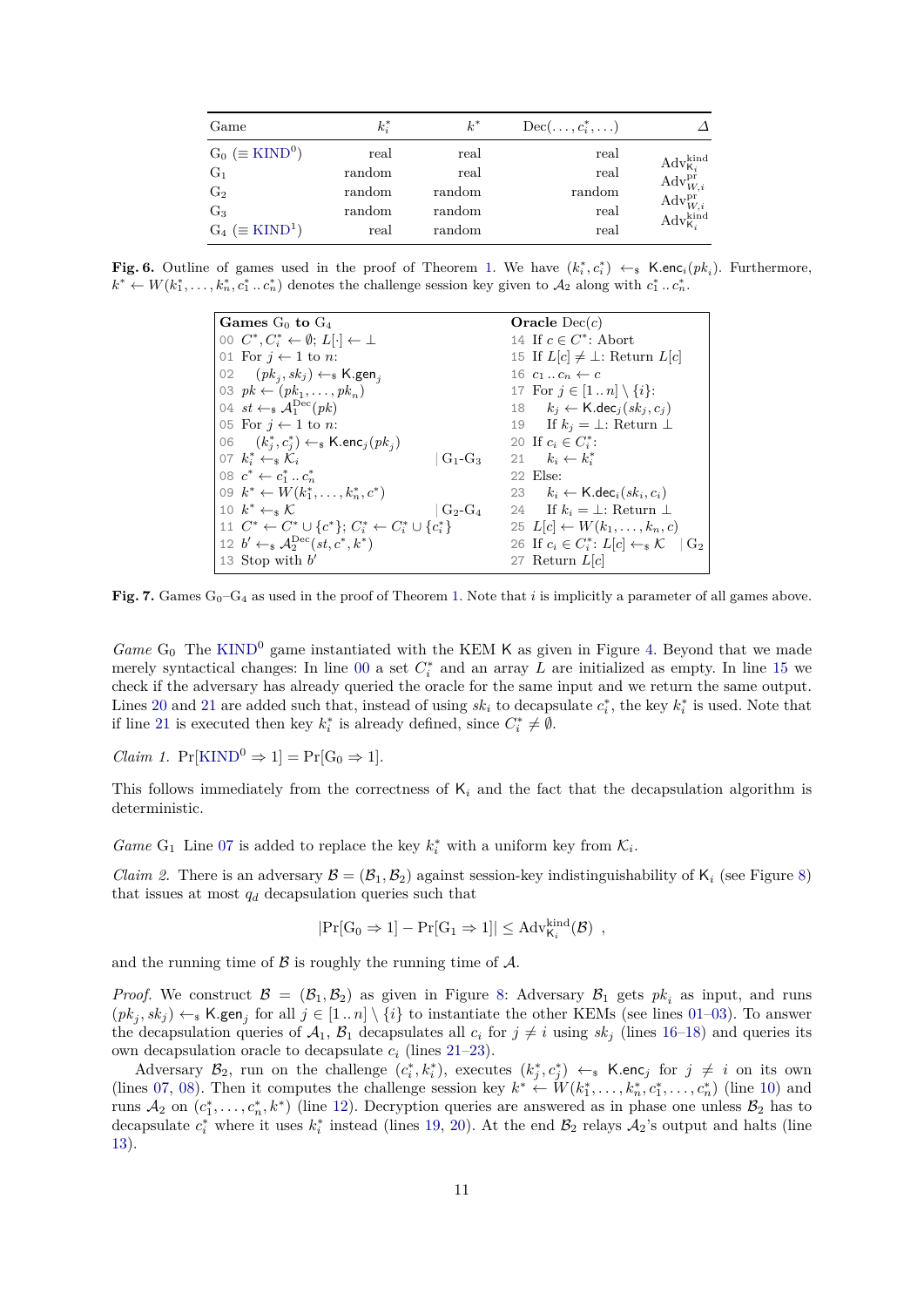| Game                                 | $k_i^*$ | $k^*$  | $Dec(\ldots, c_i^*, \ldots)$ |                                                                                               |
|--------------------------------------|---------|--------|------------------------------|-----------------------------------------------------------------------------------------------|
| $G_0$ ( $\equiv$ KIND <sup>0</sup> ) | real    | real   | real                         |                                                                                               |
| $G_1$                                | random  | real   | real                         | $\textnormal{Adv}_{\mathsf{K}_i}^\textnormal{kind} \\ \textnormal{Adv}_{W,i}^\textnormal{pr}$ |
| G <sub>2</sub>                       | random  | random | random                       |                                                                                               |
| $G_3$                                | random  | random | real                         | $\frac{\text{Adv}_{W,i}^{\text{pr}}}{\text{Adv}_{\text{K}_{i}}^{\text{kind}}}$                |
| $G_4 \ (\equiv$ KIND <sup>1</sup> )  | real    | random | real                         |                                                                                               |

<span id="page-10-1"></span>**Fig. 6.** Outline of games used in the proof of Theorem [1.](#page-9-0) We have  $(k_i^*, c_i^*) \leftarrow_s \text{K.enc}_i(pk_i)$ . Furthermore,  $k^* \leftarrow W(k_1^*, \ldots, k_n^*, c_1^*, \ldots c_n^*$  denotes the challenge session key given to  $\mathcal{A}_2$  along with  $c_1^*, \ldots, c_n^*$ .

<span id="page-10-8"></span><span id="page-10-6"></span><span id="page-10-5"></span><span id="page-10-4"></span><span id="page-10-3"></span><span id="page-10-2"></span>

| Games $G_0$ to $G_4$                                                        | Oracle $Dec(c)$                                                 |
|-----------------------------------------------------------------------------|-----------------------------------------------------------------|
| 00 $C^*, C^*_i \leftarrow \emptyset; L[\cdot] \leftarrow \perp$             | 14 If $c \in C^*$ : Abort                                       |
| 01 For $j \leftarrow 1$ to n:                                               | 15 If $L[c] \neq \perp$ : Return $L[c]$                         |
| 02 $(pk_i, sk_j) \leftarrow_k \text{K.gen}_i$                               | 16 $c_1 \dots c_n \leftarrow c$                                 |
| 03 $pk \leftarrow (pk_1, \ldots, pk_n)$                                     | 17 For $j \in [1n] \setminus \{i\}$ :                           |
| 04 st $\leftarrow_s \mathcal{A}_1^{\text{Dec}}(pk)$                         | 18 $k_i \leftarrow \text{K-dec}_i(sk_i, c_i)$                   |
| 05 For $j \leftarrow 1$ to n:                                               | 19 If $k_i = \perp$ : Return $\perp$                            |
| 06 $(k_i^*, c_i^*) \leftarrow \{k \cdot \textsf{enc}_j(pk_i)$               | 20 If $c_i \in C_i^*$ :                                         |
| 07 $k_i^* \leftarrow_s \mathcal{K}_i$                                       | $G_1-G_3$ 21 $k_i \leftarrow k_i^*$                             |
| 08 $c^* \leftarrow c_1^* \dots c_n^*$                                       | 22 Else:                                                        |
| 09 $k^* \leftarrow W(k_1^*, \ldots, k_n^*, c^*)$                            | 23 $k_i \leftarrow \mathsf{K}.{\mathsf{dec}}_i(sk_i, c_i)$      |
| 10 $k^* \leftarrow \kappa \mathcal{K}$<br>$\mid G_2-G_4 \mid$               | 24 If $k_i = \perp$ : Return $\perp$                            |
| 11 $C^* \leftarrow C^* \cup \{c^*\}\colon C^* \leftarrow C^* \cup \{c^*\}\$ | 25 $L[c] \leftarrow W(k_1, \ldots, k_n, c)$                     |
| 12 $b' \leftarrow_s \mathcal{A}_2^{\text{Dec}}(st, c^*, k^*)$               | 26 If $c_i \in C^*_i$ : $L[c] \leftarrow_s \mathcal{K}$   $G_2$ |
| 13 Stop with $b'$                                                           | 27 Return $L[c]$                                                |

<span id="page-10-7"></span><span id="page-10-0"></span>**Fig. 7.** Games  $G_0-G_4$  as used in the proof of Theorem [1.](#page-9-0) Note that *i* is implicitly a parameter of all games above.

*Game*  $G_0$  The [KIND](#page-4-0)<sup>0</sup> game instantiated with the KEM K as given in Figure [4.](#page-5-1) Beyond that we made merely syntactical changes: In line [00](#page-10-2) a set  $C_i^*$  and an array *L* are initialized as empty. In line [15](#page-10-3) we check if the adversary has already queried the oracle for the same input and we return the same output. Lines [20](#page-10-4) and [21](#page-10-5) are added such that, instead of using  $sk_i$  to decapsulate  $c_i^*$ , the key  $k_i^*$  is used. Note that if line [21](#page-10-5) is executed then key  $k_i^*$  is already defined, since  $C_i^* \neq \emptyset$ .

<span id="page-10-10"></span>*Claim 1.*  $Pr[KIND^0 \Rightarrow 1] = Pr[G_0 \Rightarrow 1].$  $Pr[KIND^0 \Rightarrow 1] = Pr[G_0 \Rightarrow 1].$  $Pr[KIND^0 \Rightarrow 1] = Pr[G_0 \Rightarrow 1].$ 

This follows immediately from the correctness of  $K_i$  and the fact that the decapsulation algorithm is deterministic.

*Game* G<sub>1</sub> Line [07](#page-10-6) is added to replace the key  $k_i^*$  with a uniform key from  $\mathcal{K}_i$ .

*Claim 2.* There is an adversary  $\mathcal{B} = (\mathcal{B}_1, \mathcal{B}_2)$  against session-key indistinguishability of  $K_i$  (see Figure [8\)](#page-11-0) that issues at most  $q_d$  decapsulation queries such that

<span id="page-10-9"></span>
$$
|\Pr[G_0 \Rightarrow 1] - \Pr[G_1 \Rightarrow 1]| \leq Adv_{K_i}^{kind}(\mathcal{B})
$$
,

and the running time of  $\beta$  is roughly the running time of  $\mathcal{A}$ .

*Proof.* We construct  $\mathcal{B} = (\mathcal{B}_1, \mathcal{B}_2)$  as given in Figure [8:](#page-11-0) Adversary  $\mathcal{B}_1$  gets  $pk_i$  as input, and runs  $(pk_j, sk_j) \leftarrow_s K$ **.gen**<sub>j</sub> for all  $j \in [1..n] \setminus \{i\}$  to instantiate the other KEMs (see lines [01–](#page-11-1)[03\)](#page-11-2). To answer the decapsulation queries of  $A_1$ ,  $B_1$  decapsulates all  $c_i$  for  $j \neq i$  using  $sk_j$  (lines [16–](#page-11-3)[18\)](#page-11-4) and queries its own decapsulation oracle to decapsulate  $c_i$  (lines [21–](#page-11-5)[23\)](#page-11-6).

Adversary  $\mathcal{B}_2$ , run on the challenge  $(c_i^*, k_i^*)$ , executes  $(k_j^*, c_j^*) \leftarrow_s \mathsf{K}.\mathsf{enc}_j$  for  $j \neq i$  on its own (lines [07,](#page-11-7) [08\)](#page-11-8). Then it computes the challenge session key  $k^* \leftarrow W(k_1^*, \ldots, k_n^*, c_1^*, \ldots, c_n^*)$  (line [10\)](#page-11-9) and runs  $A_2$  on  $(c_1^*, \ldots, c_n^*, k^*)$  (line [12\)](#page-11-10). Decryption queries are answered as in phase one unless  $B_2$  has to decapsulate  $c_i^*$  where it uses  $k_i^*$  instead (lines [19,](#page-11-11) [20\)](#page-11-12). At the end  $\mathcal{B}_2$  relays  $\mathcal{A}_2$ 's output and halts (line [13\)](#page-11-13).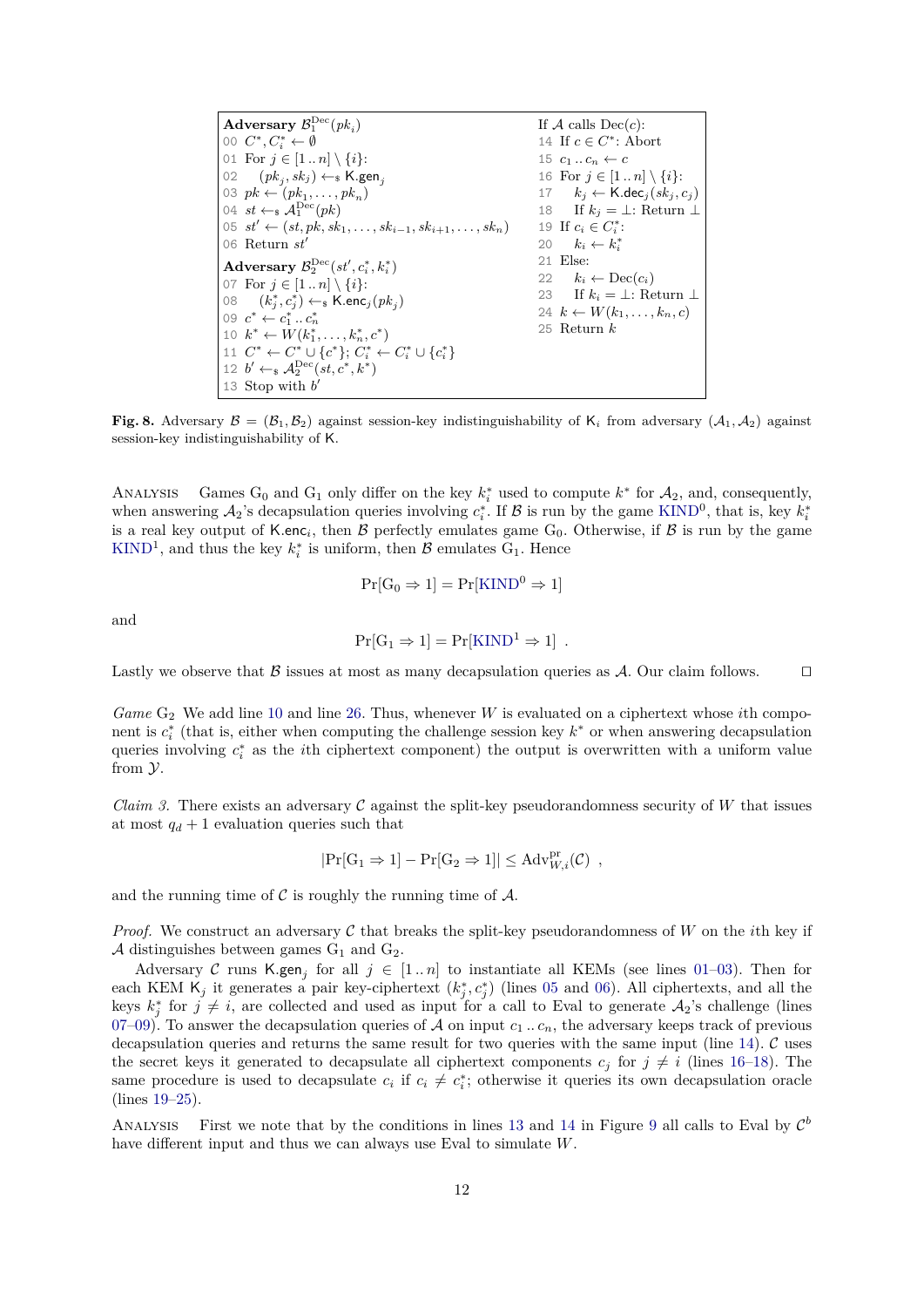<span id="page-11-12"></span><span id="page-11-11"></span><span id="page-11-7"></span><span id="page-11-5"></span><span id="page-11-4"></span><span id="page-11-3"></span><span id="page-11-2"></span><span id="page-11-1"></span>

| Adversary $\mathcal{B}_1^{\text{Dec}}(pk_i)$                                 | If A calls $Dec(c)$ :                         |
|------------------------------------------------------------------------------|-----------------------------------------------|
| 00 $C^*, C^* \leftarrow \emptyset$                                           | 14 If $c \in C^*$ : Abort                     |
| 01 For $j \in [1n] \setminus \{i\}$ :                                        | 15 $c_1 \ldots c_n \leftarrow c$              |
| 02 $(pk_i, sk_j) \leftarrow_k \text{K.gen}_i$                                | 16 For $j \in [1n] \setminus \{i\}$ :         |
| 03 $pk \leftarrow (pk_1, \ldots, pk_n)$                                      | 17 $k_i \leftarrow \text{K.dec}_i(sk_i, c_i)$ |
| 04 st $\leftarrow_s \mathcal{A}_1^{\text{Dec}}(pk)$                          | 18 If $k_i = \perp$ : Return $\perp$          |
| 05 $st' \leftarrow (st, pk, sk_1, \ldots, sk_{i-1}, sk_{i+1}, \ldots, sk_n)$ | 19 If $c_i \in C_i^*$ :                       |
| 06 Return $st'$                                                              | 20 $k_i \leftarrow k_i^*$                     |
| Adversary $\mathcal{B}_2^{\text{Dec}}(st', c_i^*, k_i^*)$                    | 21 Else:                                      |
| 07 For $j \in [1n] \setminus \{i\}$ :                                        | 22 $k_i \leftarrow \text{Dec}(c_i)$           |
| 08 $(k_i^*, c_i^*) \leftarrow_s \text{K.enc}_j(pk_i)$                        | 23 If $k_i = \perp$ : Return $\perp$          |
| 09 $c^* \leftarrow c_1^*  c_n^*$                                             | 24 $k \leftarrow W(k_1, \ldots, k_n, c)$      |
| 10 $k^* \leftarrow W(k_1^*, \ldots, k_n^*, c^*)$                             | 25 Return $k$                                 |
| 11 $C^* \leftarrow C^* \cup \{c^*\}; C^*_i \leftarrow C^*_i \cup \{c^*_i\}$  |                                               |
| 12 $b' \leftarrow_{\mathbb{S}} \mathcal{A}_2^{\text{Dec}}(st, c^*, k^*)$     |                                               |
| 13 Stop with $b'$                                                            |                                               |

<span id="page-11-13"></span><span id="page-11-10"></span><span id="page-11-9"></span><span id="page-11-8"></span><span id="page-11-0"></span>**Fig. 8.** Adversary  $\mathcal{B} = (\mathcal{B}_1, \mathcal{B}_2)$  against session-key indistinguishability of  $K_i$  from adversary  $(\mathcal{A}_1, \mathcal{A}_2)$  against session-key indistinguishability of K.

ANALYSIS Games  $G_0$  and  $G_1$  only differ on the key  $k_i^*$  used to compute  $k^*$  for  $\mathcal{A}_2$ , and, consequently, when answering  $A_2$ 's decapsulation queries involving  $c_i^*$ . If  $\mathcal B$  is run by the game [KIND](#page-4-0)<sup>0</sup>, that is, key  $k_i^*$ is a real key output of K.enc<sub>*i*</sub>, then  $\beta$  perfectly emulates game  $G_0$ . Otherwise, if  $\beta$  is run by the game [KIND](#page-4-0)<sup>1</sup>, and thus the key  $k_i^*$  is uniform, then  $\mathcal{B}$  emulates G<sub>1</sub>. Hence

<span id="page-11-6"></span>
$$
Pr[G_0 \Rightarrow 1] = Pr[KIND^0 \Rightarrow 1]
$$

and

$$
Pr[G_1 \Rightarrow 1] = Pr[KIND^1 \Rightarrow 1] .
$$

Lastly we observe that B issues at most as many decapsulation queries as A. Our claim follows.  $\square$ 

*Game* G<sub>2</sub> We add line [10](#page-10-7) and line [26.](#page-10-8) Thus, whenever *W* is evaluated on a ciphertext whose *i*th component is  $c_i^*$  (that is, either when computing the challenge session key  $k^*$  or when answering decapsulation queries involving  $c_i^*$  as the *i*th ciphertext component) the output is overwritten with a uniform value from Y.

<span id="page-11-14"></span>*Claim 3.* There exists an adversary C against the split-key pseudorandomness security of W that issues at most  $q_d + 1$  evaluation queries such that

$$
|\Pr[G_1 \Rightarrow 1] - \Pr[G_2 \Rightarrow 1]| \leq \mathrm{Adv}_{W,i}^{\mathrm{pr}}(\mathcal{C})
$$
,

and the running time of  $\mathcal C$  is roughly the running time of  $\mathcal A$ .

*Proof.* We construct an adversary  $\mathcal C$  that breaks the split-key pseudorandomness of  $W$  on the *i*th key if A distinguishes between games  $G_1$  and  $G_2$ .

Adversary C runs K.gen<sub>j</sub> for all  $j \in [1..n]$  to instantiate all KEMs (see lines [01](#page-12-0)[–03\)](#page-12-1). Then for each KEM  $\mathsf{K}_j$  it generates a pair key-ciphertext  $(k_j^*, c_j^*)$  (lines [05](#page-12-2) and [06\)](#page-12-3). All ciphertexts, and all the keys  $k_j^*$  for  $j \neq i$ , are collected and used as input for a call to Eval to generate  $\mathcal{A}_2$ 's challenge (lines [07–](#page-12-4)[09\)](#page-12-5). To answer the decapsulation queries of A on input  $c_1 \ldots c_n$ , the adversary keeps track of previous decapsulation queries and returns the same result for two queries with the same input (line [14\)](#page-12-6). C uses the secret keys it generated to decapsulate all ciphertext components  $c_i$  for  $j \neq i$  (lines [16](#page-12-7)[–18\)](#page-12-8). The same procedure is used to decapsulate  $c_i$  if  $c_i \neq c_i^*$ ; otherwise it queries its own decapsulation oracle (lines [19–](#page-12-9)[25\)](#page-12-10).

ANALYSIS First we note that by the conditions in lines [13](#page-12-11) and [14](#page-12-6) in Figure [9](#page-12-12) all calls to Eval by  $\mathcal{C}^b$ have different input and thus we can always use Eval to simulate *W*.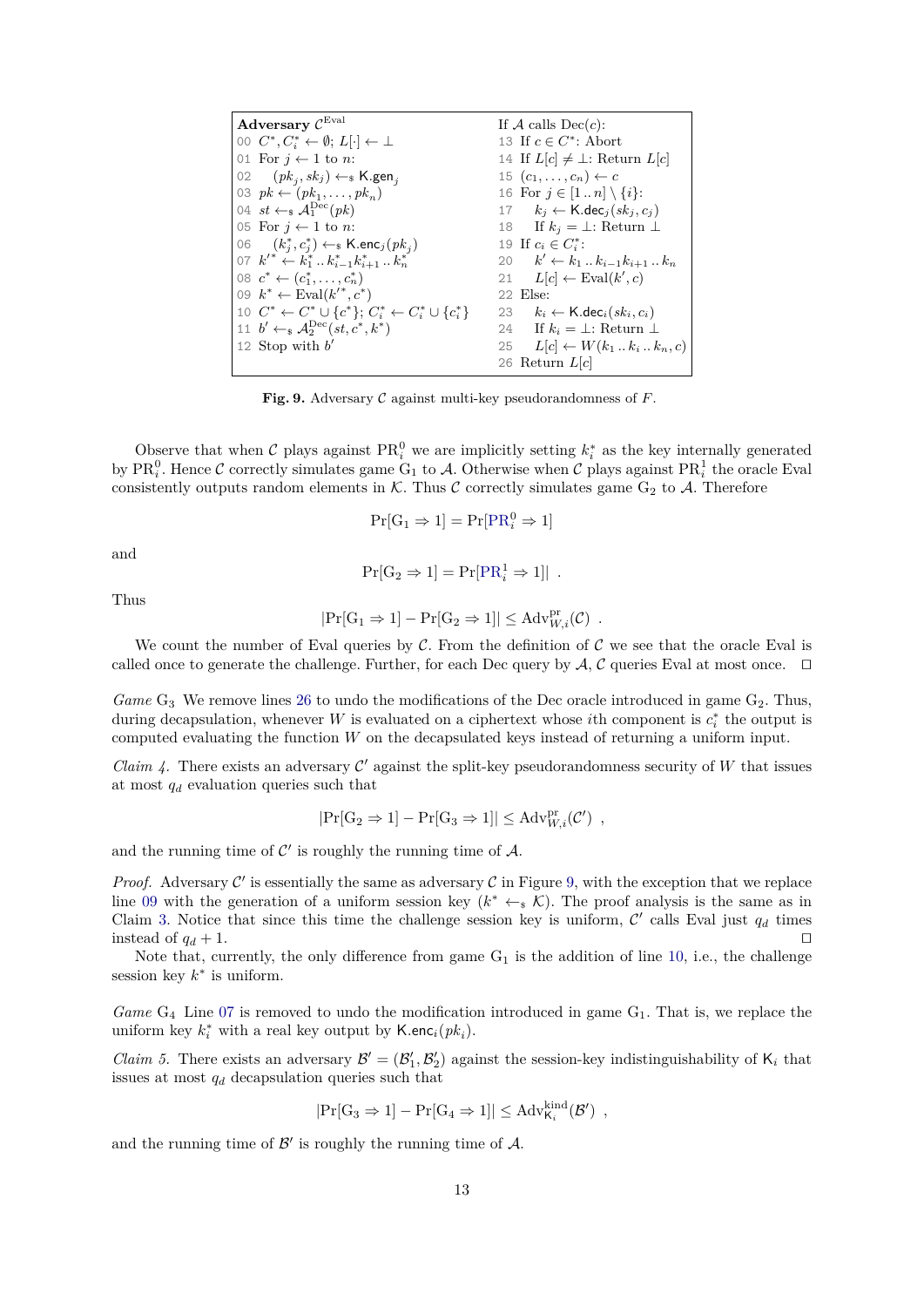<span id="page-12-11"></span><span id="page-12-8"></span><span id="page-12-7"></span><span id="page-12-6"></span><span id="page-12-3"></span><span id="page-12-2"></span><span id="page-12-1"></span><span id="page-12-0"></span>

| Adversary $\mathcal{C}^{\text{Eval}}$                                       | If A calls $Dec(c)$ :                                      |  |
|-----------------------------------------------------------------------------|------------------------------------------------------------|--|
| 00 $C^*, C^*_i \leftarrow \emptyset; L[\cdot] \leftarrow \perp$             | 13 If $c \in C^*$ : Abort                                  |  |
| 01 For $i \leftarrow 1$ to n:                                               | 14 If $L[c] \neq \perp$ : Return $L[c]$                    |  |
| 02 $(pk_i, sk_j) \leftarrow_k \text{K.gen}_i$                               | 15 $(c_1,\ldots,c_n) \leftarrow c$                         |  |
| 03 $pk \leftarrow (pk_1, \ldots, pk_n)$                                     | 16 For $j \in [1n] \setminus \{i\}$ :                      |  |
| 04 $st \leftarrow_s \mathcal{A}_1^{\text{Dec}}(pk)$                         | 17 $k_i \leftarrow \text{K-dec}_i(sk_i, c_i)$              |  |
| 05 For $i \leftarrow 1$ to n:                                               | 18 If $k_i = \perp$ : Return $\perp$                       |  |
| 06 $(k_i^*, c_i^*) \leftarrow \{k \cdot \textsf{enc}_j(pk_i)$               | 19 If $c_i \in C^*_i$ :                                    |  |
| 07 $k'^* \leftarrow k_1^* \dots k_{i-1}^* k_{i+1}^* \dots k_n^*$            | 20 $k' \leftarrow k_1  k_{i-1} k_{i+1}  k_n$               |  |
| 08 $c^* \leftarrow (c_1^*, \ldots, c_n^*)$                                  | 21 $L[c] \leftarrow \text{Eval}(k', c)$                    |  |
| 09 $k^* \leftarrow \text{Eval}(k'^*, c^*)$                                  | 22 Else:                                                   |  |
| 10 $C^* \leftarrow C^* \cup \{c^*\}; C_i^* \leftarrow C_i^* \cup \{c_i^*\}$ | 23 $k_i \leftarrow \mathsf{K}.{\mathsf{dec}}_i(sk_i, c_i)$ |  |
| 11 $b' \leftarrow_s \mathcal{A}_2^{\text{Dec}}(st, c^*, k^*)$               | 24 If $k_i = \perp$ : Return $\perp$                       |  |
| 12 Stop with $b'$                                                           | 25 $L[c] \leftarrow W(k_1k_ik_n,c)$                        |  |
|                                                                             | 26 Return $L[c]$                                           |  |

<span id="page-12-12"></span><span id="page-12-9"></span><span id="page-12-5"></span><span id="page-12-4"></span>**Fig. 9.** Adversary C against multi-key pseudorandomness of *F*.

Observe that when C plays against  $PR_i^0$  we are implicitly setting  $k_i^*$  as the key internally generated by  $PR_i^0$ . Hence C correctly simulates game  $G_1$  to A. Otherwise when C plays against  $PR_i^1$  the oracle Eval consistently outputs random elements in  $K$ . Thus C correctly simulates game  $G_2$  to A. Therefore

<span id="page-12-10"></span>
$$
\Pr[\mathrm{G}_1 \Rightarrow 1] = \Pr[\mathrm{PR}_i^0 \Rightarrow 1]
$$

and

$$
Pr[G_2 \Rightarrow 1] = Pr[PR_i^1 \Rightarrow 1]|.
$$

Thus

$$
|\Pr[G_1 \Rightarrow 1] - \Pr[G_2 \Rightarrow 1]| \leq \mathrm{Adv}_{W,i}^{\mathrm{pr}}(\mathcal{C})
$$
.

We count the number of Eval queries by  $\mathcal C$ . From the definition of  $\mathcal C$  we see that the oracle Eval is called once to generate the challenge. Further, for each Dec query by  $A, C$  queries Eval at most once.  $\Box$ 

*Game* G<sub>3</sub> We remove lines [26](#page-10-8) to undo the modifications of the Dec oracle introduced in game G<sub>2</sub>. Thus, during decapsulation, whenever *W* is evaluated on a ciphertext whose *i*th component is  $c_i^*$  the output is computed evaluating the function *W* on the decapsulated keys instead of returning a uniform input.

*Claim 4.* There exists an adversary  $\mathcal{C}'$  against the split-key pseudorandomness security of *W* that issues at most *q<sup>d</sup>* evaluation queries such that

$$
|\mathrm{Pr}[G_2 \Rightarrow 1] - \mathrm{Pr}[G_3 \Rightarrow 1]| \leq A dv_{W,i}^{pr}(\mathcal{C}') ,
$$

and the running time of  $\mathcal{C}'$  is roughly the running time of  $\mathcal{A}$ .

*Proof.* Adversary  $C'$  is essentially the same as adversary  $C$  in Figure [9,](#page-12-12) with the exception that we replace line [09](#page-12-5) with the generation of a uniform session key  $(k^* \leftarrow \kappa)$ . The proof analysis is the same as in Claim [3.](#page-11-14) Notice that since this time the challenge session key is uniform,  $\mathcal{C}'$  calls Eval just  $q_d$  times instead of  $q_d + 1$ .

Note that, currently, the only difference from game  $G_1$  is the addition of line [10,](#page-10-7) i.e., the challenge session key  $k^*$  is uniform.

*Game* G<sub>4</sub> Line [07](#page-10-6) is removed to undo the modification introduced in game G<sub>1</sub>. That is, we replace the uniform key  $k_i^*$  with a real key output by  $\mathsf{K}.\mathsf{enc}_i(pk_i)$ .

*Claim 5.* There exists an adversary  $\mathcal{B}' = (\mathcal{B}'_1, \mathcal{B}'_2)$  against the session-key indistinguishability of  $K_i$  that issues at most *q<sup>d</sup>* decapsulation queries such that

$$
|{\Pr}[G_3 \Rightarrow 1] - {\Pr}[G_4 \Rightarrow 1]| \leq Adv_{K_i}^{kind}(\mathcal{B}') \enspace ,
$$

and the running time of  $\mathcal{B}'$  is roughly the running time of  $\mathcal{A}$ .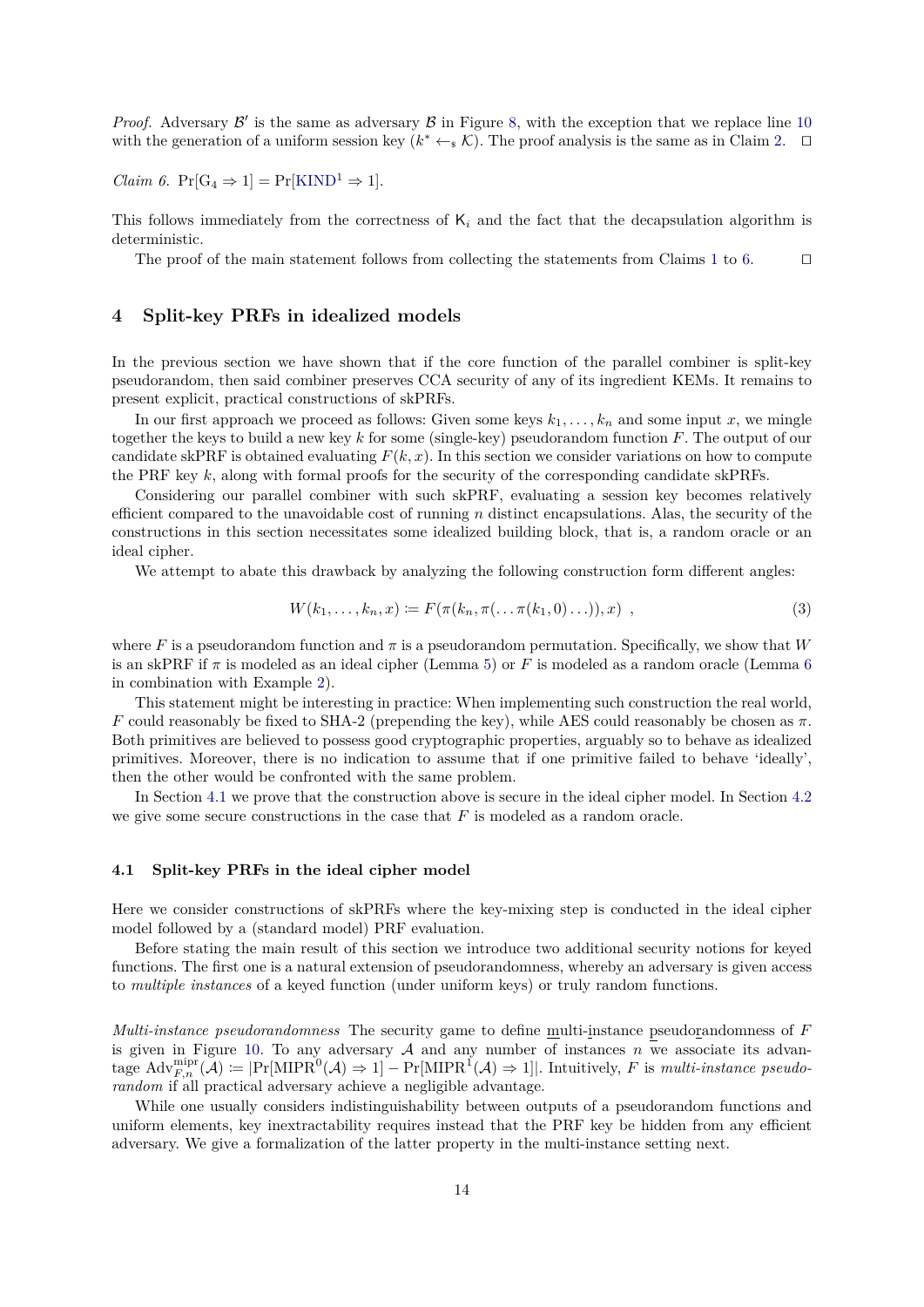*Proof.* Adversary  $\mathcal{B}'$  is the same as adversary  $\mathcal{B}$  in Figure [8,](#page-11-0) with the exception that we replace line [10](#page-11-9) with the generation of a uniform session key  $(k^* \leftarrow_s \mathcal{K})$ . The proof analysis is the same as in Claim [2.](#page-10-9)  $\square$ 

<span id="page-13-0"></span>*Claim 6.*  $Pr[G_4 \Rightarrow 1] = Pr[KIND^1 \Rightarrow 1].$  $Pr[G_4 \Rightarrow 1] = Pr[KIND^1 \Rightarrow 1].$  $Pr[G_4 \Rightarrow 1] = Pr[KIND^1 \Rightarrow 1].$ 

This follows immediately from the correctness of K*<sup>i</sup>* and the fact that the decapsulation algorithm is deterministic.

The proof of the main statement follows from collecting the statements from Claims [1](#page-10-10) to [6.](#page-13-0)  $\Box$ 

# **4 Split-key PRFs in idealized models**

In the previous section we have shown that if the core function of the parallel combiner is split-key pseudorandom, then said combiner preserves CCA security of any of its ingredient KEMs. It remains to present explicit, practical constructions of skPRFs.

In our first approach we proceed as follows: Given some keys  $k_1, \ldots, k_n$  and some input x, we mingle together the keys to build a new key *k* for some (single-key) pseudorandom function *F*. The output of our candidate skPRF is obtained evaluating  $F(k, x)$ . In this section we consider variations on how to compute the PRF key *k*, along with formal proofs for the security of the corresponding candidate skPRFs.

Considering our parallel combiner with such skPRF, evaluating a session key becomes relatively efficient compared to the unavoidable cost of running *n* distinct encapsulations. Alas, the security of the constructions in this section necessitates some idealized building block, that is, a random oracle or an ideal cipher.

We attempt to abate this drawback by analyzing the following construction form different angles:

$$
W(k_1, ..., k_n, x) := F(\pi(k_n, \pi( ..., \pi(k_1, 0) ...)), x) ,
$$
\n(3)

where *F* is a pseudorandom function and  $\pi$  is a pseudorandom permutation. Specifically, we show that *W* is an skPRF if *π* is modeled as an ideal cipher (Lemma [5\)](#page-14-0) or *F* is modeled as a random oracle (Lemma [6](#page-21-1) in combination with Example [2\)](#page-20-2).

This statement might be interesting in practice: When implementing such construction the real world, *F* could reasonably be fixed to SHA-2 (prepending the key), while AES could reasonably be chosen as  $π$ . Both primitives are believed to possess good cryptographic properties, arguably so to behave as idealized primitives. Moreover, there is no indication to assume that if one primitive failed to behave 'ideally', then the other would be confronted with the same problem.

In Section [4.1](#page-13-1) we prove that the construction above is secure in the ideal cipher model. In Section [4.2](#page-19-0) we give some secure constructions in the case that *F* is modeled as a random oracle.

#### <span id="page-13-1"></span>**4.1 Split-key PRFs in the ideal cipher model**

Here we consider constructions of skPRFs where the key-mixing step is conducted in the ideal cipher model followed by a (standard model) PRF evaluation.

Before stating the main result of this section we introduce two additional security notions for keyed functions. The first one is a natural extension of pseudorandomness, whereby an adversary is given access to *multiple instances* of a keyed function (under uniform keys) or truly random functions.

*Multi-instance pseudorandomness* The security game to define multi-instance pseudorandomness of *F* is given in Figure [10.](#page-14-1) To any adversary  $A$  and any number of instances  $n$  we associate its advan- $\text{tage Adv}_{F,n}^{\text{mipr}}(\mathcal{A}) \coloneqq |\Pr[\text{MIPR}^{0}(\mathcal{A}) \Rightarrow 1] - \Pr[\text{MIPR}^{1}(\mathcal{A}) \Rightarrow 1]|$ . Intuitively, F is *multi-instance pseudorandom* if all practical adversary achieve a negligible advantage.

While one usually considers indistinguishability between outputs of a pseudorandom functions and uniform elements, key inextractability requires instead that the PRF key be hidden from any efficient adversary. We give a formalization of the latter property in the multi-instance setting next.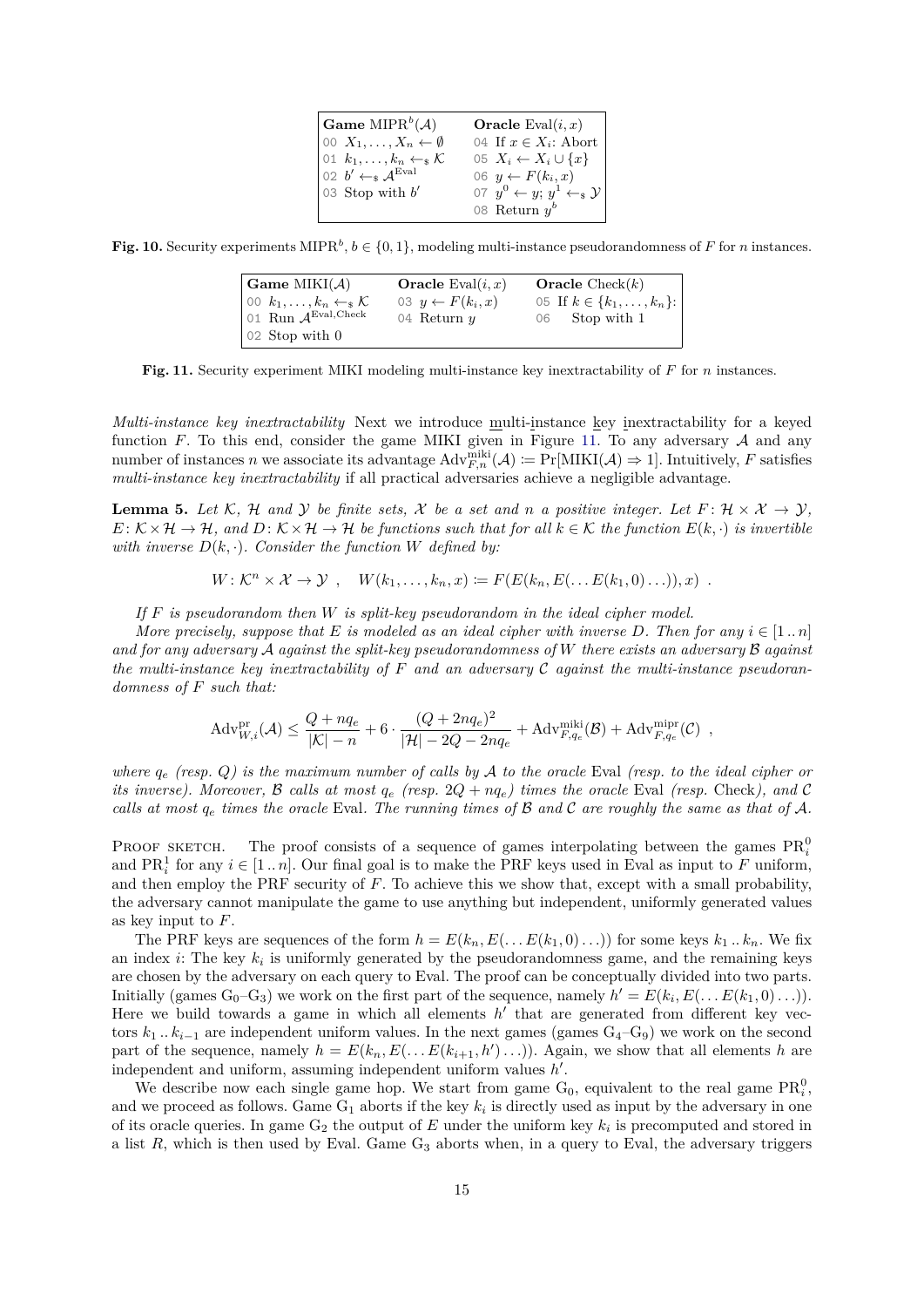| Game MIPR <sup>b</sup> (A)                                                                                                         | <b>Oracle</b> Eval $(i, x)$                  |
|------------------------------------------------------------------------------------------------------------------------------------|----------------------------------------------|
| $\begin{bmatrix} 0 & X_1, \ldots, X_n \leftarrow \emptyset \end{bmatrix}$                                                          | 04 If $x \in X_i$ : Abort                    |
| $\begin{cases} 01 & k_1, \ldots, k_n \leftarrow \mathbb{R} \\ 02 & b' \leftarrow \mathbb{R} \mathcal{A}^{\text{Eval}} \end{cases}$ | 05 $X_i \leftarrow X_i \cup \{x\}$           |
|                                                                                                                                    | 06 $y \leftarrow F(k_i, x)$                  |
| 03 Stop with $b'$                                                                                                                  | 07 $y^0 \leftarrow y$ ; $y^1 \leftarrow_s y$ |
|                                                                                                                                    | 08 Return $y^b$                              |

<span id="page-14-1"></span>**Fig. 10.** Security experiments MIPR<sup>b</sup>,  $b \in \{0, 1\}$ , modeling multi-instance pseudorandomness of *F* for *n* instances.

| $\mathbf{Gamma}\ \mathbf{MIKI}(\mathcal{A})$                                                                                            | <b>Oracle</b> Eval $(i, x)$ | <b>Oracle</b> Check $(k)$      |
|-----------------------------------------------------------------------------------------------------------------------------------------|-----------------------------|--------------------------------|
| $\begin{array}{c} 00 \ \ k_1, \ldots, k_n \leftarrow \ {\mathcal{K}} \\ 01 \ \text{Run } {\mathcal{A}}^{\text{Eval,Check}} \end{array}$ | 03 $y \leftarrow F(k_i, x)$ | 05 If $k \in \{k_1, , k_n\}$ : |
|                                                                                                                                         | 04 Return $y$               | 06 Stop with 1                 |
| $\vert$ 02 Stop with 0                                                                                                                  |                             |                                |

<span id="page-14-2"></span>**Fig. 11.** Security experiment MIKI modeling multi-instance key inextractability of *F* for *n* instances.

*Multi-instance key inextractability* Next we introduce multi-instance key inextractability for a keyed function  $F$ . To this end, consider the game MIKI given in Figure [11.](#page-14-2) To any adversary  $A$  and any number of instances *n* we associate its advantage  $\text{Adv}_{F,n}^{\text{miki}}(\mathcal{A}) := \Pr[\text{MIKI}(\mathcal{A}) \Rightarrow 1]$ . Intuitively, *F* satisfies *multi-instance key inextractability* if all practical adversaries achieve a negligible advantage.

<span id="page-14-0"></span>**Lemma 5.** Let K, H and Y be finite sets, X be a set and n a positive integer. Let  $F: \mathcal{H} \times \mathcal{X} \to \mathcal{Y}$ ,  $E: K \times H \to H$ , and  $D: K \times H \to H$  *be functions such that for all*  $k \in K$  *the function*  $E(k, \cdot)$  *is invertible with inverse*  $D(k, \cdot)$ *. Consider the function W defined by:* 

$$
W: \mathcal{K}^n \times \mathcal{X} \to \mathcal{Y} , \quad W(k_1, \ldots, k_n, x) \coloneqq F(E(k_n, E(\ldots E(k_1, 0) \ldots)), x) .
$$

*If F is pseudorandom then W is split-key pseudorandom in the ideal cipher model.*

*More precisely, suppose that*  $E$  *is modeled as an ideal cipher with inverse*  $D$ *. Then for any*  $i \in [1..n]$ *and for any adversary* A *against the split-key pseudorandomness of W there exists an adversary* B *against the multi-instance key inextractability of F and an adversary* C *against the multi-instance pseudorandomness of F such that:*

$$
\mathrm{Adv}_{W,i}^{\mathrm{pr}}(\mathcal{A}) \leq \frac{Q + n q_e}{|\mathcal{K}| - n} + 6 \cdot \frac{(Q + 2n q_e)^2}{|\mathcal{H}| - 2Q - 2n q_e} + \mathrm{Adv}_{F,q_e}^{\mathrm{miki}}(\mathcal{B}) + \mathrm{Adv}_{F,q_e}^{\mathrm{mipr}}(\mathcal{C}) ,
$$

*where q<sup>e</sup> (resp. Q) is the maximum number of calls by* A *to the oracle* Eval *(resp. to the ideal cipher or its inverse). Moreover,*  $\beta$  *calls at most*  $q_e$  *(resp.*  $2Q + nq_e$ *) times the oracle* Eval *(resp.* Check*), and*  $\mathcal{C}$ *calls at most q<sup>e</sup> times the oracle* Eval*. The running times of* B *and* C *are roughly the same as that of* A*.*

PROOF SKETCH. The proof consists of a sequence of games interpolating between the games  $\text{PR}_i^0$ and  $\text{PR}_i^1$  for any  $i \in [1..n]$ . Our final goal is to make the PRF keys used in Eval as input to *F* uniform, and then employ the PRF security of *F*. To achieve this we show that, except with a small probability, the adversary cannot manipulate the game to use anything but independent, uniformly generated values as key input to *F*.

The PRF keys are sequences of the form  $h = E(k_n, E(\ldots E(k_1, 0) \ldots))$  for some keys  $k_1 \ldots k_n$ . We fix an index  $i$ : The key  $k_i$  is uniformly generated by the pseudorandomness game, and the remaining keys are chosen by the adversary on each query to Eval. The proof can be conceptually divided into two parts. Initially (games  $G_0 - G_3$ ) we work on the first part of the sequence, namely  $h' = E(k_i, E(\ldots E(k_1, 0) \ldots)).$ Here we build towards a game in which all elements  $h'$  that are generated from different key vectors  $k_1$  *..*  $k_{i-1}$  are independent uniform values. In the next games (games  $G_4-G_9$ ) we work on the second part of the sequence, namely  $h = E(k_n, E(\ldots E(k_{i+1}, h') \ldots))$ . Again, we show that all elements *h* are independent and uniform, assuming independent uniform values  $h'$ .

We describe now each single game hop. We start from game  $G_0$ , equivalent to the real game  $PR_i^0$ , and we proceed as follows. Game  $G_1$  aborts if the key  $k_i$  is directly used as input by the adversary in one of its oracle queries. In game  $G_2$  the output of  $E$  under the uniform key  $k_i$  is precomputed and stored in a list  $R$ , which is then used by Eval. Game  $G_3$  aborts when, in a query to Eval, the adversary triggers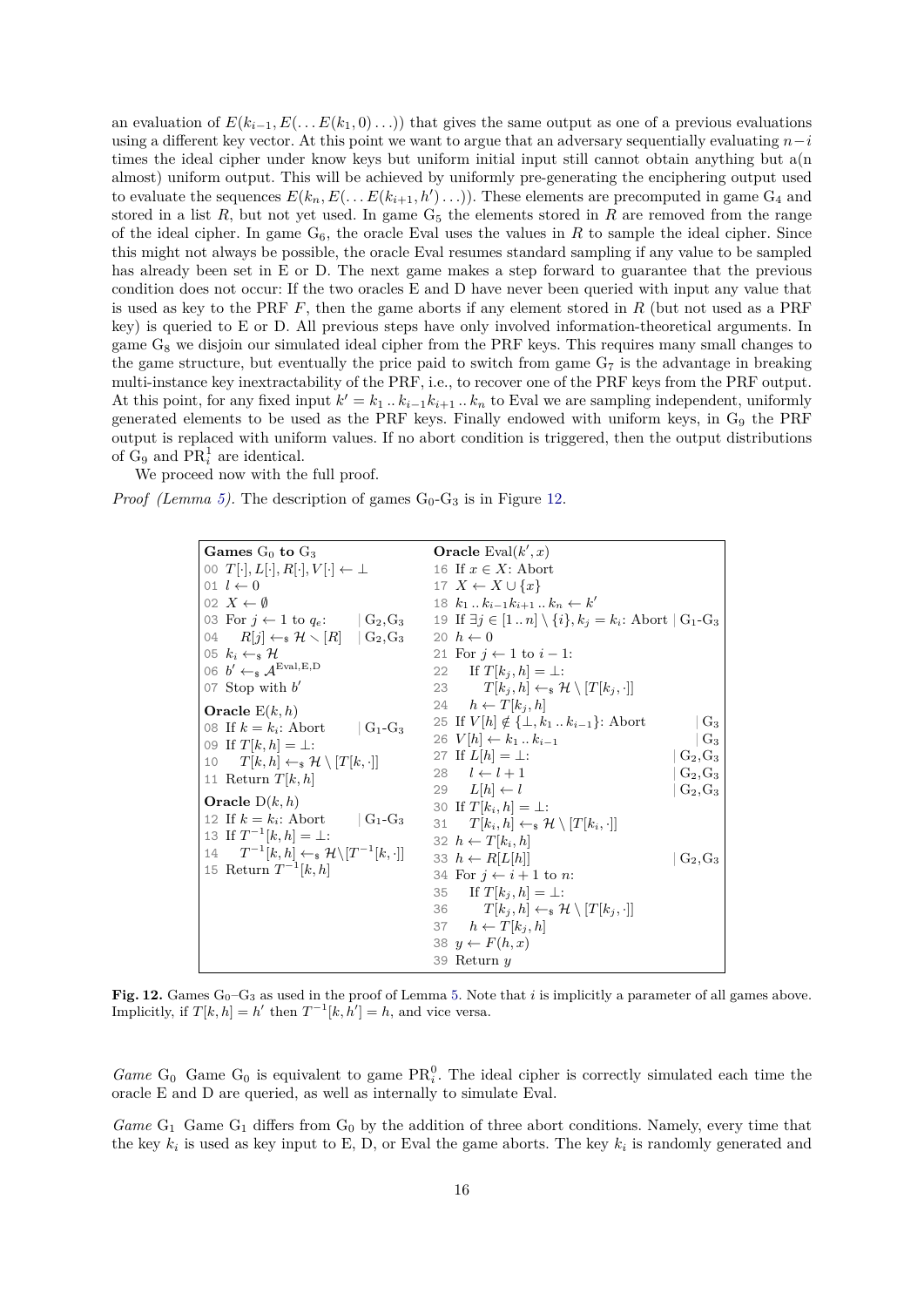an evaluation of  $E(k_{i-1}, E(\ldots E(k_1, 0) \ldots))$  that gives the same output as one of a previous evaluations using a different key vector. At this point we want to argue that an adversary sequentially evaluating  $n-i$ times the ideal cipher under know keys but uniform initial input still cannot obtain anything but a(n almost) uniform output. This will be achieved by uniformly pre-generating the enciphering output used to evaluate the sequences  $E(k_n, E(\ldots E(k_{i+1}, h') \ldots))$ . These elements are precomputed in game  $G_4$  and stored in a list  $R$ , but not yet used. In game  $G<sub>5</sub>$  the elements stored in  $R$  are removed from the range of the ideal cipher. In game  $G_6$ , the oracle Eval uses the values in R to sample the ideal cipher. Since this might not always be possible, the oracle Eval resumes standard sampling if any value to be sampled has already been set in E or D. The next game makes a step forward to guarantee that the previous condition does not occur: If the two oracles E and D have never been queried with input any value that is used as key to the PRF *F*, then the game aborts if any element stored in *R* (but not used as a PRF key) is queried to E or D. All previous steps have only involved information-theoretical arguments. In game  $G_8$  we disjoin our simulated ideal cipher from the PRF keys. This requires many small changes to the game structure, but eventually the price paid to switch from game  $G_7$  is the advantage in breaking multi-instance key inextractability of the PRF, i.e., to recover one of the PRF keys from the PRF output. At this point, for any fixed input  $k' = k_1 \dots k_{i-1} k_{i+1} \dots k_n$  to Eval we are sampling independent, uniformly generated elements to be used as the PRF keys. Finally endowed with uniform keys, in G<sub>9</sub> the PRF output is replaced with uniform values. If no abort condition is triggered, then the output distributions of  $G_9$  and  $PR_i^1$  are identical.

We proceed now with the full proof.

*Proof* (Lemma [5\)](#page-14-0). The description of games  $G_0$ - $G_3$  is in Figure [12.](#page-15-0)

| Games $G_0$ to $G_3$                                                        | <b>Oracle</b> Eval $(k', x)$                                              |            |
|-----------------------------------------------------------------------------|---------------------------------------------------------------------------|------------|
| 00 $T[\cdot], L[\cdot], R[\cdot], V[\cdot] \leftarrow \perp$                | 16 If $x \in X$ : Abort                                                   |            |
| 01 $l \leftarrow 0$                                                         | 17 $X \leftarrow X \cup \{x\}$                                            |            |
| 02 $X \leftarrow \emptyset$                                                 | 18 $k_1k_{i-1}k_{i+1}k_n \leftarrow k'$                                   |            |
| 03 For $j \leftarrow 1$ to $q_e$ : $  G_2, G_3  $                           | 19 If $\exists j \in [1n] \setminus \{i\}, k_j = k_i$ : Abort $ G_1-G_3 $ |            |
| 04 $R[i] \leftarrow_{\mathbf{s}} \mathcal{H} \setminus [R]$ $\mid G_2, G_3$ | 20 $h \leftarrow 0$                                                       |            |
| 05 $k_i \leftarrow s$ H                                                     | 21 For $i \leftarrow 1$ to $i-1$ :                                        |            |
| 06 $b' \leftarrow s \mathcal{A}^{\text{Eval},E,D}$                          | 22 If $T[k_i, h] = \perp$ :                                               |            |
| 07 Stop with $b'$                                                           | 23 $T[k_i, h] \leftarrow \mathcal{H} \setminus [T[k_i, \cdot]]$           |            |
| Oracle $E(k, h)$                                                            | 24 $h \leftarrow T[k_i, h]$                                               |            |
| 08 If $k = k_i$ : Abort<br>$\mid$ G <sub>1</sub> -G <sub>3</sub>            | 25 If $V[h] \notin {\{\perp, k_1 \dots k_{i-1}\}}$ : Abort                | $G_3$      |
| 09 If $T[k, h] = \perp$ :                                                   | 26 $V[h] \leftarrow k_1 \dots k_{i-1}$                                    | $G_3$      |
| 10 $T[k, h] \leftarrow_{\mathbf{s}} \mathcal{H} \setminus [T[k, \cdot]]$    | 27 If $L[h] = \perp$ :                                                    | $G_2, G_3$ |
| 11 Return $T[k,h]$                                                          | 28 $l \leftarrow l + 1$                                                   | $G_2, G_3$ |
|                                                                             | 29 $L[h] \leftarrow l$                                                    | $G_2, G_3$ |
| Oracle $D(k, h)$                                                            | 30 If $T[k_i, h] = \perp$ :                                               |            |
| 12 If $k = k_i$ : Abort $ G_1-G_3 $                                         | 31 $T[k_i, h] \leftarrow \mathcal{H} \setminus [T[k_i, \cdot]]$           |            |
| 13 If $T^{-1}[k, h] = \perp$ :                                              | 32 $h \leftarrow T[k_i, h]$                                               |            |
| 14 $T^{-1}[k,h] \leftarrow \mathcal{H} \setminus [T^{-1}[k,\cdot]]$         | 33 $h \leftarrow R[L[h]]$                                                 | $G_2, G_3$ |
| 15 Return $T^{-1}[k, h]$                                                    | 34 For $i \leftarrow i+1$ to n:                                           |            |
|                                                                             | 35 If $T[k_j, h] = \perp$ :                                               |            |
|                                                                             | 36 $T[k_i, h] \leftarrow_s \mathcal{H} \setminus [T[k_i, \cdot]]$         |            |
|                                                                             | 37 $h \leftarrow T[k_i, h]$                                               |            |
|                                                                             | 38 $y \leftarrow F(h,x)$                                                  |            |
|                                                                             | 39 Return $y$                                                             |            |

<span id="page-15-0"></span>**Fig. 12.** Games  $G_0-G_3$  as used in the proof of Lemma [5.](#page-14-0) Note that *i* is implicitly a parameter of all games above. Implicitly, if  $T[k, h] = h'$  then  $T^{-1}[k, h'] = h$ , and vice versa.

*Game*  $G_0$  Game  $G_0$  is equivalent to game  $PR_i^0$ . The ideal cipher is correctly simulated each time the oracle E and D are queried, as well as internally to simulate Eval.

Game G<sub>1</sub> Game G<sub>1</sub> differs from G<sub>0</sub> by the addition of three abort conditions. Namely, every time that the key  $k_i$  is used as key input to E, D, or Eval the game aborts. The key  $k_i$  is randomly generated and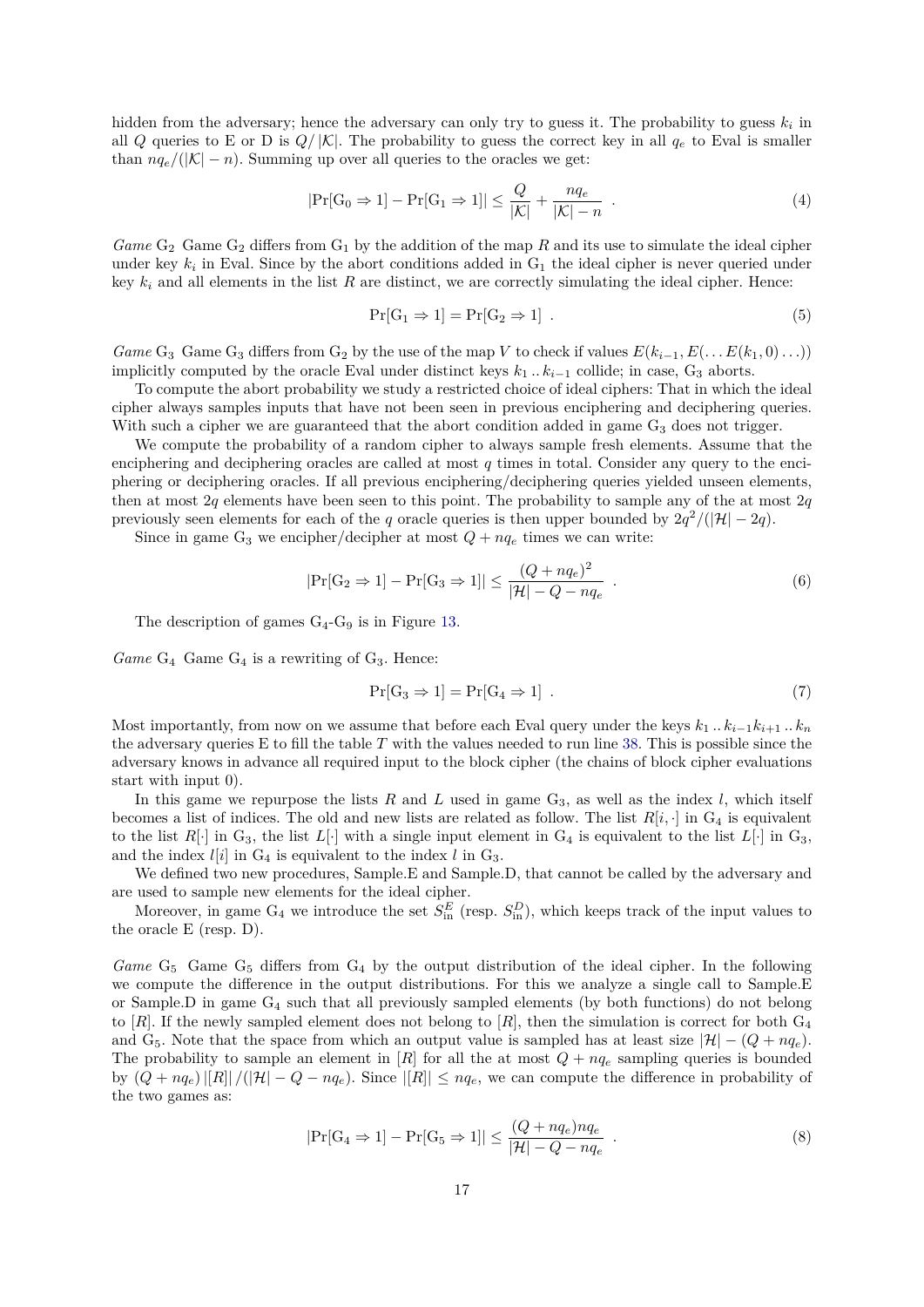hidden from the adversary; hence the adversary can only try to guess it. The probability to guess  $k_i$  in all *Q* queries to E or D is  $Q/|\mathcal{K}|$ . The probability to guess the correct key in all  $q_e$  to Eval is smaller than  $nq_e/(|\mathcal{K}| - n)$ . Summing up over all queries to the oracles we get:

$$
|\Pr[\mathcal{G}_0 \Rightarrow 1] - \Pr[\mathcal{G}_1 \Rightarrow 1]| \le \frac{Q}{|\mathcal{K}|} + \frac{nq_e}{|\mathcal{K}| - n} . \tag{4}
$$

*Game*  $G_2$  Game  $G_2$  differs from  $G_1$  by the addition of the map *R* and its use to simulate the ideal cipher under key  $k_i$  in Eval. Since by the abort conditions added in  $G_1$  the ideal cipher is never queried under key  $k_i$  and all elements in the list  $R$  are distinct, we are correctly simulating the ideal cipher. Hence:

<span id="page-16-0"></span>
$$
Pr[G_1 \Rightarrow 1] = Pr[G_2 \Rightarrow 1]. \tag{5}
$$

*Game* G<sub>3</sub> Game G<sub>3</sub> differs from G<sub>2</sub> by the use of the map *V* to check if values  $E(k_{i-1}, E(\ldots E(k_1,0) \ldots))$ implicitly computed by the oracle Eval under distinct keys  $k_1 \dots k_{i-1}$  collide; in case,  $G_3$  aborts.

To compute the abort probability we study a restricted choice of ideal ciphers: That in which the ideal cipher always samples inputs that have not been seen in previous enciphering and deciphering queries. With such a cipher we are guaranteed that the abort condition added in game  $G_3$  does not trigger.

We compute the probability of a random cipher to always sample fresh elements. Assume that the enciphering and deciphering oracles are called at most *q* times in total. Consider any query to the enciphering or deciphering oracles. If all previous enciphering/deciphering queries yielded unseen elements, then at most  $2q$  elements have been seen to this point. The probability to sample any of the at most  $2q$ previously seen elements for each of the *q* oracle queries is then upper bounded by  $2q^2/(|\mathcal{H}| - 2q)$ .

Since in game  $G_3$  we encipher/decipher at most  $Q + nq_e$  times we can write:

$$
|\Pr[\text{G}_2 \Rightarrow 1] - \Pr[\text{G}_3 \Rightarrow 1]| \le \frac{(Q + nq_e)^2}{|\mathcal{H}| - Q - nq_e} \tag{6}
$$

The description of games  $G_4$ - $G_9$  is in Figure [13.](#page-17-0)

 $Game G_4$  Game  $G_4$  is a rewriting of  $G_3$ . Hence:

$$
\Pr[G_3 \Rightarrow 1] = \Pr[G_4 \Rightarrow 1] . \tag{7}
$$

Most importantly, from now on we assume that before each Eval query under the keys  $k_1 \, . \, . \, k_{i-1} k_{i+1} \, . \, k_n$ the adversary queries E to fill the table *T* with the values needed to run line [38.](#page-17-1) This is possible since the adversary knows in advance all required input to the block cipher (the chains of block cipher evaluations start with input 0).

In this game we repurpose the lists  $R$  and  $L$  used in game  $G_3$ , as well as the index  $l$ , which itself becomes a list of indices. The old and new lists are related as follow. The list  $R[i, \cdot]$  in  $G_4$  is equivalent to the list  $R[\cdot]$  in  $G_3$ , the list  $L[\cdot]$  with a single input element in  $G_4$  is equivalent to the list  $L[\cdot]$  in  $G_3$ , and the index  $l[i]$  in  $G_4$  is equivalent to the index  $l$  in  $G_3$ .

We defined two new procedures, Sample*.*E and Sample*.*D, that cannot be called by the adversary and are used to sample new elements for the ideal cipher.

Moreover, in game  $G_4$  we introduce the set  $S_{\text{in}}^E$  (resp.  $S_{\text{in}}^D$ ), which keeps track of the input values to the oracle E (resp. D).

*Game*  $G_5$  Game  $G_5$  differs from  $G_4$  by the output distribution of the ideal cipher. In the following we compute the difference in the output distributions. For this we analyze a single call to Sample*.*E or Sample*.*D in game G<sup>4</sup> such that all previously sampled elements (by both functions) do not belong to  $[R]$ . If the newly sampled element does not belong to  $[R]$ , then the simulation is correct for both  $G_4$ and G<sub>5</sub>. Note that the space from which an output value is sampled has at least size  $|\mathcal{H}| - (Q + nq_e)$ . The probability to sample an element in  $[R]$  for all the at most  $Q + nq_e$  sampling queries is bounded by  $(Q + nq_e)|[R]|/(|\mathcal{H}| - Q - nq_e)$ . Since  $|[R]| \leq nq_e$ , we can compute the difference in probability of the two games as:

$$
|\Pr[\text{G}_4 \Rightarrow 1] - \Pr[\text{G}_5 \Rightarrow 1]| \le \frac{(Q + nq_e)nq_e}{|\mathcal{H}| - Q - nq_e} \tag{8}
$$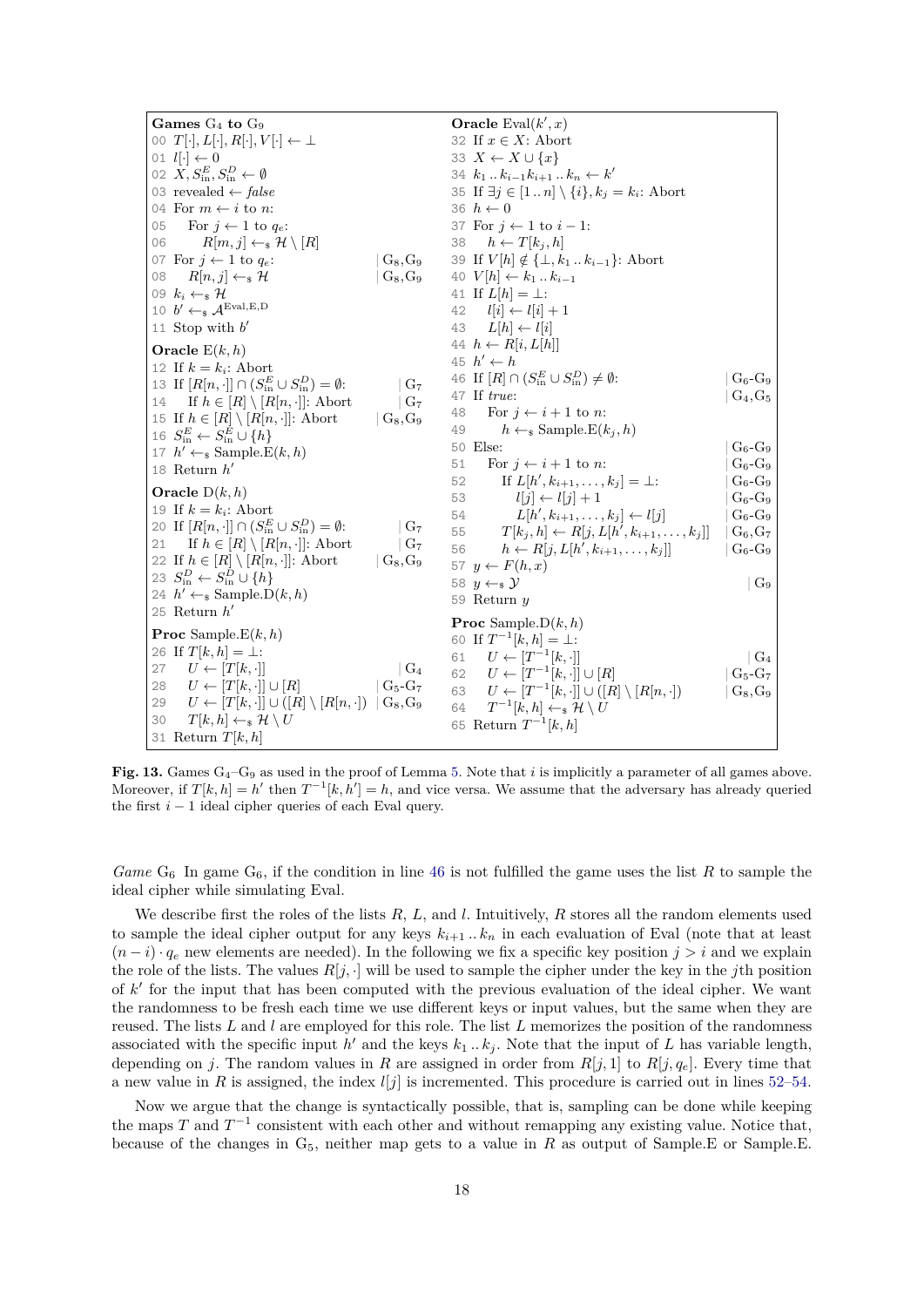<span id="page-17-2"></span><span id="page-17-1"></span>

| Games $G_4$ to $G_9$                                                            |                                        | <b>Oracle</b> Eval $(k', x)$                                              |               |
|---------------------------------------------------------------------------------|----------------------------------------|---------------------------------------------------------------------------|---------------|
| 00 $T[\cdot], L[\cdot], R[\cdot], V[\cdot] \leftarrow \perp$                    |                                        | 32 If $x \in X$ : Abort                                                   |               |
| 01 $l[\cdot] \leftarrow 0$                                                      |                                        | 33 $X \leftarrow X \cup \{x\}$                                            |               |
| 02 $X, S_{\text{in}}^E, S_{\text{in}}^D \leftarrow \emptyset$                   |                                        | 34 $k_1k_{i-1}k_{i+1}k_n \leftarrow k'$                                   |               |
| 03 revealed $\leftarrow false$                                                  |                                        | 35 If $\exists j \in [1n] \setminus \{i\}, k_j = k_i$ : Abort             |               |
| 04 For $m \leftarrow i$ to n:                                                   |                                        | 36 $h \leftarrow 0$                                                       |               |
| For $j \leftarrow 1$ to $q_e$ :<br>05                                           |                                        | 37 For $j \leftarrow 1$ to $i - 1$ :                                      |               |
| $R[m, j] \leftarrow \mathcal{H} \setminus [R]$<br>06                            |                                        | 38 $h \leftarrow T[k_j, h]$                                               |               |
| 07 For $j \leftarrow 1$ to $q_e$ :                                              | $G_8, G_9$                             | 39 If $V[h] \notin \{\perp, k_1 \dots k_{i-1}\}$ : Abort                  |               |
| $R[n,j] \leftarrow_{\$} \mathcal{H}$<br>08                                      | $\rm G_8, G_9$                         | 40 $V[h] \leftarrow k_1 \dots k_{i-1}$                                    |               |
| 09 $k_i \leftarrow \in \mathcal{H}$                                             |                                        | 41 If $L[h] = \perp$ :                                                    |               |
| 10 $b' \leftarrow s \mathcal{A}^{\text{Eval}, E, D}$                            |                                        | $l[i] \leftarrow l[i] + 1$<br>42                                          |               |
| 11 Stop with $b'$                                                               |                                        | $L[h] \leftarrow l[i]$<br>43                                              |               |
| Oracle $E(k, h)$                                                                |                                        | 44 $h \leftarrow R[i, L[h]]$                                              |               |
| 12 If $k = k_i$ : Abort                                                         |                                        | 45 $h' \leftarrow h$                                                      |               |
| 13 If $[R[n, \cdot]] \cap (S_{\text{in}}^E \cup S_{\text{in}}^D) = \emptyset$ : | G <sub>7</sub>                         | 46 If $[R] \cap (S_{\text{in}}^E \cup S_{\text{in}}^D) \neq \emptyset$ :  | $G_6-G_9$     |
| 14 If $h \in [R] \setminus [R[n, \cdot]]$ : Abort                               | G <sub>7</sub>                         | 47 If true:                                                               | $G_4, G_5$    |
| 15 If $h \in [R] \setminus [R[n, \cdot]]$ : Abort                               | $\mid$ $\rm{G}_{8}, \rm{G}_{9}$        | 48<br>For $j \leftarrow i + 1$ to n:                                      |               |
| 16 $S_{\text{in}}^E \leftarrow S_{\text{in}}^E \cup \{h\}$                      |                                        | 49<br>$h \leftarrow_{\mathbb{S}}$ Sample. $E(k_i, h)$                     |               |
| 17 $h' \leftarrow_{\$}$ Sample. $E(k, h)$                                       |                                        | 50 Else:                                                                  | $G_6$ - $G_9$ |
| 18 Return $h'$                                                                  |                                        | For $j \leftarrow i + 1$ to n:<br>51                                      | $G_6-G_9$     |
|                                                                                 |                                        | If $L[h', k_{i+1}, \ldots, k_j] = \perp$ :<br>52                          | $G_6-G_9$     |
| Oracle $D(k, h)$                                                                |                                        | $l[j] \leftarrow l[j] + 1$<br>53                                          | $G_6-G_9$     |
| 19 If $k = k_i$ : Abort                                                         |                                        | $L[h', k_{i+1}, \ldots, k_j] \leftarrow l[j]$<br>54                       | $G_6$ - $G_9$ |
| 20 If $[R[n, \cdot]] \cap (S_{\text{in}}^E \cup S_{\text{in}}^D) = \emptyset$ : | $G_7$                                  | $T[k_i, h] \leftarrow R[j, L[h', k_{i+1}, \ldots, k_j]]$<br>55            | $G_6, G_7$    |
| 21 If $h \in [R] \setminus [R[n, \cdot]]$ : Abort                               | G <sub>7</sub>                         | $h \leftarrow R[j, L[h', k_{i+1}, \ldots, k_j])$<br>56                    | $G_6-G_9$     |
| 22 If $h\in[R]\setminus[R[n,\cdot]]$ . Abort                                    | $\mid$ G <sub>8</sub> , G <sub>9</sub> | 57 $y \leftarrow F(h, x)$                                                 |               |
| 23 $S^D_{\text{in}} \leftarrow S^D_{\text{in}} \cup \{h\}$                      |                                        | 58 $y \leftarrow_s y$                                                     | $G_9$         |
| 24 $h' \leftarrow_{\$} Sample.D(k, h)$                                          |                                        | 59 Return $y$                                                             |               |
| 25 Return $h'$                                                                  |                                        | <b>Proc</b> Sample. $D(k, h)$                                             |               |
| <b>Proc</b> Sample. $E(k, h)$                                                   |                                        | 60 If $T^{-1}[k, h] = \perp$ :                                            |               |
| 26 If $T[k, h] = \perp$ :                                                       |                                        | $U \leftarrow [T^{-1}[k,\cdot]]$<br>61                                    | $G_4$         |
| 27 $U \leftarrow [T[k, \cdot]]$                                                 | $\mid G_4$                             | $U \leftarrow [T^{-1}[k,\cdot]] \cup [R]$<br>62                           | $G_5-G_7$     |
| $U \leftarrow [T[k, \cdot]] \cup [R]$<br>28                                     | $G_5-G_7$                              | $U \leftarrow [T^{-1}[k, \cdot]] \cup ([R] \setminus [R[n, \cdot])$<br>63 | $G_8, G_9$    |
| $U \leftarrow [T[k, \cdot]] \cup ([R] \setminus [R[n, \cdot])$<br>29            | $G_8, G_9$                             | $T^{-1}[k,h] \leftarrow_{\$} \mathcal{H} \setminus U$<br>64               |               |
| 30<br>$T[k, h] \leftarrow_{\mathbb{S}} \mathcal{H} \setminus U$                 |                                        | 65 Return $T^{-1}[k, h]$                                                  |               |
| 31 Return $T[k,h]$                                                              |                                        |                                                                           |               |

<span id="page-17-4"></span><span id="page-17-3"></span><span id="page-17-0"></span>**Fig. 13.** Games G4–G<sup>9</sup> as used in the proof of Lemma [5.](#page-14-0) Note that *i* is implicitly a parameter of all games above. Moreover, if  $T[k, h] = h'$  then  $T^{-1}[k, h'] = h$ , and vice versa. We assume that the adversary has already queried the first  $i - 1$  ideal cipher queries of each Eval query.

*Game*  $G_6$  In game  $G_6$ , if the condition in line [46](#page-17-2) is not fulfilled the game uses the list *R* to sample the ideal cipher while simulating Eval.

We describe first the roles of the lists *R*, *L*, and *l*. Intuitively, *R* stores all the random elements used to sample the ideal cipher output for any keys  $k_{i+1} \nvert k_n$  in each evaluation of Eval (note that at least  $(n-i) \cdot q_e$  new elements are needed). In the following we fix a specific key position  $j > i$  and we explain the role of the lists. The values  $R[j, \cdot]$  will be used to sample the cipher under the key in the *j*th position of k' for the input that has been computed with the previous evaluation of the ideal cipher. We want the randomness to be fresh each time we use different keys or input values, but the same when they are reused. The lists *L* and *l* are employed for this role. The list *L* memorizes the position of the randomness associated with the specific input  $h'$  and the keys  $k_1 \dots k_j$ . Note that the input of *L* has variable length, depending on *j*. The random values in *R* are assigned in order from  $R[j, 1]$  to  $R[j, q_e]$ . Every time that a new value in *R* is assigned, the index  $l[j]$  is incremented. This procedure is carried out in lines [52](#page-17-3)[–54.](#page-17-4)

Now we argue that the change is syntactically possible, that is, sampling can be done while keeping the maps  $T$  and  $T^{-1}$  consistent with each other and without remapping any existing value. Notice that, because of the changes in G5, neither map gets to a value in *R* as output of Sample*.*E or Sample*.*E.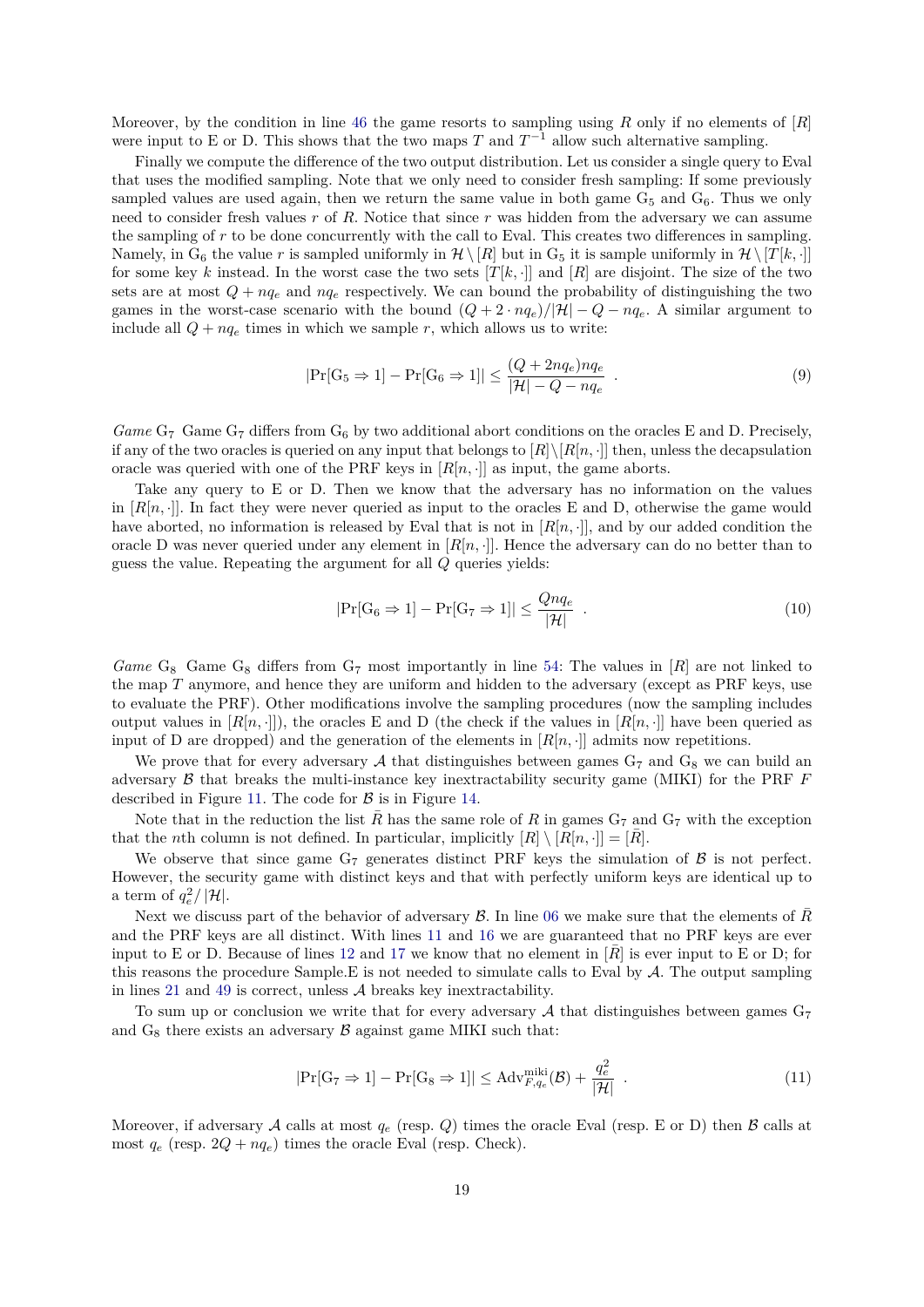Moreover, by the condition in line [46](#page-17-2) the game resorts to sampling using *R* only if no elements of [*R*] were input to E or D. This shows that the two maps  $T$  and  $T^{-1}$  allow such alternative sampling.

Finally we compute the difference of the two output distribution. Let us consider a single query to Eval that uses the modified sampling. Note that we only need to consider fresh sampling: If some previously sampled values are used again, then we return the same value in both game  $G_5$  and  $G_6$ . Thus we only need to consider fresh values *r* of *R*. Notice that since *r* was hidden from the adversary we can assume the sampling of *r* to be done concurrently with the call to Eval. This creates two differences in sampling. Namely, in G<sub>6</sub> the value r is sampled uniformly in  $\mathcal{H} \setminus [R]$  but in G<sub>5</sub> it is sample uniformly in  $\mathcal{H} \setminus [T[k, \cdot]]$ for some key k instead. In the worst case the two sets  $[T[k, \cdot]]$  and  $[R]$  are disjoint. The size of the two sets are at most  $Q + nq_e$  and  $nq_e$  respectively. We can bound the probability of distinguishing the two games in the worst-case scenario with the bound  $(Q + 2 \cdot nq_e)/|\mathcal{H}| - Q - nq_e$ . A similar argument to include all  $Q + nq_e$  times in which we sample  $r$ , which allows us to write:

$$
|\Pr[\mathcal{G}_5 \Rightarrow 1] - \Pr[\mathcal{G}_6 \Rightarrow 1]| \le \frac{(Q + 2nq_e)nq_e}{|\mathcal{H}| - Q - nq_e} \tag{9}
$$

Game G<sub>7</sub> Game G<sub>7</sub> differs from G<sub>6</sub> by two additional abort conditions on the oracles E and D. Precisely, if any of the two oracles is queried on any input that belongs to  $[R] \setminus [R[n, \cdot]]$  then, unless the decapsulation oracle was queried with one of the PRF keys in  $[R[n, \cdot]]$  as input, the game aborts.

Take any query to E or D. Then we know that the adversary has no information on the values in  $[R[n, \cdot]]$ . In fact they were never queried as input to the oracles E and D, otherwise the game would have aborted, no information is released by Eval that is not in  $[R[n, \cdot]]$ , and by our added condition the oracle D was never queried under any element in  $[R[n, \cdot]]$ . Hence the adversary can do no better than to guess the value. Repeating the argument for all *Q* queries yields:

$$
|\Pr[\mathcal{G}_6 \Rightarrow 1] - \Pr[\mathcal{G}_7 \Rightarrow 1]| \le \frac{Qnq_e}{|\mathcal{H}|} \quad . \tag{10}
$$

*Game* G<sub>8</sub> Game G<sub>8</sub> differs from G<sub>7</sub> most importantly in line [54:](#page-17-4) The values in [*R*] are not linked to the map *T* anymore, and hence they are uniform and hidden to the adversary (except as PRF keys, use to evaluate the PRF). Other modifications involve the sampling procedures (now the sampling includes output values in  $[R[n, \cdot]]$ , the oracles E and D (the check if the values in  $[R[n, \cdot]]$  have been queried as input of D are dropped) and the generation of the elements in  $[R[n, \cdot]]$  admits now repetitions.

We prove that for every adversary A that distinguishes between games  $G_7$  and  $G_8$  we can build an adversary B that breaks the multi-instance key inextractability security game (MIKI) for the PRF *F* described in Figure [11.](#page-14-2) The code for  $\beta$  is in Figure [14.](#page-19-1)

Note that in the reduction the list  $\bar{R}$  has the same role of  $R$  in games  $G_7$  and  $G_7$  with the exception that the *n*th column is not defined. In particular, implicitly  $[R] \setminus [R[n, \cdot]] = [R]$ .

We observe that since game  $G_7$  generates distinct PRF keys the simulation of  $\beta$  is not perfect. However, the security game with distinct keys and that with perfectly uniform keys are identical up to a term of  $q_e^2/|\mathcal{H}|$ .

Next we discuss part of the behavior of adversary  $\mathcal{B}$ . In line [06](#page-19-2) we make sure that the elements of  $\overline{R}$ and the PRF keys are all distinct. With lines [11](#page-19-3) and [16](#page-19-4) we are guaranteed that no PRF keys are ever input to E or D. Because of lines [12](#page-19-5) and [17](#page-19-6) we know that no element in  $\overline{R}$  is ever input to E or D; for this reasons the procedure Sample*.*E is not needed to simulate calls to Eval by A. The output sampling in lines [21](#page-19-7) and [49](#page-19-8) is correct, unless  $A$  breaks key inextractability.

To sum up or conclusion we write that for every adversary A that distinguishes between games  $G_7$ and  $G_8$  there exists an adversary  $\beta$  against game MIKI such that:

$$
|\Pr[\mathcal{G}_7 \Rightarrow 1] - \Pr[\mathcal{G}_8 \Rightarrow 1]| \le \mathrm{Adv}_{F,q_e}^{\mathrm{miki}}(\mathcal{B}) + \frac{q_e^2}{|\mathcal{H}|} \tag{11}
$$

Moreover, if adversary A calls at most  $q_e$  (resp. Q) times the oracle Eval (resp. E or D) then B calls at most  $q_e$  (resp.  $2Q + nq_e$ ) times the oracle Eval (resp. Check).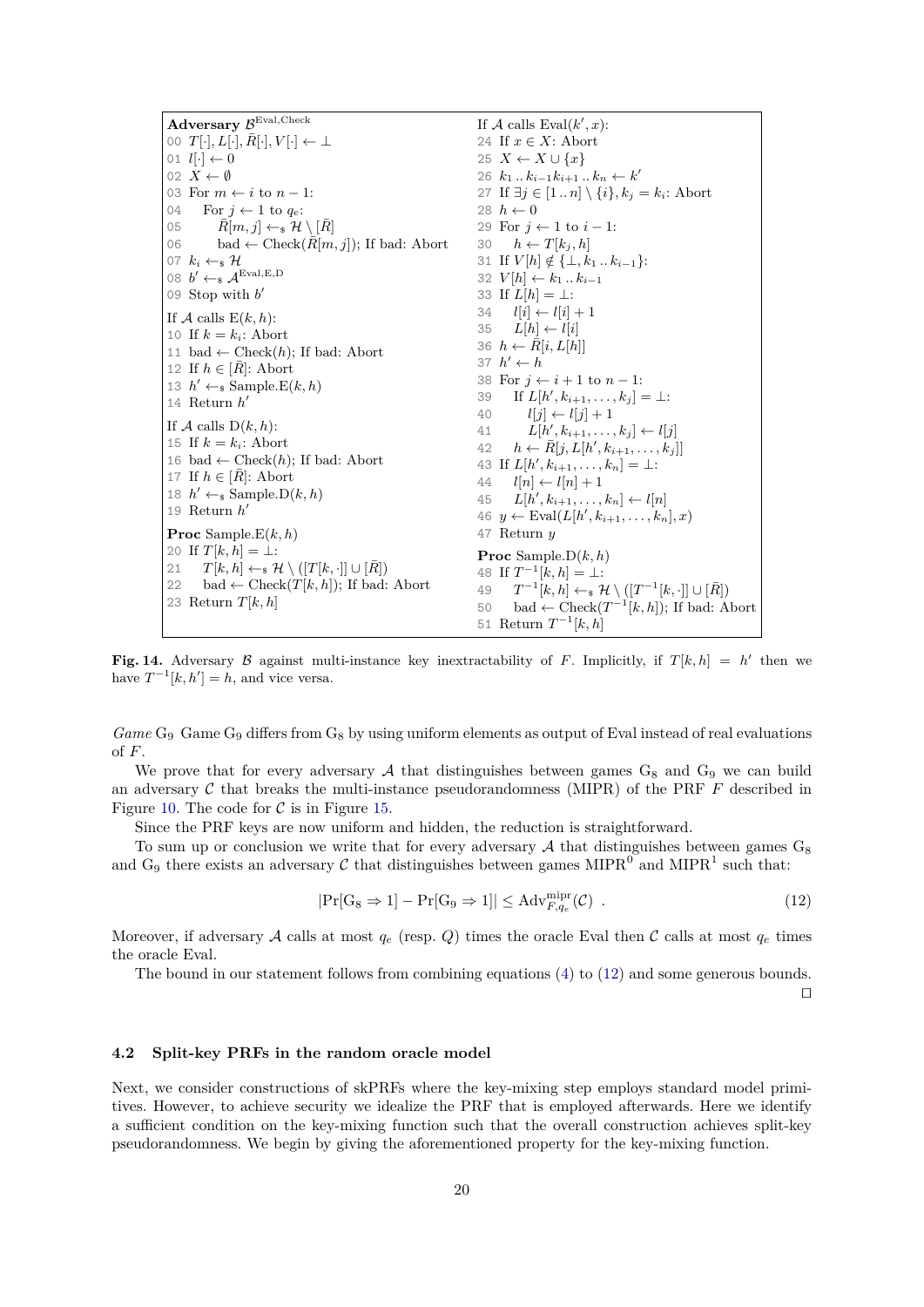<span id="page-19-5"></span><span id="page-19-3"></span><span id="page-19-2"></span>**Adversary** B Eval*,*Check 00  $T[\cdot], L[\cdot], \overline{R}[\cdot], V[\cdot] \leftarrow \perp$ 01  $l[\cdot] \leftarrow 0$ 02  $X \leftarrow \emptyset$ 03 For  $m \leftarrow i$  to  $n-1:$ 04 For  $j \leftarrow 1$  to  $q_e$ : 05  $\bar{R}[m, j] \leftarrow \{ \mathcal{H} \setminus [\bar{R}]$ 06 bad ← Check $(\bar{R}[m, j])$ ; If bad: Abort 07  $k_i \leftarrow s$  H 08  $b' \leftarrow s \mathcal{A}^{\text{Eval},E,D}$ 09 Stop with *b* 0 If  $A$  calls  $E(k, h)$ : 10 If  $k = k_i$ : Abort 11 bad ← Check(*h*); If bad: Abort 12 If  $h \in [R]$ : Abort 13  $h' \leftarrow_{\$}$  Sample. $E(k, h)$ 14 Return  $h'$ If  $A$  calls  $D(k, h)$ : 15 If  $k = k_i$ : Abort 16 bad  $\leftarrow$  Check $(h)$ ; If bad: Abort 17 If  $h \in [\bar{R}]$ : Abort 18  $h' \leftarrow s$  Sample. $D(k, h)$ 19 Return *h* 0 **Proc** Sample*.*E(*k, h*) 20 If  $T[k, h] = \perp$ : 21  $T[k, h] \leftarrow_{\mathbb{S}} \mathcal{H} \setminus ([T[k, \cdot]] \cup [\bar{R}])$ 22 bad ← Check $(T[k, h])$ ; If bad: Abort 23 Return *T*[*k, h*] If  $\mathcal A$  calls  $\text{Eval}(k', x)$ : 24 If *x* ∈ *X*: Abort 25  $X \leftarrow X \cup \{x\}$ 26  $k_1$  *..*  $k_{i-1}$ *k*<sub>*i*+1</sub> *..*  $k_n$  ← *k*<sup>*i*</sup> 27 If  $\exists j \in [1..n] \setminus \{i\}, k_j = k_i$ : Abort 28  $h \leftarrow 0$ 29 For  $j \leftarrow 1$  to  $i - 1$ : 30  $h \leftarrow T[k_i, h]$ 31 If  $V[h] \notin \{\perp, k_1 \dots k_{i-1}\}$ : 32  $V[h] \leftarrow k_1 \dots k_{i-1}$ 33 If  $L[h] = \perp$ : 34  $l[i] \leftarrow l[i] + 1$ 35  $L[h] \leftarrow l[i]$ 36  $h \leftarrow \bar{R}[i, L[h]]$ 37  $h' \leftarrow h$ 38 For  $i \leftarrow i + 1$  to  $n - 1$ : 39 If  $L[h', k_{i+1}, \ldots, k_j] = \perp$ : 40  $l[j] \leftarrow l[j] + 1$ 41  $L[h', k_{i+1}, \ldots, k_j] \leftarrow l[j]$  $42 \quad h \leftarrow \bar{R}[j, L[h', k_{i+1}, \ldots, k_j]]$ 43 If  $L[h', k_{i+1}, \ldots, k_n] = \perp$ :  $44$   $l[n] \leftarrow l[n]+1$  $45 \quad L[h', k_{i+1}, \ldots, k_n] \leftarrow l[n]$  $46 \, y \leftarrow \text{Eval}(L[h', k_{i+1}, \ldots, k_n], x)$ 47 Return *y* **Proc** Sample*.*D(*k, h*) 48 If  $T^{-1}[k, h] = \perp$ : 49  $T^{-1}[k, h] \leftarrow \mathcal{H} \setminus ([T^{-1}[k, \cdot]] \cup [\overline{R}])$ 50 bad ← Check $(T^{-1}[k, h])$ ; If bad: Abort 51 Return  $T^{-1}[k, h]$ 

<span id="page-19-7"></span><span id="page-19-6"></span><span id="page-19-4"></span><span id="page-19-1"></span>**Fig. 14.** Adversary B against multi-instance key inextractability of F. Implicitly, if  $T[k, h] = h'$  then we have  $T^{-1}[k, h'] = h$ , and vice versa.

*Game* G<sup>9</sup> Game G<sup>9</sup> differs from G<sup>8</sup> by using uniform elements as output of Eval instead of real evaluations of *F*.

We prove that for every adversary  $A$  that distinguishes between games  $G_8$  and  $G_9$  we can build an adversary  $C$  that breaks the multi-instance pseudorandomness (MIPR) of the PRF  $F$  described in Figure [10.](#page-14-1) The code for  $\mathcal C$  is in Figure [15.](#page-20-3)

Since the PRF keys are now uniform and hidden, the reduction is straightforward.

To sum up or conclusion we write that for every adversary  $A$  that distinguishes between games  $G_8$ and G<sub>9</sub> there exists an adversary C that distinguishes between games MIPR<sup>0</sup> and MIPR<sup>1</sup> such that:

<span id="page-19-8"></span>
$$
|\Pr[\mathcal{G}_8 \Rightarrow 1] - \Pr[\mathcal{G}_9 \Rightarrow 1]| \le \mathrm{Adv}_{F,q_e}^{\mathrm{mipr}}(\mathcal{C}) . \tag{12}
$$

Moreover, if adversary A calls at most  $q_e$  (resp. Q) times the oracle Eval then C calls at most  $q_e$  times the oracle Eval.

The bound in our statement follows from combining equations [\(4\)](#page-16-0) to [\(12\)](#page-19-9) and some generous bounds.

<span id="page-19-9"></span> $\Box$ 

#### <span id="page-19-0"></span>**4.2 Split-key PRFs in the random oracle model**

Next, we consider constructions of skPRFs where the key-mixing step employs standard model primitives. However, to achieve security we idealize the PRF that is employed afterwards. Here we identify a sufficient condition on the key-mixing function such that the overall construction achieves split-key pseudorandomness. We begin by giving the aforementioned property for the key-mixing function.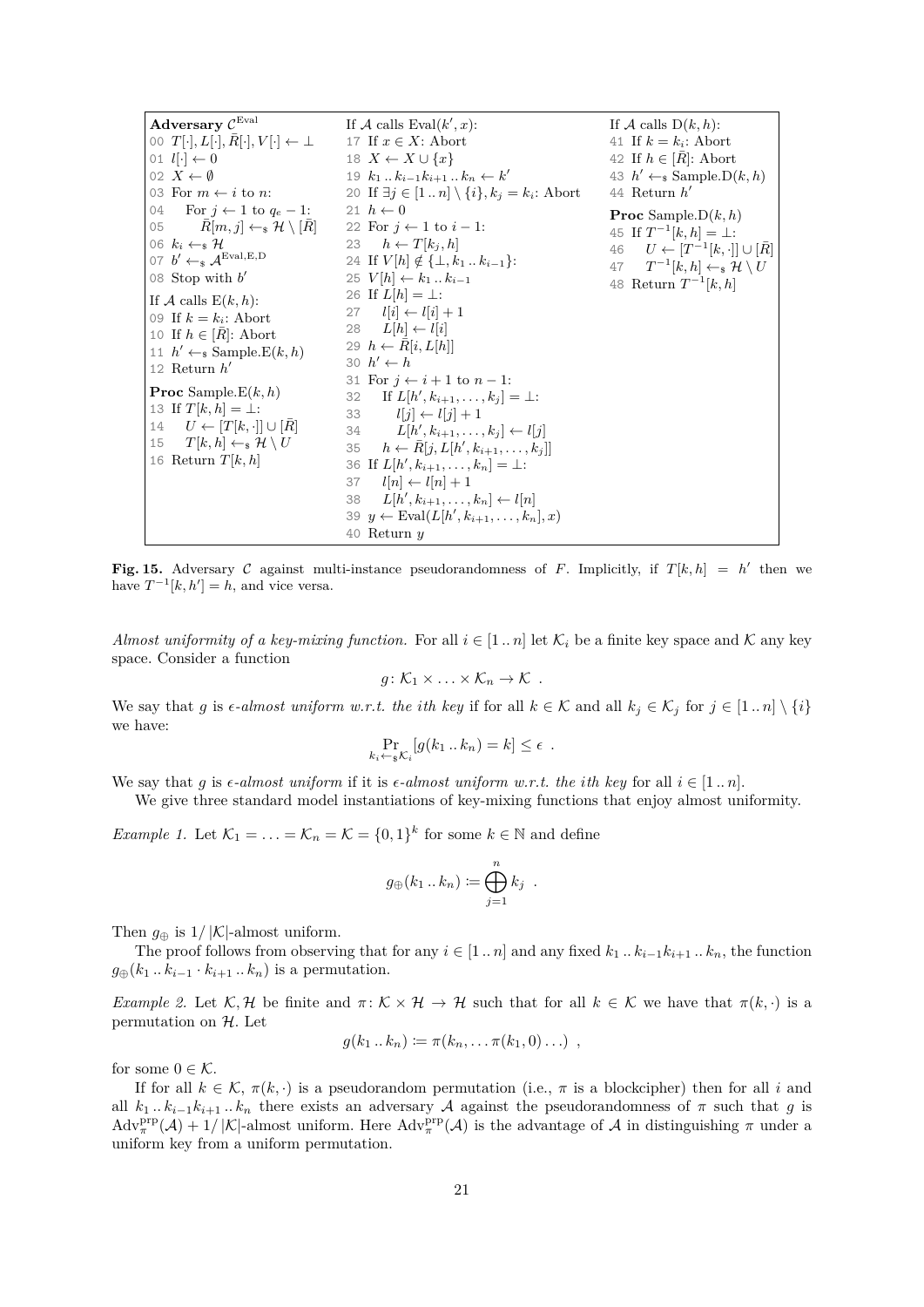| Adversary $\mathcal{C}^{\operatorname{Eval}}$                | If A calls Eval $(k', x)$ :                                   | If A calls $D(k, h)$ :                                           |
|--------------------------------------------------------------|---------------------------------------------------------------|------------------------------------------------------------------|
| 00 $T[\cdot], L[\cdot], R[\cdot], V[\cdot] \leftarrow \perp$ | 17 If $x \in X$ : Abort                                       | 41 If $k = k_i$ : Abort                                          |
| 01 $l[\cdot] \leftarrow 0$                                   | 18 $X \leftarrow X \cup \{x\}$                                | 42 If $h \in [R]$ : Abort                                        |
| 02 $X \leftarrow \emptyset$                                  | 19 $k_1k_{i-1}k_{i+1}k_n \leftarrow k'$                       | 43 $h' \leftarrow_s$ Sample.D $(k, h)$                           |
| 03 For $m \leftarrow i$ to n:                                | 20 If $\exists j \in [1n] \setminus \{i\}, k_j = k_i$ : Abort | 44 Return $h'$                                                   |
| 04 For $j \leftarrow 1$ to $q_e - 1$ :                       | 21 $h \leftarrow 0$                                           | <b>Proc</b> Sample. $D(k, h)$                                    |
| $R[m, j] \leftarrow_{\rm s} \mathcal{H} \setminus [R]$<br>05 | 22 For $i \leftarrow 1$ to $i-1$ :                            | 45 If $T^{-1}[k, h] = \perp$ :                                   |
| 06 $k_i \leftarrow_s \mathcal{H}$                            | 23 $h \leftarrow T[k_i, h]$                                   | 46 $U \leftarrow [T^{-1}[k, \cdot]] \cup [R]$                    |
| 07 $b' \leftarrow_s \mathcal{A}^{\text{Eval}, E, D}$         | 24 If $V[h] \notin \{\perp, k_1 \dots k_{i-1}\}$ :            | 47 $T^{-1}[k,h] \leftarrow_{\mathbb{S}} \mathcal{H} \setminus U$ |
| 08 Stop with $b'$                                            | 25 $V[h] \leftarrow k_1 \dots k_{i-1}$                        | 48 Return $T^{-1}[k, h]$                                         |
| If A calls $E(k, h)$ :                                       | 26 If $L[h] = \perp$ :                                        |                                                                  |
| 09 If $k = k_i$ : Abort                                      | 27 $l[i] \leftarrow l[i] + 1$                                 |                                                                  |
| 10 If $h \in [R]$ : Abort                                    | 28 $L[h] \leftarrow l[i]$                                     |                                                                  |
| 11 $h' \leftarrow$ Sample. $E(k, h)$                         | 29 $h \leftarrow R[i, L[h]]$                                  |                                                                  |
| 12 Return $h'$                                               | 30 $h' \leftarrow h$                                          |                                                                  |
|                                                              | 31 For $i \leftarrow i+1$ to $n-1$ :                          |                                                                  |
| <b>Proc</b> Sample. $E(k, h)$                                | 32 If $L[h', k_{i+1}, \ldots, k_j] = \perp$ :                 |                                                                  |
| 13 If $T[k, h] = \perp$ :                                    | 33<br>$l[i] \leftarrow l[i] + 1$                              |                                                                  |
| 14 $U \leftarrow [T[k, \cdot]] \cup [R]$                     | 34 $L[h', k_{i+1}, \ldots, k_j] \leftarrow l[j]$              |                                                                  |
| 15 $T[k, h] \leftarrow_{\mathbb{S}} \mathcal{H} \setminus U$ | 35 $h \leftarrow R[i, L[h', k_{i+1}, \ldots, k_i]]$           |                                                                  |
| 16 Return $T[k,h]$                                           | 36 If $L[h', k_{i+1}, \ldots, k_n] = \perp$ :                 |                                                                  |
|                                                              | 37 $l[n] \leftarrow l[n]+1$                                   |                                                                  |
|                                                              | $L[h', k_{i+1}, \ldots, k_n] \leftarrow l[n]$<br>38           |                                                                  |
|                                                              | 39 $y \leftarrow \text{Eval}(L[h', k_{i+1}, \ldots, k_n], x)$ |                                                                  |
|                                                              | 40 Return $y$                                                 |                                                                  |

<span id="page-20-3"></span>**Fig. 15.** Adversary C against multi-instance pseudorandomness of F. Implicitly, if  $T[k, h] = h'$  then we have  $T^{-1}[k, h'] = h$ , and vice versa.

<span id="page-20-0"></span>*Almost uniformity of a key-mixing function.* For all  $i \in [1..n]$  let  $\mathcal{K}_i$  be a finite key space and  $\mathcal K$  any key space. Consider a function

$$
g\colon \mathcal{K}_1\times\ldots\times\mathcal{K}_n\to\mathcal{K} \ .
$$

We say that *g* is  $\epsilon$ -almost uniform w.r.t. the *i*th key if for all  $k \in \mathcal{K}$  and all  $k_j \in \mathcal{K}_j$  for  $j \in [1..n] \setminus \{i\}$ we have:

$$
\Pr_{k_i \leftarrow \text{S} \mathcal{K}_i} [g(k_1 \dots k_n) = k] \le \epsilon.
$$

We say that *g* is  $\epsilon$ -almost uniform if it is  $\epsilon$ -almost uniform w.r.t. the *i*th key for all  $i \in [1..n]$ .

We give three standard model instantiations of key-mixing functions that enjoy almost uniformity.

<span id="page-20-1"></span>*Example 1.* Let  $\mathcal{K}_1 = \ldots = \mathcal{K}_n = \mathcal{K} = \{0,1\}^k$  for some  $k \in \mathbb{N}$  and define

$$
g_{\oplus}(k_1..k_n) := \bigoplus_{j=1}^n k_j .
$$

Then  $q_{\oplus}$  is  $1/|\mathcal{K}|$ -almost uniform.

The proof follows from observing that for any  $i \in [1..n]$  and any fixed  $k_1 \ldots k_{i-1} k_{i+1} \ldots k_n$ , the function  $g_{\oplus}(k_1...k_{i-1} \cdot k_{i+1}...k_n)$  is a permutation.

<span id="page-20-2"></span>*Example 2.* Let  $K, H$  be finite and  $\pi: K \times H \to H$  such that for all  $k \in K$  we have that  $\pi(k, \cdot)$  is a permutation on  $H$ . Let

$$
g(k_1..k_n) \coloneqq \pi(k_n,\ldots \pi(k_1,0)\ldots) ,
$$

for some  $0 \in \mathcal{K}$ .

If for all  $k \in \mathcal{K}$ ,  $\pi(k, \cdot)$  is a pseudorandom permutation (i.e.,  $\pi$  is a blockcipher) then for all *i* and all  $k_1$  *..*  $k_{i-1}k_{i+1}$  *..*  $k_n$  there exists an adversary A against the pseudorandomness of  $\pi$  such that  $g$  is  $\text{Adv}_{\pi}^{\text{prp}}(\mathcal{A}) + 1/|\mathcal{K}|$ -almost uniform. Here  $\text{Adv}_{\pi}^{\text{prp}}(\mathcal{A})$  is the advantage of  $\mathcal{A}$  in distinguishing  $\pi$  under a uniform key from a uniform permutation.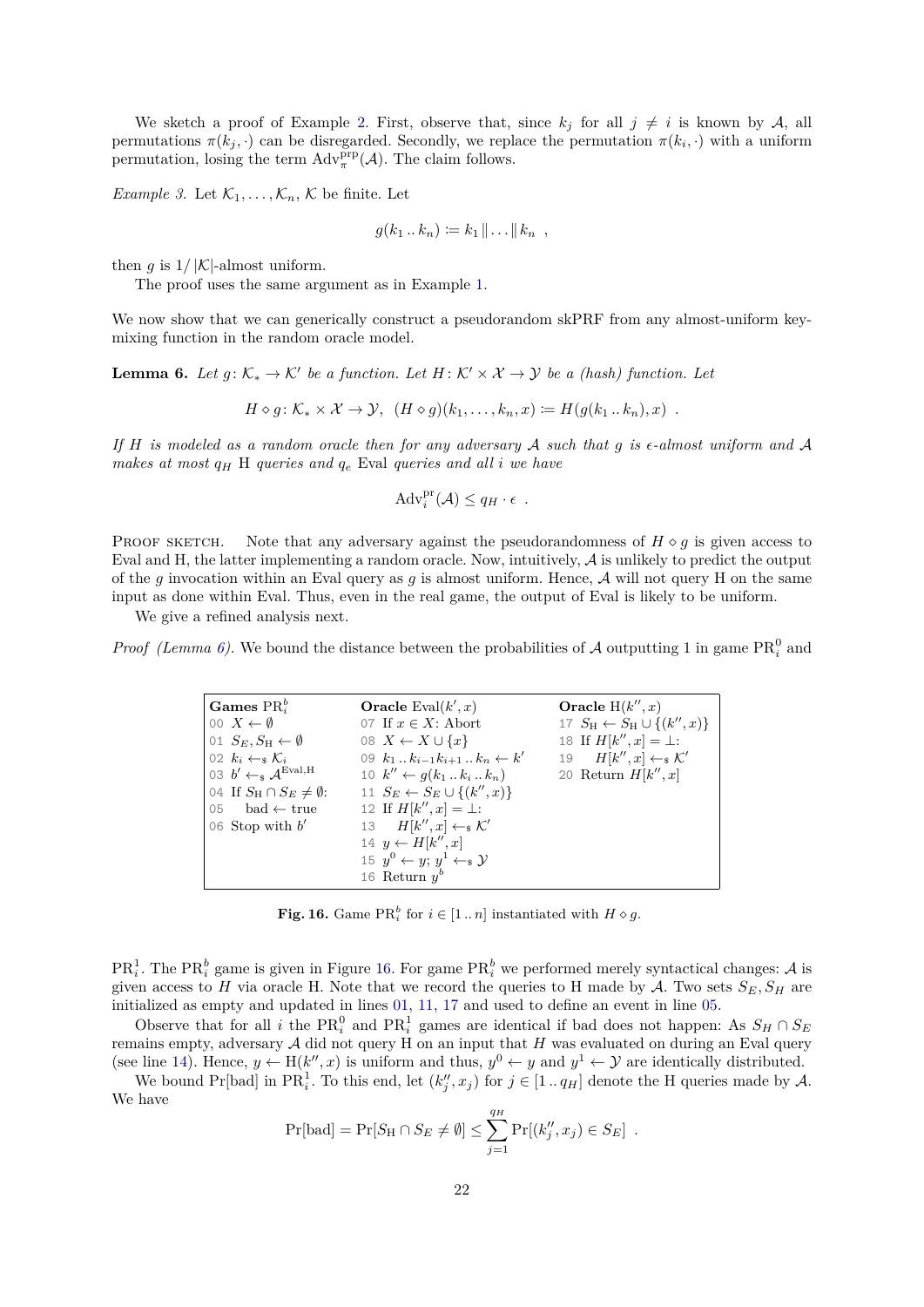We sketch a proof of Example [2.](#page-20-2) First, observe that, since  $k_j$  for all  $j \neq i$  is known by A, all permutations  $\pi(k_j, \cdot)$  can be disregarded. Secondly, we replace the permutation  $\pi(k_i, \cdot)$  with a uniform permutation, losing the term  $\text{Adv}_{\pi}^{\text{prp}}(\mathcal{A})$ . The claim follows.

<span id="page-21-0"></span>*Example 3.* Let  $\mathcal{K}_1, \ldots, \mathcal{K}_n, \mathcal{K}$  be finite. Let

$$
g(k_1 \dots k_n) \coloneqq k_1 \|\dots\| k_n ,
$$

then *q* is  $1/|\mathcal{K}|$ -almost uniform.

The proof uses the same argument as in Example [1.](#page-20-1)

We now show that we can generically construct a pseudorandom skPRF from any almost-uniform keymixing function in the random oracle model.

<span id="page-21-1"></span>**Lemma 6.** Let  $g: K_* \to K'$  be a function. Let  $H: K' \times X \to Y$  be a (hash) function. Let

 $H \circ q: \mathcal{K}_* \times \mathcal{X} \to \mathcal{Y}, \quad (H \circ q)(k_1, \ldots, k_n, x) \coloneqq H(q(k_1 \ldots k_n), x)$ .

*If H is modeled as a random oracle then for any adversary* A *such that g is -almost uniform and* A *makes at most*  $q_H$  H *queries and*  $q_e$  Eval *queries and all i we have* 

<span id="page-21-5"></span>
$$
Adv_i^{pr}(\mathcal{A}) \leq q_H \cdot \epsilon .
$$

PROOF SKETCH. Note that any adversary against the pseudorandomness of  $H \circ q$  is given access to Eval and H, the latter implementing a random oracle. Now, intuitively,  $A$  is unlikely to predict the output of the *g* invocation within an Eval query as *g* is almost uniform. Hence, A will not query H on the same input as done within Eval. Thus, even in the real game, the output of Eval is likely to be uniform.

We give a refined analysis next.

*Proof* (Lemma [6\)](#page-21-1). We bound the distance between the probabilities of A outputting 1 in game  $PR_i^0$  and

<span id="page-21-8"></span><span id="page-21-6"></span><span id="page-21-3"></span>

| Games $PR_i^b$                                    | <b>Oracle</b> Eval $(k', x)$                             | Oracle $H(k'', x)$                                     |
|---------------------------------------------------|----------------------------------------------------------|--------------------------------------------------------|
| 00 $X \leftarrow \emptyset$                       | 07 If $x \in X$ : Abort                                  | 17 $S_{\rm H} \leftarrow S_{\rm H} \cup \{(k'', x)\}\$ |
| 01 $S_E, S_H \leftarrow \emptyset$                | 08 $X \leftarrow X \cup \{x\}$                           | 18 If $H[k'', x] = \bot$ :                             |
| 02 $k_i \leftarrow_s \mathcal{K}_i$               | 09 $k_1 \ldots k_{i-1} k_{i+1} \ldots k_n \leftarrow k'$ | 19 $H[k'',x] \leftarrow_{\mathsf{s}} \mathcal{K}'$     |
| 03 $b' \leftarrow_s \mathcal{A}^{\text{Eval}, H}$ | 10 $k'' \leftarrow q(k_1 \dots k_i \dots k_n)$           | 20 Return $H[k'',x]$                                   |
| 04 If $S_{\rm H} \cap S_E \neq \emptyset$ :       | 11 $S_E \leftarrow S_E \cup \{(k'', x)\}\$               |                                                        |
| 05 bad $\leftarrow$ true                          | 12 If $H[k'',x] = \perp$ :                               |                                                        |
| 06 Stop with $b'$                                 | 13 $H[k'',x] \leftarrow_{\mathbb{S}} \mathcal{K}'$       |                                                        |
|                                                   | 14 $y \leftarrow H[k'', x]$                              |                                                        |
|                                                   | 15 $y^0 \leftarrow y$ ; $y^1 \leftarrow s$ y             |                                                        |
|                                                   | 16 Return $y^b$                                          |                                                        |

<span id="page-21-7"></span><span id="page-21-4"></span><span id="page-21-2"></span>**Fig. 16.** Game  $\text{PR}_{i}^{b}$  for  $i \in [1..n]$  instantiated with  $H \diamond g$ .

PR<sup>1</sup><sub>i</sub>. The PR<sup>b</sup><sub>i</sub> game is given in Figure [16.](#page-21-2) For game PR<sub>i</sub><sup>b</sup> we performed merely syntactical changes: A is given access to *H* via oracle H. Note that we record the queries to H made by *A*. Two sets  $S_E, S_H$  are initialized as empty and updated in lines [01,](#page-21-3) [11,](#page-21-4) [17](#page-21-5) and used to define an event in line [05.](#page-21-6)

Observe that for all *i* the  $PR_i^0$  and  $PR_i^1$  games are identical if bad does not happen: As  $S_H \cap S_E$ remains empty, adversary A did not query H on an input that *H* was evaluated on during an Eval query (see line [14\)](#page-21-7). Hence,  $y \leftarrow H(k'', x)$  is uniform and thus,  $y^0 \leftarrow y$  and  $y^1 \leftarrow Y$  are identically distributed.

We bound Pr[bad] in PR<sub>i</sub><sup>1</sup>. To this end, let  $(k''_j, x_j)$  for  $j \in [1 \dots q_H]$  denote the H queries made by A. We have

$$
Pr[bad] = Pr[S_H \cap S_E \neq \emptyset] \leq \sum_{j=1}^{q_H} Pr[(k''_j, x_j) \in S_E].
$$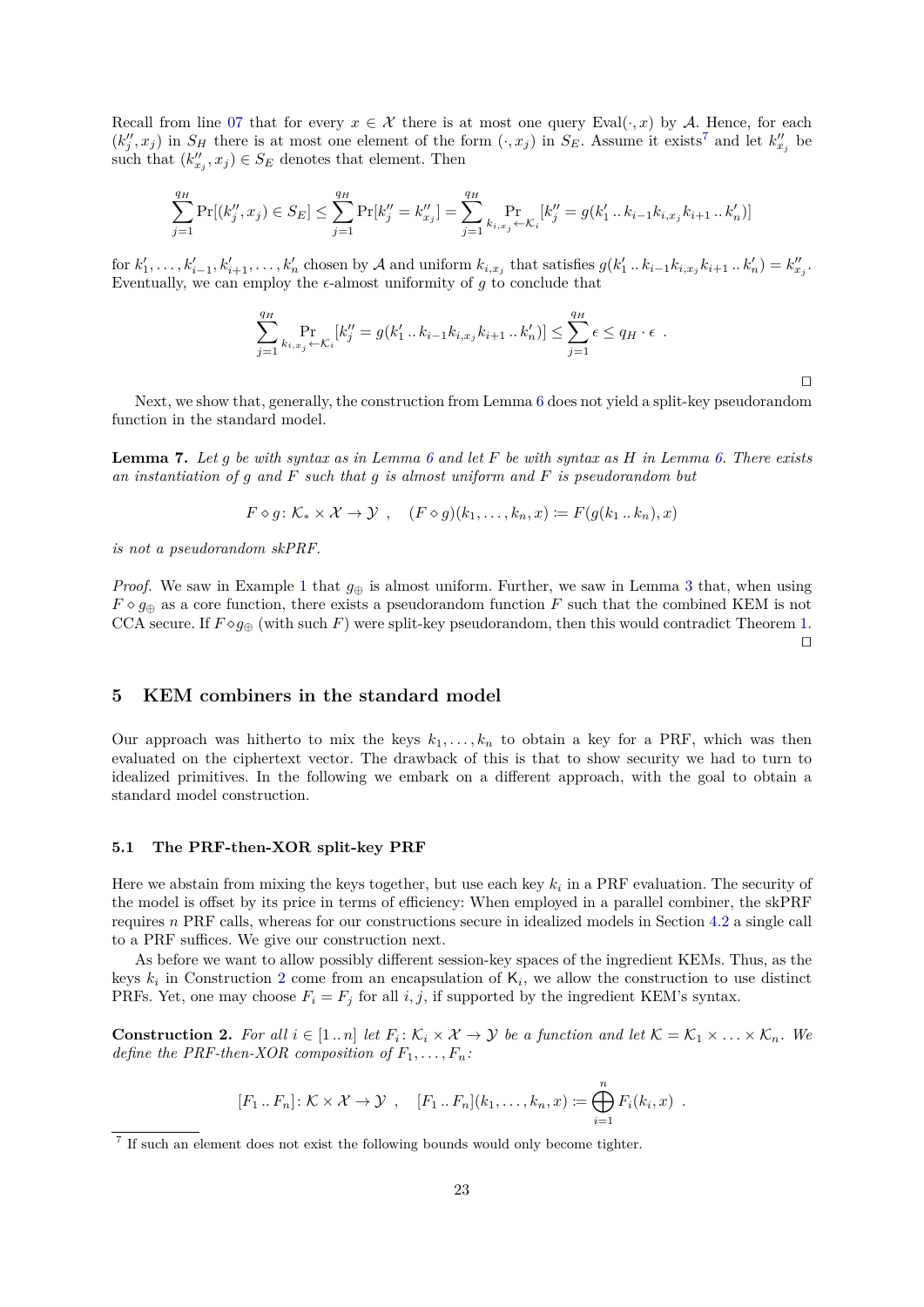Recall from line [07](#page-21-8) that for every  $x \in \mathcal{X}$  there is at most one query Eval( $\cdot, x$ ) by A. Hence, for each  $(k''_j, x_j)$  in  $S_H$  there is at most one element of the form  $(\cdot, x_j)$  in  $S_E$ . Assume it exists<sup>[7](#page-22-2)</sup> and let  $k''_{x_j}$  be such that  $(k''_{x_j}, x_j) \in S_E$  denotes that element. Then

$$
\sum_{j=1}^{q_H} \Pr[(k''_j, x_j) \in S_E] \le \sum_{j=1}^{q_H} \Pr[k''_j = k''_{x_j}] = \sum_{j=1}^{q_H} \Pr_{k_{i,x_j} \leftarrow \mathcal{K}_i} [k''_j = g(k'_1 \dots k_{i-1} k_{i,x_j} k_{i+1} \dots k'_n)]
$$

for  $k'_1, \ldots, k'_{i-1}, k'_{i+1}, \ldots, k'_n$  chosen by A and uniform  $k_{i,x_j}$  that satisfies  $g(k'_1 \ldots k_{i-1} k_{i,x_j} k_{i+1} \ldots k'_n) = k''_{x_j}$ . Eventually, we can employ the  $\epsilon$ -almost uniformity of *g* to conclude that

$$
\sum_{j=1}^{q_H} \Pr_{k_{i,x_j} \leftarrow \mathcal{K}_i} [k''_j = g(k'_1 \dots k_{i-1} k_{i,x_j} k_{i+1} \dots k'_n)] \le \sum_{j=1}^{q_H} \epsilon \le q_H \cdot \epsilon.
$$

 $\Box$ 

Next, we show that, generally, the construction from Lemma [6](#page-21-1) does not yield a split-key pseudorandom function in the standard model.

**Lemma 7.** *Let g be with syntax as in Lemma [6](#page-21-1) and let F be with syntax as H in Lemma [6.](#page-21-1) There exists an instantiation of g and F such that g is almost uniform and F is pseudorandom but*

$$
F \diamond g \colon \mathcal{K}_* \times \mathcal{X} \to \mathcal{Y} \ , \quad (F \diamond g)(k_1, \dots, k_n, x) \coloneqq F(g(k_1 \dots k_n), x)
$$

*is not a pseudorandom skPRF.*

*Proof.* We saw in Example [1](#page-20-1) that  $g_{\oplus}$  is almost uniform. Further, we saw in Lemma [3](#page-7-2) that, when using  $F \circ g_{\oplus}$  as a core function, there exists a pseudorandom function *F* such that the combined KEM is not CCA secure. If  $F \circ g_{\oplus}$  (with such *F*) were split-key pseudorandom, then this would contradict Theorem [1.](#page-9-0)  $\Box$ 

# **5 KEM combiners in the standard model**

Our approach was hitherto to mix the keys  $k_1, \ldots, k_n$  to obtain a key for a PRF, which was then evaluated on the ciphertext vector. The drawback of this is that to show security we had to turn to idealized primitives. In the following we embark on a different approach, with the goal to obtain a standard model construction.

## <span id="page-22-3"></span>**5.1 The PRF-then-XOR split-key PRF**

Here we abstain from mixing the keys together, but use each key *k<sup>i</sup>* in a PRF evaluation. The security of the model is offset by its price in terms of efficiency: When employed in a parallel combiner, the skPRF requires *n* PRF calls, whereas for our constructions secure in idealized models in Section [4.2](#page-19-0) a single call to a PRF suffices. We give our construction next.

As before we want to allow possibly different session-key spaces of the ingredient KEMs. Thus, as the keys  $k_i$  in Construction [2](#page-22-0) come from an encapsulation of  $\mathsf{K}_i$ , we allow the construction to use distinct PRFs. Yet, one may choose  $F_i = F_j$  for all *i, j*, if supported by the ingredient KEM's syntax.

<span id="page-22-0"></span>**Construction 2.** For all  $i \in [1..n]$  let  $F_i: K_i \times X \to Y$  be a function and let  $K = K_1 \times ... \times K_n$ . We *define the PRF-then-XOR composition of*  $F_1, \ldots, F_n$ :

$$
[F_1 \tcdot F_n] \tcdot \mathcal{K} \times \mathcal{X} \to \mathcal{Y} , \quad [F_1 \tcdot F_n](k_1, \ldots, k_n, x) := \bigoplus_{i=1}^n F_i(k_i, x) .
$$

<span id="page-22-2"></span><span id="page-22-1"></span><sup>&</sup>lt;sup>7</sup> If such an element does not exist the following bounds would only become tighter.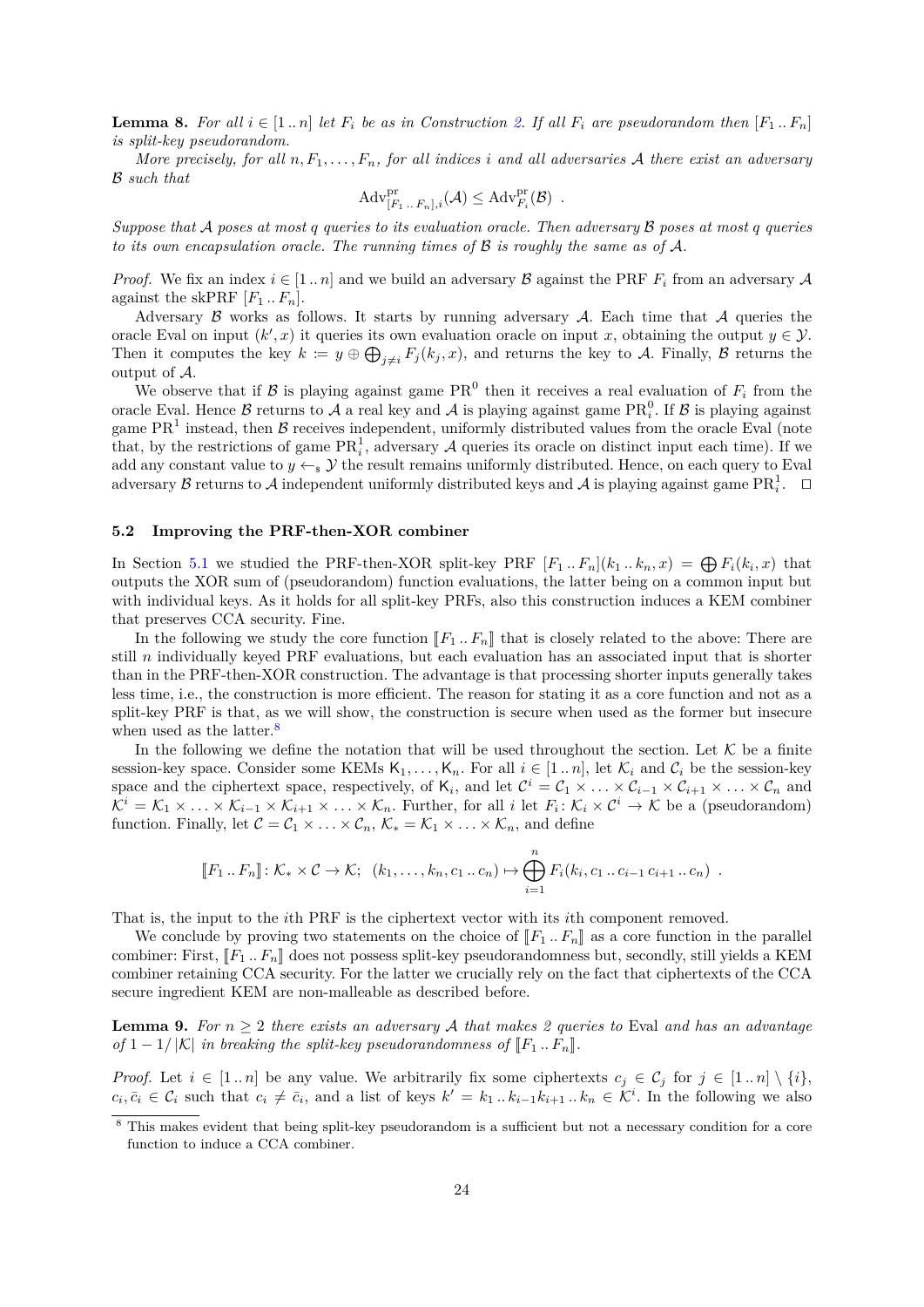**Lemma 8.** For all  $i \in [1..n]$  let  $F_i$  be as in Construction [2.](#page-22-0) If all  $F_i$  are pseudorandom then  $[F_1..F_n]$ *is split-key pseudorandom.*

*More precisely, for all*  $n, F_1, \ldots, F_n$ , *for all indices i* and all adversaries A there exist an adversary B *such that*

$$
\mathrm{Adv}_{[F_1\ldots F_n],i}^{\mathrm{pr}}(\mathcal{A}) \leq \mathrm{Adv}_{F_i}^{\mathrm{pr}}(\mathcal{B}) .
$$

*Suppose that* A *poses at most q queries to its evaluation oracle. Then adversary* B *poses at most q queries to its own encapsulation oracle. The running times of* B *is roughly the same as of* A*.*

*Proof.* We fix an index  $i \in [1..n]$  and we build an adversary B against the PRF  $F_i$  from an adversary A against the skPRF  $[F_1 \tcdot F_n]$ .

Adversary  $\beta$  works as follows. It starts by running adversary  $\mathcal A$ . Each time that  $\mathcal A$  queries the oracle Eval on input  $(k', x)$  it queries its own evaluation oracle on input *x*, obtaining the output  $y \in \mathcal{Y}$ . Then it computes the key  $k := y \oplus \bigoplus_{j \neq i} F_j(k_j, x)$ , and returns the key to A. Finally, B returns the output of A.

We observe that if  $\mathcal{B}$  is playing against game PR<sup>0</sup> then it receives a real evaluation of  $F_i$  from the oracle Eval. Hence  $\beta$  returns to  $\mathcal A$  a real key and  $\mathcal A$  is playing against game  $\text{PR}_i^0$ . If  $\beta$  is playing against game  $PR<sup>1</sup>$  instead, then  $B$  receives independent, uniformly distributed values from the oracle Eval (note that, by the restrictions of game  $\text{PR}_i^1$ , adversary A queries its oracle on distinct input each time). If we add any constant value to  $y \leftarrow s \mathcal{Y}$  the result remains uniformly distributed. Hence, on each query to Eval adversary  $\beta$  returns to  $\mathcal A$  independent uniformly distributed keys and  $\mathcal A$  is playing against game  $\text{PR}_i^1$ .  $\Box$ 

## <span id="page-23-0"></span>**5.2 Improving the PRF-then-XOR combiner**

In Section [5.1](#page-22-3) we studied the PRF-then-XOR split-key PRF  $[F_1..F_n](k_1..k_n,x) = \bigoplus F_i(k_i,x)$  that outputs the XOR sum of (pseudorandom) function evaluations, the latter being on a common input but with individual keys. As it holds for all split-key PRFs, also this construction induces a KEM combiner that preserves CCA security. Fine.

In the following we study the core function  $\llbracket F_1 \dots F_n \rrbracket$  that is closely related to the above: There are still *n* individually keyed PRF evaluations, but each evaluation has an associated input that is shorter than in the PRF-then-XOR construction. The advantage is that processing shorter inputs generally takes less time, i.e., the construction is more efficient. The reason for stating it as a core function and not as a split-key PRF is that, as we will show, the construction is secure when used as the former but insecure when used as the latter.<sup>[8](#page-23-1)</sup>

In the following we define the notation that will be used throughout the section. Let  $\mathcal K$  be a finite session-key space. Consider some KEMs  $K_1, \ldots, K_n$ . For all  $i \in [1 \ldots n]$ , let  $\mathcal{K}_i$  and  $\mathcal{C}_i$  be the session-key space and the ciphertext space, respectively, of  $\mathsf{K}_i$ , and let  $\mathcal{C}^i = \mathcal{C}_1 \times \ldots \times \mathcal{C}_{i-1} \times \mathcal{C}_{i+1} \times \ldots \times \mathcal{C}_n$  and  $\mathcal{K}^i = \mathcal{K}_1 \times \ldots \times \mathcal{K}_{i-1} \times \mathcal{K}_{i+1} \times \ldots \times \mathcal{K}_n$ . Further, for all *i* let  $F_i: \mathcal{K}_i \times \mathcal{C}^i \to \mathcal{K}$  be a (pseudorandom) function. Finally, let  $C = C_1 \times \ldots \times C_n$ ,  $\mathcal{K}_* = \mathcal{K}_1 \times \ldots \times \mathcal{K}_n$ , and define

$$
[[F_1 \dots F_n]] \colon \mathcal{K}_* \times \mathcal{C} \to \mathcal{K}; \ \ (k_1, \dots, k_n, c_1 \dots c_n) \mapsto \bigoplus_{i=1}^n F_i(k_i, c_1 \dots c_{i-1} c_{i+1} \dots c_n) \ .
$$

That is, the input to the *i*th PRF is the ciphertext vector with its *i*th component removed.

We conclude by proving two statements on the choice of  $[F_1 \tcdot F_n]$  as a core function in the parallel combiner: First,  $\llbracket F_1 \ldots F_n \rrbracket$  does not possess split-key pseudorandomness but, secondly, still yields a KEM combiner retaining CCA security. For the latter we crucially rely on the fact that ciphertexts of the CCA secure ingredient KEM are non-malleable as described before.

**Lemma 9.** For  $n \geq 2$  *there exists an adversary* A *that makes 2 queries to* Eval *and has an advantage of*  $1 - 1/|\mathcal{K}|$  *in breaking the split-key pseudorandomness of*  $\llbracket F_1 \dots F_n \rrbracket$ *.* 

*Proof.* Let  $i \in [1..n]$  be any value. We arbitrarily fix some ciphertexts  $c_i \in C_j$  for  $j \in [1..n] \setminus \{i\}$ ,  $c_i, \bar{c}_i \in \mathcal{C}_i$  such that  $c_i \neq \bar{c}_i$ , and a list of keys  $k' = k_1 \dots k_{i-1} k_{i+1} \dots k_n \in \mathcal{K}^i$ . In the following we also

<span id="page-23-1"></span><sup>&</sup>lt;sup>8</sup> This makes evident that being split-key pseudorandom is a sufficient but not a necessary condition for a core function to induce a CCA combiner.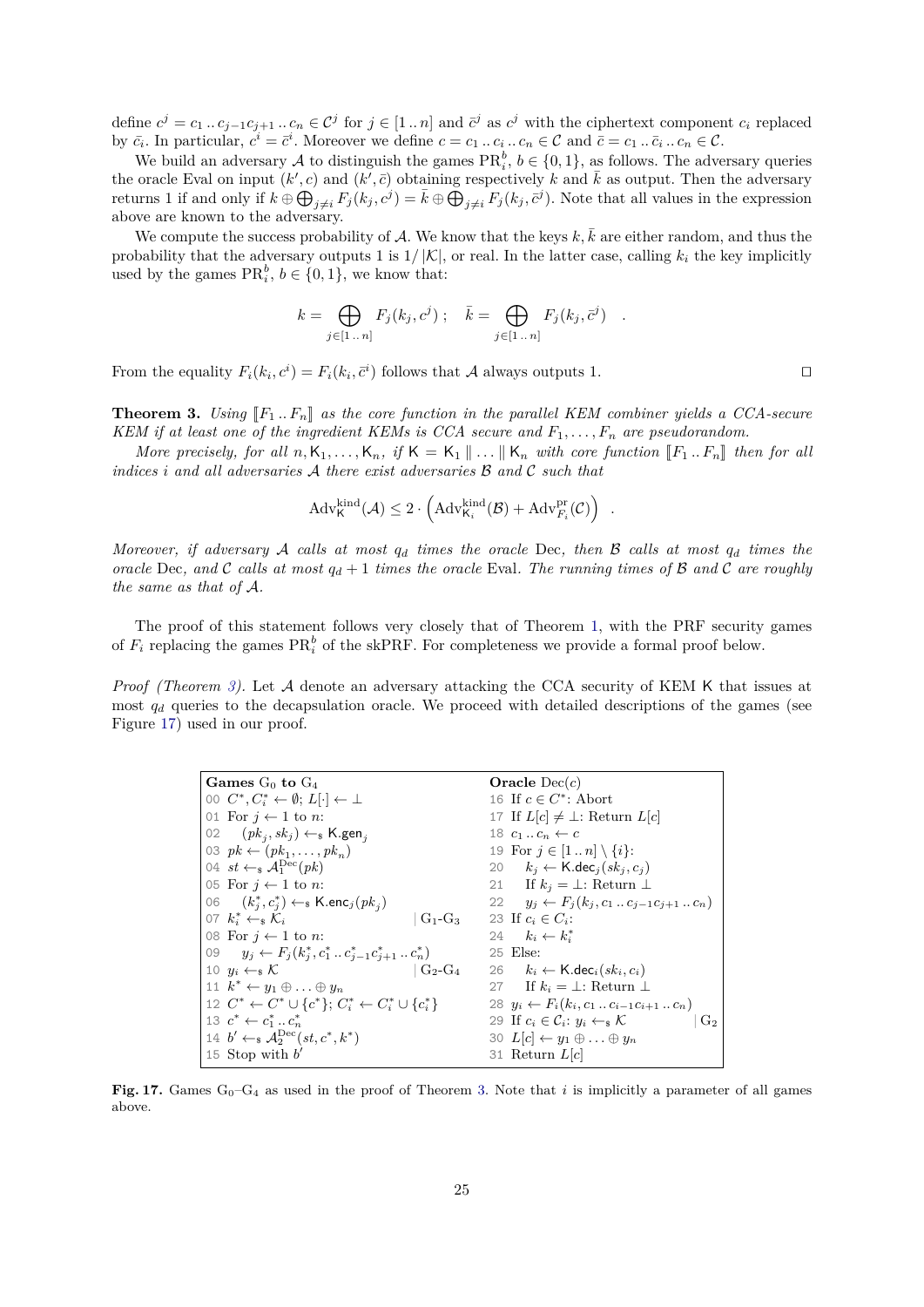define  $c^j = c_1 \dots c_{j-1} c_{j+1} \dots c_n \in \mathcal{C}^j$  for  $j \in [1 \dots n]$  and  $\bar{c}^j$  as  $c^j$  with the ciphertext component  $c_i$  replaced by  $\bar{c}_i$ . In particular,  $c^i = \bar{c}^i$ . Moreover we define  $c = c_1 \dots c_i \dots c_n \in \mathcal{C}$  and  $\bar{c} = c_1 \dots \bar{c}_i \dots c_n \in \mathcal{C}$ .

We build an adversary A to distinguish the games  $\text{PR}_i^b$ ,  $b \in \{0, 1\}$ , as follows. The adversary queries the oracle Eval on input  $(k', c)$  and  $(k', \bar{c})$  obtaining respectively k and  $\bar{k}$  as output. Then the adversary returns 1 if and only if  $k \oplus \bigoplus_{j \neq i} F_j(k_j, c^j) = \overline{k} \oplus \bigoplus_{j \neq i} F_j(k_j, \overline{c}^j)$ . Note that all values in the expression above are known to the adversary.

We compute the success probability of  $A$ . We know that the keys  $k, k$  are either random, and thus the probability that the adversary outputs 1 is  $1/|\mathcal{K}|$ , or real. In the latter case, calling  $k_i$  the key implicitly used by the games  $\text{PR}_i^b$ ,  $b \in \{0, 1\}$ , we know that:

$$
k = \bigoplus_{j \in [1 \dots n]} F_j(k_j, c^j) \; ; \quad \bar{k} = \bigoplus_{j \in [1 \dots n]} F_j(k_j, \bar{c}^j) \quad .
$$

<span id="page-24-0"></span>From the equality  $F_i(k_i, c^i) = F_i(k_i, \bar{c}^i)$  follows that A always outputs 1.

**Theorem 3.** *Using*  $\llbracket F_1 \ldots F_n \rrbracket$  as the core function in the parallel KEM combiner yields a CCA-secure *KEM if at least one of the ingredient KEMs is CCA secure and*  $F_1, \ldots, F_n$  *are pseudorandom.* 

*More precisely, for all*  $n, K_1, \ldots, K_n$ , if  $K = K_1 \parallel \ldots \parallel K_n$  with core function  $\llbracket F_1 \ldots F_n \rrbracket$  then for all *indices i and all adversaries* A *there exist adversaries* B *and* C *such that*

$$
\mathrm{Adv}_{\mathsf{K}}^{\mathrm{kind}}(\mathcal{A}) \leq 2 \cdot \left(\mathrm{Adv}_{\mathsf{K}_i}^{\mathrm{kind}}(\mathcal{B}) + \mathrm{Adv}_{F_i}^{\mathrm{pr}}(\mathcal{C})\right) .
$$

*Moreover, if adversary* A *calls at most q<sup>d</sup> times the oracle* Dec*, then* B *calls at most q<sup>d</sup> times the oracle* Dec, and C calls at most  $q_d + 1$  times the oracle Eval. The running times of B and C are roughly *the same as that of* A*.*

The proof of this statement follows very closely that of Theorem [1,](#page-9-0) with the PRF security games of  $F_i$  replacing the games  $\text{PR}_i^b$  of the skPRF. For completeness we provide a formal proof below.

*Proof (Theorem [3\)](#page-24-0).* Let A denote an adversary attacking the CCA security of KEM K that issues at most  $q_d$  queries to the decapsulation oracle. We proceed with detailed descriptions of the games (see Figure [17\)](#page-24-1) used in our proof.

<span id="page-24-8"></span><span id="page-24-6"></span><span id="page-24-5"></span><span id="page-24-4"></span><span id="page-24-3"></span><span id="page-24-2"></span>

| Games $G_0$ to $G_4$                                                             | Oracle $Dec(c)$                                                                  |
|----------------------------------------------------------------------------------|----------------------------------------------------------------------------------|
| 00 $C^*, C^*_i \leftarrow \emptyset; L[\cdot] \leftarrow \perp$                  | 16 If $c \in C^*$ : Abort                                                        |
| 01 For $j \leftarrow 1$ to n:                                                    | 17 If $L[c] \neq \perp$ : Return $L[c]$                                          |
| 02 $(pk_i, sk_j) \leftarrow_k \text{K.gen}_i$                                    | 18 $c_1 \ldots c_n \leftarrow c$                                                 |
| 03 $pk \leftarrow (pk_1, \ldots, pk_n)$                                          | 19 For $j \in [1n] \setminus \{i\}$ :                                            |
| 04 st $\leftarrow_s \mathcal{A}_1^{\text{Dec}}(pk)$                              | 20 $k_i \leftarrow \text{K-dec}_i(sk_i, c_i)$                                    |
| 05 For $j \leftarrow 1$ to n:                                                    | 21 If $k_j = \perp$ : Return $\perp$                                             |
| 06 $(k_i^*, c_i^*) \leftarrow_s \text{K.enc}_j(pk_i)$                            | 22 $y_i \leftarrow F_i(k_i, c_1 \dots c_{i-1} c_{i+1} \dots c_n)$                |
| 07 $k_i^* \leftarrow_s \mathcal{K}_i$<br>$G_1-G_3$                               | 23 If $c_i \in C_i$ :                                                            |
| 08 For $j \leftarrow 1$ to <i>n</i> :                                            | 24 $k_i \leftarrow k_i^*$                                                        |
| 09 $y_j \leftarrow F_j(k_j^*, c_1^*, c_{j-1}^*, c_{j+1}^*, c_n^*)$               | 25 Else:                                                                         |
| $\mid$ G <sub>2</sub> -G <sub>4</sub><br>10 $y_i \leftarrow_s \mathcal{K}$       | 26 $k_i \leftarrow \mathsf{K}.{\mathsf{dec}}_i(sk_i, c_i)$                       |
| 11 $k^* \leftarrow y_1 \oplus \ldots \oplus y_n$                                 | 27 If $k_i = \perp$ : Return $\perp$                                             |
| 12 $C^* \leftarrow C^* \cup \{c^*\}\colon C_i^* \leftarrow C_i^* \cup \{c_i^*\}$ | 28 $y_i \leftarrow F_i(k_i, c_1 \dots c_{i-1} c_{i+1} \dots c_n)$                |
| 13 $c^* \leftarrow c_1^*  c_n^*$                                                 | 29 If $c_i \in \mathcal{C}_i$ : $y_i \leftarrow_s \mathcal{K}$<br>G <sub>2</sub> |
| 14 $b' \leftarrow_{\mathbb{S}} \mathcal{A}_2^{\text{Dec}}(st, c^*, k^*)$         | 30 $L[c] \leftarrow y_1 \oplus \ldots \oplus y_n$                                |
| 15 Stop with $b'$                                                                | 31 Return $L[c]$                                                                 |

<span id="page-24-7"></span><span id="page-24-1"></span>**Fig. 17.** Games  $G_0-G_4$  as used in the proof of Theorem [3.](#page-24-0) Note that *i* is implicitly a parameter of all games above.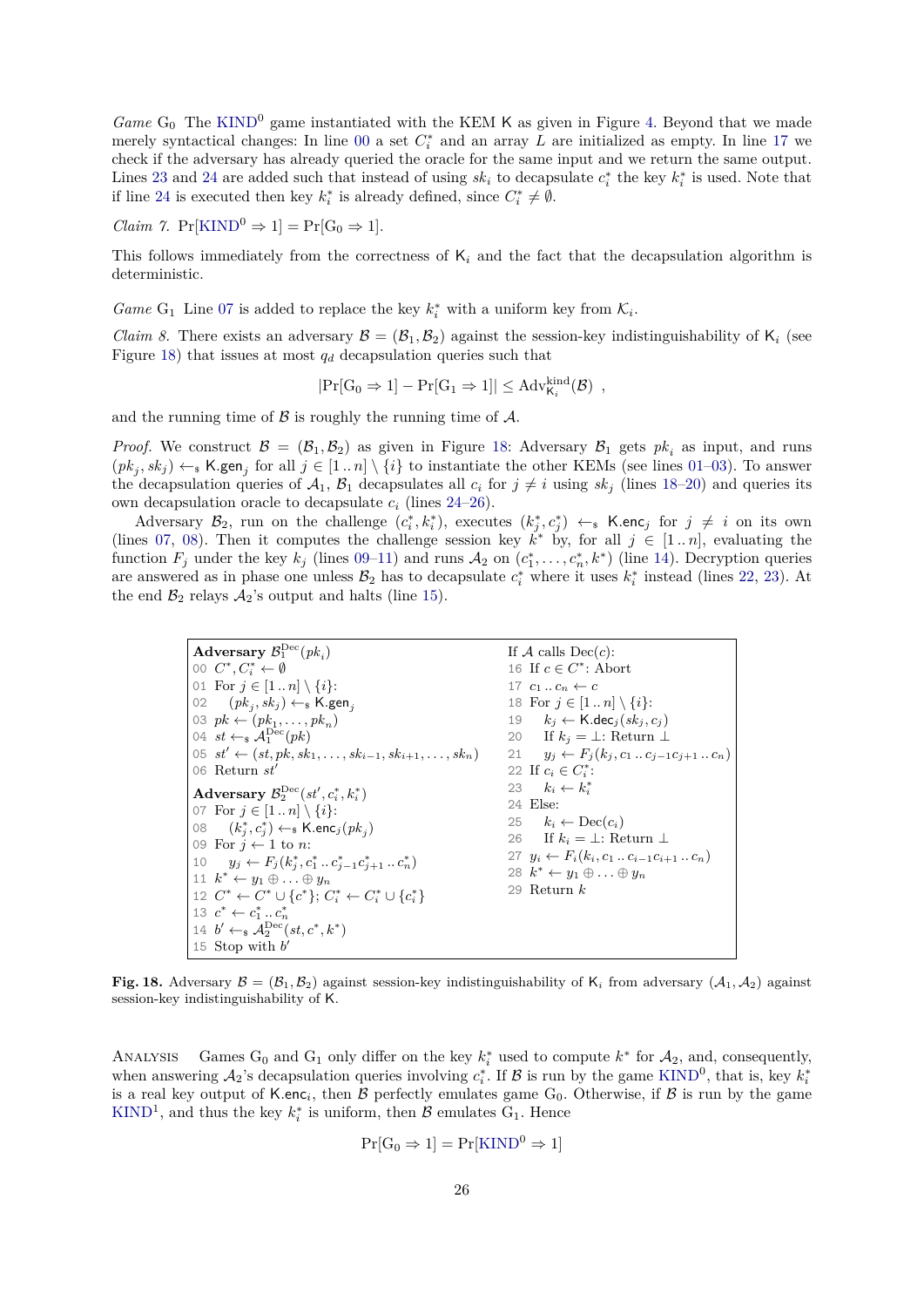*Game*  $G_0$  The [KIND](#page-4-0)<sup>0</sup> game instantiated with the KEM K as given in Figure [4.](#page-5-1) Beyond that we made merely syntactical changes: In line [00](#page-24-2) a set  $C_i^*$  and an array *L* are initialized as empty. In line [17](#page-24-3) we check if the adversary has already queried the oracle for the same input and we return the same output. Lines [23](#page-24-4) and [24](#page-24-5) are added such that instead of using  $sk_i$  to decapsulate  $c_i^*$  the key  $k_i^*$  is used. Note that if line [24](#page-24-5) is executed then key  $k_i^*$  is already defined, since  $C_i^* \neq \emptyset$ .

<span id="page-25-16"></span>*Claim 7.*  $Pr[KIND^0 \Rightarrow 1] = Pr[G_0 \Rightarrow 1].$  $Pr[KIND^0 \Rightarrow 1] = Pr[G_0 \Rightarrow 1].$  $Pr[KIND^0 \Rightarrow 1] = Pr[G_0 \Rightarrow 1].$ 

This follows immediately from the correctness of  $K_i$  and the fact that the decapsulation algorithm is deterministic.

*Game* G<sub>1</sub> Line [07](#page-24-6) is added to replace the key  $k_i^*$  with a uniform key from  $\mathcal{K}_i$ .

*Claim 8.* There exists an adversary  $\mathcal{B} = (\mathcal{B}_1, \mathcal{B}_2)$  against the session-key indistinguishability of  $K_i$  (see Figure [18\)](#page-25-0) that issues at most *q<sup>d</sup>* decapsulation queries such that

<span id="page-25-15"></span>
$$
|\Pr[G_0 \Rightarrow 1] - \Pr[G_1 \Rightarrow 1]| \leq Adv_{K_i}^{kind}(\mathcal{B})
$$
,

and the running time of  $\beta$  is roughly the running time of  $\mathcal{A}$ .

*Proof.* We construct  $\mathcal{B} = (\mathcal{B}_1, \mathcal{B}_2)$  as given in Figure [18:](#page-25-0) Adversary  $\mathcal{B}_1$  gets  $pk_i$  as input, and runs  $(pk_j, sk_j) \leftarrow_s K$ **.gen**<sub>j</sub> for all  $j \in [1..n] \setminus \{i\}$  to instantiate the other KEMs (see lines [01–](#page-25-1)[03\)](#page-25-2). To answer the decapsulation queries of  $A_1$ ,  $B_1$  decapsulates all  $c_i$  for  $j \neq i$  using  $sk_j$  (lines [18–](#page-25-3)[20\)](#page-25-4) and queries its own decapsulation oracle to decapsulate  $c_i$  (lines [24–](#page-25-5)[26\)](#page-25-6).

Adversary  $\mathcal{B}_2$ , run on the challenge  $(c_i^*, k_i^*)$ , executes  $(k_j^*, c_j^*) \leftarrow_s \mathsf{K}.\mathsf{enc}_j$  for  $j \neq i$  on its own (lines [07,](#page-25-7) [08\)](#page-25-8). Then it computes the challenge session key  $\vec{k}^*$  by, for all  $j \in [1..n]$ , evaluating the function  $F_j$  under the key  $k_j$  (lines [09](#page-25-9)[–11\)](#page-25-10) and runs  $A_2$  on  $(c_1^*, \ldots, c_n^*, k^*)$  (line [14\)](#page-25-11). Decryption queries are answered as in phase one unless  $B_2$  has to decapsulate  $c_i^*$  where it uses  $k_i^*$  instead (lines [22,](#page-25-12) [23\)](#page-25-13). At the end  $\mathcal{B}_2$  relays  $\mathcal{A}_2$ 's output and halts (line [15\)](#page-25-14).

> <span id="page-25-13"></span><span id="page-25-12"></span><span id="page-25-7"></span><span id="page-25-5"></span><span id="page-25-4"></span><span id="page-25-3"></span><span id="page-25-2"></span><span id="page-25-1"></span>Adversary  $\mathcal{B}_1^{\text{Dec}}(pk_i)$ 00  $C^*, C^*_i \leftarrow \emptyset$ 01 For  $j \in [1..n] \setminus \{i\}$ : 02  $(pk_j, sk_j) \leftarrow_s \textsf{K}.\textsf{gen}_j$ 03  $pk \leftarrow (pk_1, \ldots, pk_n)$ 04  $st \leftarrow_* \mathcal{A}_1^{\text{Dec}}(pk)$ 05  $st'$  ←  $(st, pk, sk_1, ..., sk_{i-1}, sk_{i+1}, ..., sk_n)$ 06 Return  $st'$  $\textbf{Adversary}\hspace{0.1cm} \mathcal{B}^{\text{Dec}}_2(st',c^*_i,k^*_i)$ 07 For  $j \in [1..n] \setminus \{i\}$ : 08  $(k_j^*, c_j^*) \leftarrow_\$ \mathsf{K}.\mathsf{enc}_j(\mathit{pk}_j)$ 09 For  $j \leftarrow 1$  to *n*: 10  $y_j \leftarrow F_j(k_j^*, c_1^* \dots c_{j-1}^* c_{j+1}^* \dots c_n^*)$ 11  $k^* \leftarrow y_1 \oplus \ldots \oplus y_n$ 12  $C^*$  ←  $C^* \cup \{c^*\}$ ;  $C_i^*$  ←  $C_i^* \cup \{c_i^*\}$ 13  $c^* \leftarrow c_1^* \dots c_n^*$ 14  $b' \leftarrow s \mathcal{A}_2^{\text{Dec}}(st, c^*, k^*)$ 15 Stop with  $b'$ If  $A$  calls  $Dec(c)$ : 16 If  $c \in C^* \colon \text{Abort}$ 17  $c_1 \ldots c_n \leftarrow c$ 18 For  $j \in [1..n] \setminus \{i\}$ : 19  $k_j \leftarrow \textsf{K}.{\sf dec}_j({\it sk}_j, c_j)$ 20 If  $k_j = \perp$ : Return  $\perp$ 21 *y<sub>j</sub>* ←  $F_j(k_j, c_1 \dots c_{j-1}c_{j+1} \dots c_n)$ 22 If  $c_i \in C_i^*$ : 23  $k_i \leftarrow k_i^*$ 24 Else: 25  $k_i \leftarrow \text{Dec}(c_i)$ 26 If  $k_i = \perp$ : Return  $\perp$ 27 *y*<sub>*i*</sub> ←  $F_i(k_i, c_1 \ldots c_{i-1}c_{i+1} \ldots c_n)$ 28  $k^* \leftarrow y_1 \oplus \ldots \oplus y_n$ 29 Return *k*

<span id="page-25-14"></span><span id="page-25-11"></span><span id="page-25-10"></span><span id="page-25-9"></span><span id="page-25-8"></span><span id="page-25-0"></span>**Fig. 18.** Adversary  $\mathcal{B} = (\mathcal{B}_1, \mathcal{B}_2)$  against session-key indistinguishability of  $\mathsf{K}_i$  from adversary  $(\mathcal{A}_1, \mathcal{A}_2)$  against session-key indistinguishability of K.

ANALYSIS Games  $G_0$  and  $G_1$  only differ on the key  $k_i^*$  used to compute  $k^*$  for  $\mathcal{A}_2$ , and, consequently, when answering  $A_2$ 's decapsulation queries involving  $c_i^*$ . If  $\mathcal B$  is run by the game [KIND](#page-4-0)<sup>0</sup>, that is, key  $k_i^*$ is a real key output of K.enc<sub>*i*</sub>, then  $\beta$  perfectly emulates game  $G_0$ . Otherwise, if  $\beta$  is run by the game [KIND](#page-4-0)<sup>1</sup>, and thus the key  $k_i^*$  is uniform, then  $\mathcal{B}$  emulates G<sub>1</sub>. Hence

<span id="page-25-6"></span>
$$
Pr[G_0 \Rightarrow 1] = Pr[KIND^0 \Rightarrow 1]
$$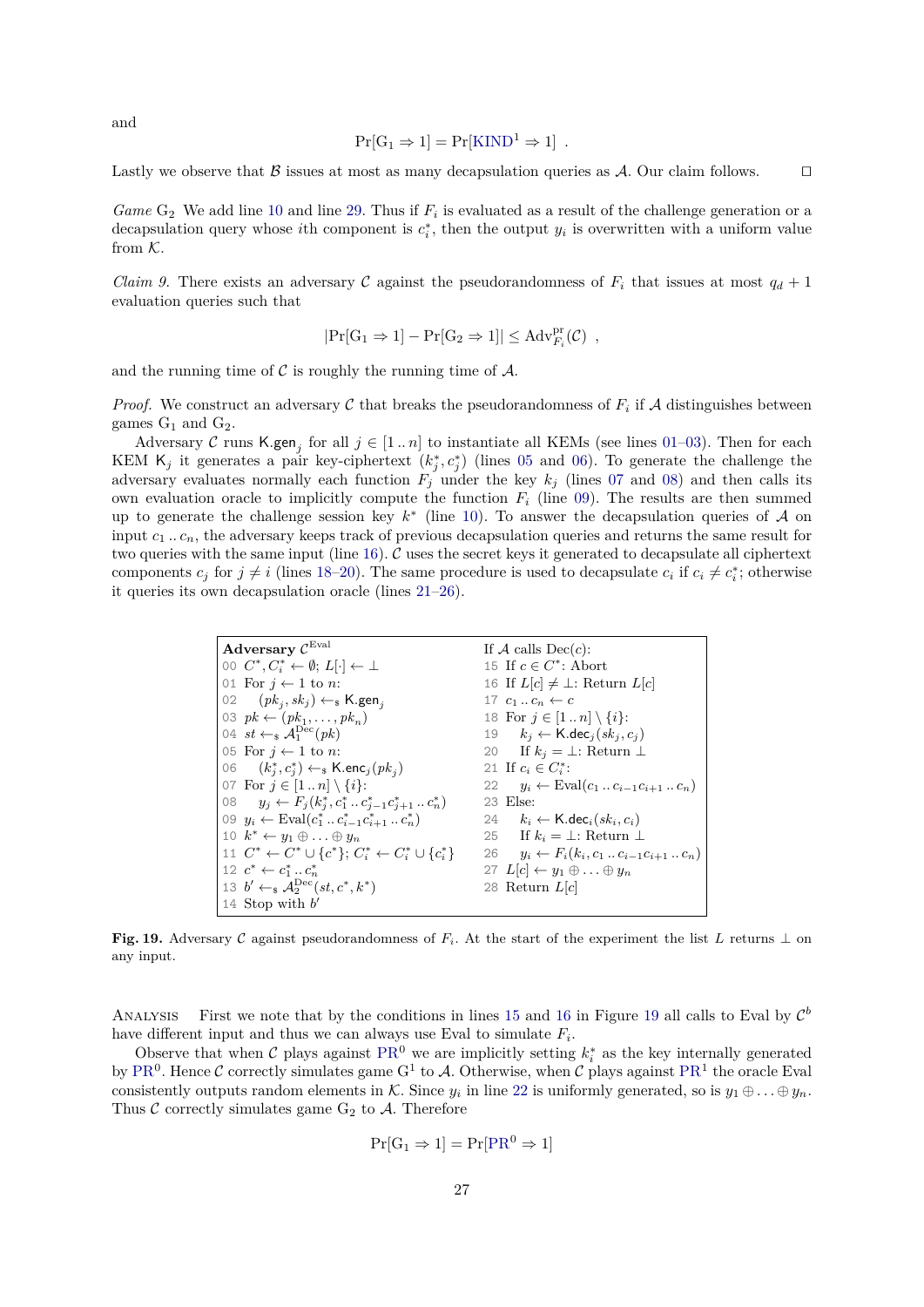and

$$
Pr[G_1 \Rightarrow 1] = Pr[KIND^1 \Rightarrow 1] .
$$

Lastly we observe that B issues at most as many decapsulation queries as A. Our claim follows.  $\square$ 

*Game*  $G_2$  We add line [10](#page-24-7) and line [29.](#page-24-8) Thus if  $F_i$  is evaluated as a result of the challenge generation or a decapsulation query whose *i*th component is  $c_i^*$ , then the output  $y_i$  is overwritten with a uniform value from K.

<span id="page-26-16"></span>*Claim 9.* There exists an adversary C against the pseudorandomness of  $F_i$  that issues at most  $q_d + 1$ evaluation queries such that

$$
|\Pr[G_1 \Rightarrow 1] - \Pr[G_2 \Rightarrow 1]| \leq \mathrm{Adv}_{F_i}^{\mathrm{pr}}(\mathcal{C})
$$
,

and the running time of  $\mathcal C$  is roughly the running time of  $\mathcal A$ .

*Proof.* We construct an adversary C that breaks the pseudorandomness of  $F_i$  if A distinguishes between games  $G_1$  and  $G_2$ .

Adversary C runs K.gen<sub>j</sub> for all  $j \in [1..n]$  to instantiate all KEMs (see lines [01–](#page-26-0)[03\)](#page-26-1). Then for each KEM  $\mathsf{K}_j$  it generates a pair key-ciphertext  $(k_j^*, c_j^*)$  (lines [05](#page-26-2) and [06\)](#page-26-3). To generate the challenge the adversary evaluates normally each function  $F_j$  under the key  $k_j$  (lines [07](#page-26-4) and [08\)](#page-26-5) and then calls its own evaluation oracle to implicitly compute the function  $F_i$  (line [09\)](#page-26-6). The results are then summed up to generate the challenge session key  $k^*$  (line [10\)](#page-26-7). To answer the decapsulation queries of A on input  $c_1$ ...  $c_n$ , the adversary keeps track of previous decapsulation queries and returns the same result for two queries with the same input (line  $16$ ). C uses the secret keys it generated to decapsulate all ciphertext components  $c_j$  for  $j \neq i$  (lines [18–](#page-26-9)[20\)](#page-26-10). The same procedure is used to decapsulate  $c_i$  if  $c_i \neq c_i^*$ ; otherwise it queries its own decapsulation oracle (lines [21–](#page-26-11)[26\)](#page-26-12).

<span id="page-26-15"></span><span id="page-26-13"></span><span id="page-26-11"></span><span id="page-26-10"></span><span id="page-26-9"></span><span id="page-26-8"></span><span id="page-26-5"></span><span id="page-26-4"></span><span id="page-26-3"></span><span id="page-26-2"></span><span id="page-26-1"></span><span id="page-26-0"></span>

| Adversary $\mathcal{C}^{\operatorname{Eval}}$                                | If A calls $Dec(c)$ :                                                |
|------------------------------------------------------------------------------|----------------------------------------------------------------------|
| 00 $C^*, C^*_i \leftarrow \emptyset; L[\cdot] \leftarrow \perp$              | 15 If $c \in C^*$ : Abort                                            |
| 01 For $i \leftarrow 1$ to n:                                                | 16 If $L[c] \neq \perp$ : Return $L[c]$                              |
| 02 $(pk_i, sk_j) \leftarrow_k \text{K.gen}_i$                                | 17 $c_1 \ldots c_n \leftarrow c$                                     |
| 03 $pk \leftarrow (pk_1, \ldots, pk_n)$                                      | 18 For $j \in [1n] \setminus \{i\}$ :                                |
| 04 $st \leftarrow_s \mathcal{A}_1^{\text{Dec}}(pk)$                          | 19 $k_i \leftarrow \text{K-dec}_i(sk_i, c_i)$                        |
| 05 For $i \leftarrow 1$ to n:                                                | 20 If $k_i = \perp$ : Return $\perp$                                 |
| 06 $(k_i^*, c_i^*) \leftarrow \{k \cdot \textsf{enc}_j(pk_i)$                | 21 If $c_i \in C_i^*$ :                                              |
| 07 For $j \in [1n] \setminus \{i\}$ :                                        | 22 $y_i \leftarrow \text{Eval}(c_1 \dots c_{i-1} c_{i+1} \dots c_n)$ |
| 08 $y_j \leftarrow F_j(k_j^*, c_1^* \dots c_{j-1}^* c_{j+1}^* \dots c_n^*)$  | 23 Else:                                                             |
| 09 $y_i \leftarrow \text{Eval}(c_1^* \dots c_{i-1}^* c_{i+1}^* \dots c_n^*)$ | 24 $k_i \leftarrow \text{K.dec}_i(sk_i, c_i)$                        |
| 10 $k^* \leftarrow y_1 \oplus \ldots \oplus y_n$                             | 25 If $k_i = \perp$ : Return $\perp$                                 |
| 11 $C^* \leftarrow C^* \cup \{c^*\}\colon C^* \leftarrow C^* \cup \{c^*\}\$  | 26 $y_i \leftarrow F_i(k_i, c_1 \dots c_{i-1} c_{i+1} \dots c_n)$    |
| 12 $c^* \leftarrow c_1^*  c_n^*$                                             | 27 $L[c] \leftarrow y_1 \oplus \ldots \oplus y_n$                    |
| 13 $b' \leftarrow_{\$} \mathcal{A}_2^{\text{Dec}}(st, c^*, k^*)$             | 28 Return $L[c]$                                                     |
| 14 Stop with $b'$                                                            |                                                                      |

<span id="page-26-14"></span><span id="page-26-7"></span><span id="page-26-6"></span>**Fig. 19.** Adversary C against pseudorandomness of  $F_i$ . At the start of the experiment the list *L* returns  $\perp$  on any input.

ANALYSIS First we note that by the conditions in lines [15](#page-26-13) and [16](#page-26-8) in Figure [19](#page-26-14) all calls to Eval by  $\mathcal{C}^b$ have different input and thus we can always use Eval to simulate *F<sup>i</sup>* .

Observe that when C plays against  $PR^0$  $PR^0$  we are implicitly setting  $k_i^*$  as the key internally generated by [PR](#page-4-1)<sup>0</sup>. Hence C correctly simulates game G<sup>1</sup> to A. Otherwise, when C plays against PR<sup>1</sup> the oracle Eval consistently outputs random elements in K. Since  $y_i$  in line [22](#page-26-15) is uniformly generated, so is  $y_1 \oplus \ldots \oplus y_n$ . Thus  $\mathcal C$  correctly simulates game  $G_2$  to  $\mathcal A$ . Therefore

<span id="page-26-12"></span>
$$
Pr[G_1 \Rightarrow 1] = Pr[PR^0 \Rightarrow 1]
$$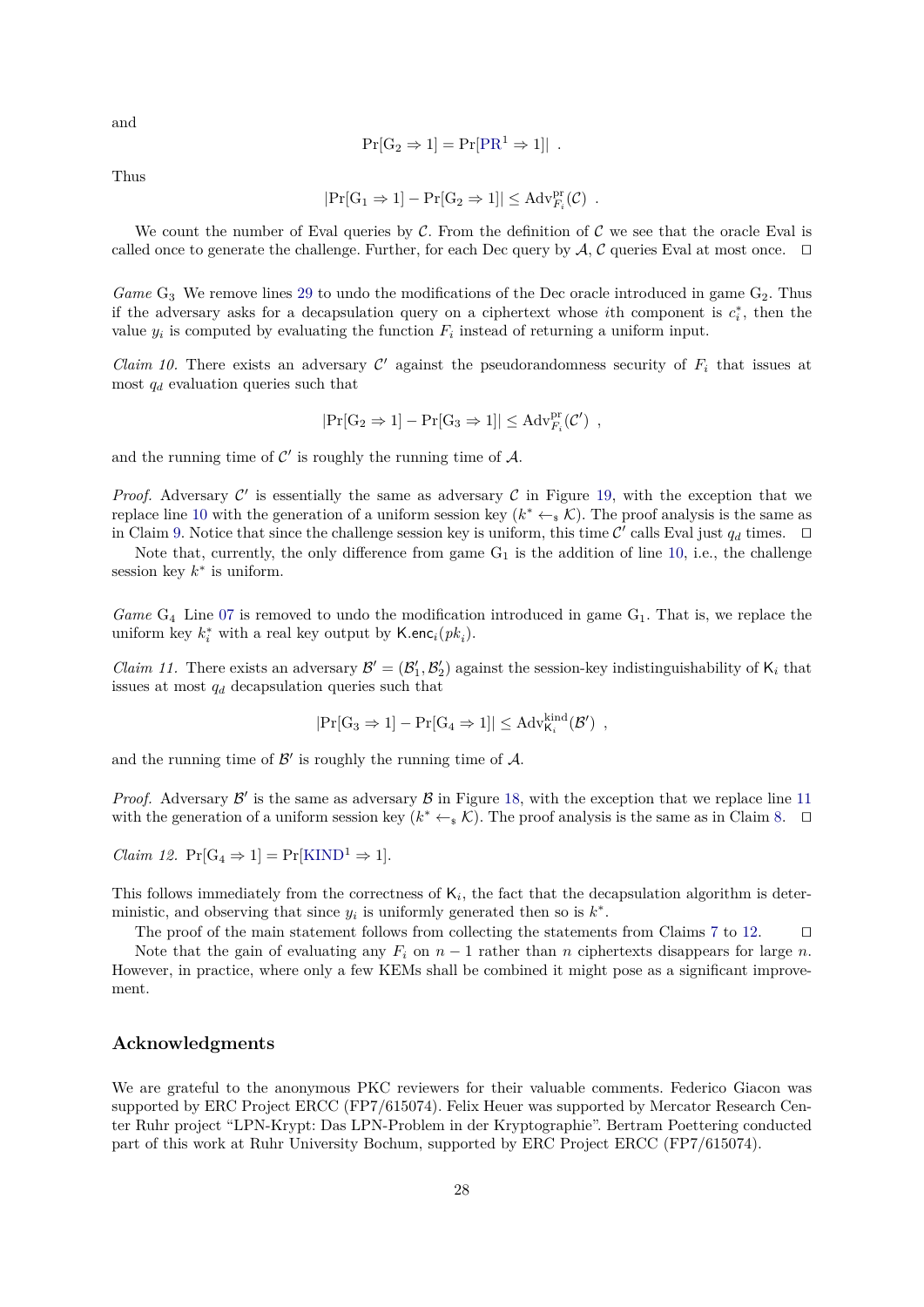and

$$
Pr[G_2 \Rightarrow 1] = Pr[PR^1 \Rightarrow 1]|.
$$

Thus

$$
|\Pr[G_1 \Rightarrow 1] - \Pr[G_2 \Rightarrow 1]| \leq Adv_{F_i}^{pr}(\mathcal{C})
$$
.

We count the number of Eval queries by C. From the definition of C we see that the oracle Eval is called once to generate the challenge. Further, for each Dec query by  $A, C$  queries Eval at most once.  $\Box$ 

*Game*  $G_3$  We remove lines [29](#page-24-8) to undo the modifications of the Dec oracle introduced in game  $G_2$ . Thus if the adversary asks for a decapsulation query on a ciphertext whose *i*<sup>th</sup> component is  $c_i^*$ , then the value  $y_i$  is computed by evaluating the function  $F_i$  instead of returning a uniform input.

*Claim 10.* There exists an adversary  $\mathcal{C}'$  against the pseudorandomness security of  $F_i$  that issues at most *q<sup>d</sup>* evaluation queries such that

$$
|\mathrm{Pr}[G_2 \Rightarrow 1] - \mathrm{Pr}[G_3 \Rightarrow 1]| \leq \mathrm{Adv}_{F_i}^{\mathrm{pr}}(\mathcal{C}') ,
$$

and the running time of  $\mathcal{C}'$  is roughly the running time of  $\mathcal{A}$ .

*Proof.* Adversary  $C'$  is essentially the same as adversary  $C$  in Figure [19,](#page-26-14) with the exception that we replace line [10](#page-26-7) with the generation of a uniform session key  $(k^* \leftarrow_s \mathcal{K})$ . The proof analysis is the same as in Claim [9.](#page-26-16) Notice that since the challenge session key is uniform, this time  $\mathcal{C}'$  calls Eval just  $q_d$  times.  $\Box$ 

Note that, currently, the only difference from game  $G_1$  is the addition of line [10,](#page-10-7) i.e., the challenge session key  $k^*$  is uniform.

*Game*  $G_4$  Line [07](#page-24-6) is removed to undo the modification introduced in game  $G_1$ . That is, we replace the uniform key  $k_i^*$  with a real key output by  $\mathsf{K}.\mathsf{enc}_i(pk_i)$ .

*Claim 11.* There exists an adversary  $\mathcal{B}' = (\mathcal{B}'_1, \mathcal{B}'_2)$  against the session-key indistinguishability of  $K_i$  that issues at most *q<sup>d</sup>* decapsulation queries such that

$$
|\Pr[G_3 \Rightarrow 1] - \Pr[G_4 \Rightarrow 1]| \leq Adv_{\mathsf{K}_i}^{\text{kind}}(\mathcal{B}'),
$$

and the running time of  $\mathcal{B}'$  is roughly the running time of  $\mathcal{A}$ .

*Proof.* Adversary  $\mathcal{B}'$  is the same as adversary  $\mathcal{B}$  in Figure [18,](#page-25-0) with the exception that we replace line [11](#page-25-10) with the generation of a uniform session key  $(k^* \leftarrow_s \mathcal{K})$ . The proof analysis is the same as in Claim [8.](#page-25-15)  $\Box$ 

<span id="page-27-0"></span>*Claim 12.*  $Pr[G_4 \Rightarrow 1] = Pr[KIND^1 \Rightarrow 1].$  $Pr[G_4 \Rightarrow 1] = Pr[KIND^1 \Rightarrow 1].$  $Pr[G_4 \Rightarrow 1] = Pr[KIND^1 \Rightarrow 1].$ 

This follows immediately from the correctness of  $K_i$ , the fact that the decapsulation algorithm is deterministic, and observing that since  $y_i$  is uniformly generated then so is  $k^*$ .

The proof of the main statement follows from collecting the statements from Claims [7](#page-25-16) to [12.](#page-27-0)  $\Box$ 

Note that the gain of evaluating any  $F_i$  on  $n-1$  rather than *n* ciphertexts disappears for large *n*. However, in practice, where only a few KEMs shall be combined it might pose as a significant improvement.

# **Acknowledgments**

We are grateful to the anonymous PKC reviewers for their valuable comments. Federico Giacon was supported by ERC Project ERCC (FP7/615074). Felix Heuer was supported by Mercator Research Center Ruhr project "LPN-Krypt: Das LPN-Problem in der Kryptographie". Bertram Poettering conducted part of this work at Ruhr University Bochum, supported by ERC Project ERCC (FP7/615074).